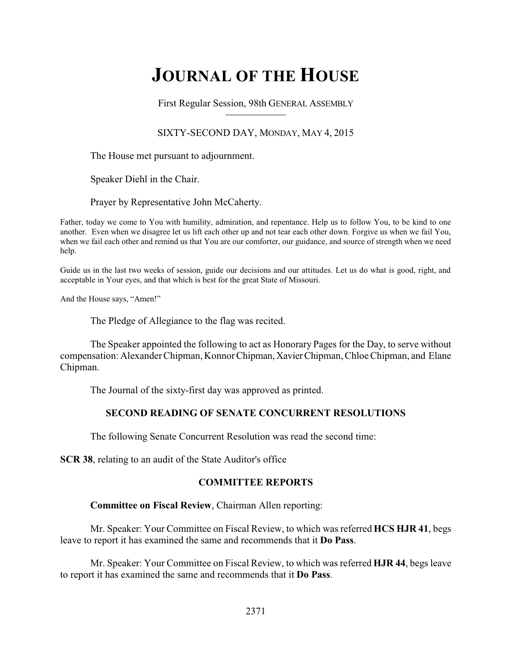# **JOURNAL OF THE HOUSE**

First Regular Session, 98th GENERAL ASSEMBLY

## SIXTY-SECOND DAY, MONDAY, MAY 4, 2015

The House met pursuant to adjournment.

Speaker Diehl in the Chair.

Prayer by Representative John McCaherty.

Father, today we come to You with humility, admiration, and repentance. Help us to follow You, to be kind to one another. Even when we disagree let us lift each other up and not tear each other down. Forgive us when we fail You, when we fail each other and remind us that You are our comforter, our guidance, and source of strength when we need help.

Guide us in the last two weeks of session, guide our decisions and our attitudes. Let us do what is good, right, and acceptable in Your eyes, and that which is best for the great State of Missouri.

And the House says, "Amen!"

The Pledge of Allegiance to the flag was recited.

The Speaker appointed the following to act as Honorary Pages for the Day, to serve without compensation: Alexander Chipman, KonnorChipman,XavierChipman, Chloe Chipman, and Elane Chipman.

The Journal of the sixty-first day was approved as printed.

## **SECOND READING OF SENATE CONCURRENT RESOLUTIONS**

The following Senate Concurrent Resolution was read the second time:

**SCR 38**, relating to an audit of the State Auditor's office

## **COMMITTEE REPORTS**

## **Committee on Fiscal Review**, Chairman Allen reporting:

Mr. Speaker: Your Committee on Fiscal Review, to which was referred **HCS HJR 41**, begs leave to report it has examined the same and recommends that it **Do Pass**.

Mr. Speaker: Your Committee on Fiscal Review, to which was referred **HJR 44**, begs leave to report it has examined the same and recommends that it **Do Pass**.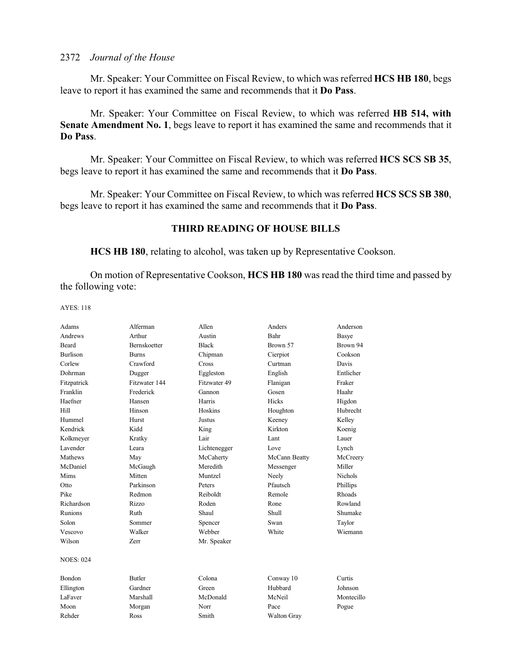Mr. Speaker: Your Committee on Fiscal Review, to which was referred **HCS HB 180**, begs leave to report it has examined the same and recommends that it **Do Pass**.

Mr. Speaker: Your Committee on Fiscal Review, to which was referred **HB 514, with Senate Amendment No. 1**, begs leave to report it has examined the same and recommends that it **Do Pass**.

Mr. Speaker: Your Committee on Fiscal Review, to which was referred **HCS SCS SB 35**, begs leave to report it has examined the same and recommends that it **Do Pass**.

Mr. Speaker: Your Committee on Fiscal Review, to which was referred **HCS SCS SB 380**, begs leave to report it has examined the same and recommends that it **Do Pass**.

## **THIRD READING OF HOUSE BILLS**

**HCS HB 180**, relating to alcohol, was taken up by Representative Cookson.

On motion of Representative Cookson, **HCS HB 180** was read the third time and passed by the following vote:

AYES: 118

| Adams            | Alferman            | Allen        | Anders             | Anderson       |
|------------------|---------------------|--------------|--------------------|----------------|
| Andrews          | Arthur              | Austin       | Bahr               | Basye          |
| Beard            | <b>Bernskoetter</b> | <b>Black</b> | Brown 57           | Brown 94       |
| <b>Burlison</b>  | <b>Burns</b>        | Chipman      | Cierpiot           | Cookson        |
| Corlew           | Crawford            | Cross        | Curtman            | Davis          |
| Dohrman          | Dugger              | Eggleston    | English            | Entlicher      |
| Fitzpatrick      | Fitzwater 144       | Fitzwater 49 | Flanigan           | Fraker         |
| Franklin         | Frederick           | Gannon       | Gosen              | Haahr          |
| Haefner          | Hansen              | Harris       | Hicks              | Higdon         |
| Hill             | Hinson              | Hoskins      | Houghton           | Hubrecht       |
| Hummel           | Hurst               | Justus       | Keeney             | Kelley         |
| Kendrick         | Kidd                | King         | Kirkton            | Koenig         |
| Kolkmeyer        | Kratky              | Lair         | Lant               | Lauer          |
| Lavender         | Leara               | Lichtenegger | Love               | Lynch          |
| Mathews          | May                 | McCaherty    | McCann Beatty      | McCreery       |
| McDaniel         | McGaugh             | Meredith     | Messenger          | Miller         |
| Mims             | Mitten              | Muntzel      | Neely              | <b>Nichols</b> |
| Otto             | Parkinson           | Peters       | Pfautsch           | Phillips       |
| Pike             | Redmon              | Reiboldt     | Remole             | Rhoads         |
| Richardson       | Rizzo               | Roden        | Rone               | Rowland        |
| Runions          | Ruth                | Shaul        | Shull              | Shumake        |
| Solon            | Sommer              | Spencer      | Swan               | Taylor         |
| Vescovo          | Walker              | Webber       | White              | Wiemann        |
| Wilson           | <b>Zerr</b>         | Mr. Speaker  |                    |                |
| <b>NOES: 024</b> |                     |              |                    |                |
| Bondon           | <b>Butler</b>       | Colona       | Conway 10          | Curtis         |
| Ellington        | Gardner             | Green        | Hubbard            | Johnson        |
| LaFaver          | Marshall            | McDonald     | McNeil             | Montecillo     |
| Moon             | Morgan              | Norr         | Pace               | Pogue          |
| Rehder           | Ross                | Smith        | <b>Walton Gray</b> |                |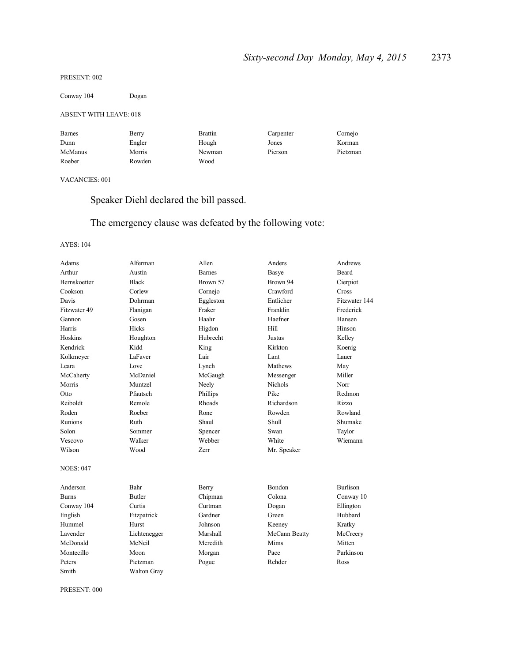#### PRESENT: 002

Conway 104 Dogan

#### ABSENT WITH LEAVE: 018

| <b>Barnes</b> | Berry  | <b>Brattin</b> | Carpenter | Cornejo  |
|---------------|--------|----------------|-----------|----------|
| Dunn          | Engler | Hough          | Jones     | Korman   |
| McManus       | Morris | Newman         | Pierson   | Pietzman |
| Roeber        | Rowden | Wood           |           |          |

## VACANCIES: 001

Speaker Diehl declared the bill passed.

## The emergency clause was defeated by the following vote:

#### AYES: 104

| Adams            | Alferman      | Allen         | Anders         | Andrews         |
|------------------|---------------|---------------|----------------|-----------------|
| Arthur           | Austin        | <b>Barnes</b> | <b>Basye</b>   | Beard           |
| Bernskoetter     | <b>Black</b>  | Brown 57      | Brown 94       | Cierpiot        |
| Cookson          | Corlew        | Cornejo       | Crawford       | Cross           |
| Davis            | Dohrman       | Eggleston     | Entlicher      | Fitzwater 144   |
| Fitzwater 49     | Flanigan      | Fraker        | Franklin       | Frederick       |
| Gannon           | Gosen         | Haahr         | Haefner        | Hansen          |
| Harris           | Hicks         | Higdon        | Hill           | Hinson          |
| Hoskins          | Houghton      | Hubrecht      | Justus         | Kelley          |
| Kendrick         | Kidd          | King          | Kirkton        | Koenig          |
| Kolkmeyer        | LaFaver       | Lair          | Lant           | Lauer           |
| Leara            | Love          | Lynch         | Mathews        | May             |
| McCaherty        | McDaniel      | McGaugh       | Messenger      | Miller          |
| Morris           | Muntzel       | Neely         | <b>Nichols</b> | Norr            |
| Otto             | Pfautsch      | Phillips      | Pike           | Redmon          |
| Reiboldt         | Remole        | Rhoads        | Richardson     | Rizzo           |
| Roden            | Roeber        | Rone          | Rowden         | Rowland         |
| Runions          | Ruth          | Shaul         | Shull          | Shumake         |
| Solon            | Sommer        | Spencer       | Swan           | Taylor          |
| Vescovo          | Walker        | Webber        | White          | Wiemann         |
| Wilson           | Wood          | Zerr          | Mr. Speaker    |                 |
| <b>NOES: 047</b> |               |               |                |                 |
| Anderson         | Bahr          | Berry         | Bondon         | <b>Burlison</b> |
| Burns            | <b>Butler</b> | Chipman       | Colona         | Conway 10       |
| Conway 104       | Curtis        | Curtman       | Dogan          | Ellington       |
| English          | Fitzpatrick   | Gardner       | Green          | Hubbard         |
| Hummel           | Hurst         | Johnson       | Keeney         | Kratky          |
| Lavender         | Lichtenegger  | Marshall      | McCann Beatty  | McCreery        |
| McDonald         | McNeil        | Meredith      | Mims           | Mitten          |
| Montecillo       | Moon          | Morgan        | Pace           | Parkinson       |
| Peters           | Pietzman      | Pogue         | Rehder         | Ross            |
| Smith            | Walton Gray   |               |                |                 |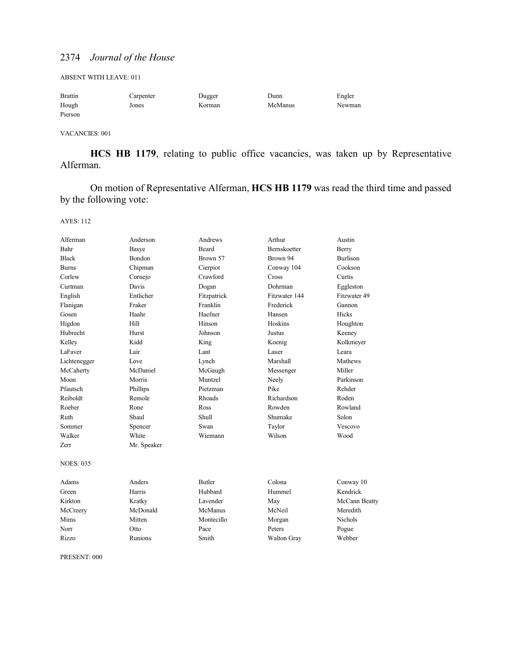ABSENT WITH LEAVE: 011

| <b>Brattin</b> | Carpenter | Dugger | Dunn    | Engler |
|----------------|-----------|--------|---------|--------|
| Hough          | Jones     | Korman | McManus | Newman |
| Pierson        |           |        |         |        |

VACANCIES: 001

**HCS HB 1179**, relating to public office vacancies, was taken up by Representative Alferman.

On motion of Representative Alferman, **HCS HB 1179** was read the third time and passed by the following vote:

AYES: 112

| Alferman         | Anderson    | Andrews       | Arthur              | Austin          |
|------------------|-------------|---------------|---------------------|-----------------|
| Bahr             | Basye       | <b>Beard</b>  | <b>Bernskoetter</b> | Berry           |
| <b>Black</b>     | Bondon      | Brown 57      | Brown 94            | <b>Burlison</b> |
| Burns            | Chipman     | Cierpiot      | Conway 104          | Cookson         |
| Corlew           | Cornejo     | Crawford      | <b>Cross</b>        | Curtis          |
| Curtman          | Davis       | Dogan         | Dohrman             | Eggleston       |
| English          | Entlicher   | Fitzpatrick   | Fitzwater 144       | Fitzwater 49    |
| Flanigan         | Fraker      | Franklin      | Frederick           | Gannon          |
| Gosen            | Haahr       | Haefner       | Hansen              | Hicks           |
| Higdon           | Hill        | Hinson        | Hoskins             | Houghton        |
| Hubrecht         | Hurst       | Johnson       | Justus              | Keeney          |
| Kelley           | Kidd        | King          | Koenig              | Kolkmeyer       |
| LaFaver          | Lair        | Lant          | Lauer               | Leara           |
| Lichtenegger     | Love        | Lynch         | Marshall            | Mathews         |
| McCaherty        | McDaniel    | McGaugh       | Messenger           | Miller          |
| Moon             | Morris      | Muntzel       | Neely               | Parkinson       |
| Pfautsch         | Phillips    | Pietzman      | Pike                | Rehder          |
| Reiboldt         | Remole      | Rhoads        | Richardson          | Roden           |
| Roeber           | Rone        | Ross          | Rowden              | Rowland         |
| Ruth             | Shaul       | Shull         | Shumake             | Solon           |
| Sommer           | Spencer     | Swan          | Taylor              | Vescovo         |
| Walker           | White       | Wiemann       | Wilson              | Wood            |
| <b>Zerr</b>      | Mr. Speaker |               |                     |                 |
| <b>NOES: 035</b> |             |               |                     |                 |
| Adams            | Anders      | <b>Butler</b> | Colona              | Conway 10       |
| Green            | Harris      | Hubbard       | Hummel              | Kendrick        |
| Kirkton          | Kratky      | Lavender      | May                 | McCann Beatty   |
| McCreery         | McDonald    | McManus       | McNeil              | Meredith        |
| Mims             | Mitten      | Montecillo    | Morgan              | <b>Nichols</b>  |
| Norr             | Otto        | Pace          | Peters              | Pogue           |
| Rizzo            | Runions     | Smith         | <b>Walton Gray</b>  | Webber          |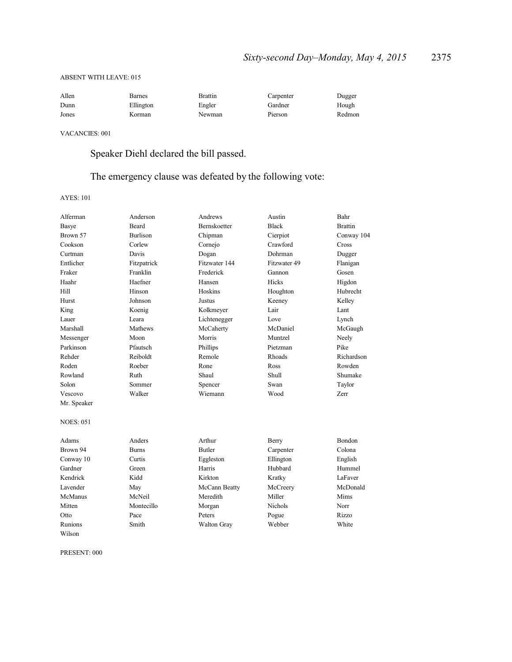#### ABSENT WITH LEAVE: 015

| Allen | Barnes    | Brattin | Carpenter | Dugger |
|-------|-----------|---------|-----------|--------|
| Dunn  | Ellington | Engler  | Gardner   | Hough  |
| Jones | Korman    | Newman  | Pierson   | Redmon |

VACANCIES: 001

Speaker Diehl declared the bill passed.

## The emergency clause was defeated by the following vote:

AYES: 101

| Alferman         | Anderson        | Andrews             | Austin       | Bahr           |
|------------------|-----------------|---------------------|--------------|----------------|
| Basye            | <b>Beard</b>    | <b>Bernskoetter</b> | <b>Black</b> | <b>Brattin</b> |
| Brown 57         | <b>Burlison</b> | Chipman             | Cierpiot     | Conway 104     |
| Cookson          | Corlew          | Cornejo             | Crawford     | Cross          |
| Curtman          | Davis           | Dogan               | Dohrman      | Dugger         |
| Entlicher        | Fitzpatrick     | Fitzwater 144       | Fitzwater 49 | Flanigan       |
| Fraker           | Franklin        | Frederick           | Gannon       | Gosen          |
| Haahr            | Haefner         | Hansen              | Hicks        | Higdon         |
| Hill             | Hinson          | Hoskins             | Houghton     | Hubrecht       |
| Hurst            | Johnson         | Justus              | Keeney       | Kellev         |
| King             | Koenig          | Kolkmeyer           | Lair         | Lant           |
| Lauer            | Leara           | Lichtenegger        | Love         | Lynch          |
| Marshall         | Mathews         | McCaherty           | McDaniel     | McGaugh        |
| Messenger        | Moon            | Morris              | Muntzel      | Neely          |
| Parkinson        | Pfautsch        | Phillips            | Pietzman     | Pike           |
| Rehder           | Reiboldt        | Remole              | Rhoads       | Richardson     |
| Roden            | Roeber          | Rone                | Ross         | Rowden         |
| Rowland          | Ruth            | Shaul               | Shull        | Shumake        |
| Solon            | Sommer          | Spencer             | Swan         | Taylor         |
| Vescovo          | Walker          | Wiemann             | Wood         | Zerr           |
| Mr. Speaker      |                 |                     |              |                |
| <b>NOES: 051</b> |                 |                     |              |                |
| Adams            | Anders          | Arthur              | Berry        | <b>Bondon</b>  |
| Brown 94         | <b>Burns</b>    | <b>Butler</b>       | Carpenter    | Colona         |
| Conway 10        | Curtis          | Eggleston           | Ellington    | English        |
| Gardner          | Green           | Harris              | Hubbard      | Hummel         |
| Kendrick         | Kidd            | Kirkton             | Kratky       | LaFaver        |
| Lavender         | May             | McCann Beatty       | McCreery     | McDonald       |
| McManus          | McNeil          | Meredith            | Miller       | Mims           |
| Mitten           | Montecillo      | Morgan              | Nichols      | Norr           |
| Otto             | Pace            | Peters              | Pogue        | Rizzo          |
| <b>Runions</b>   | Smith           | Walton Gray         | Webber       | White          |
| Wilson           |                 |                     |              |                |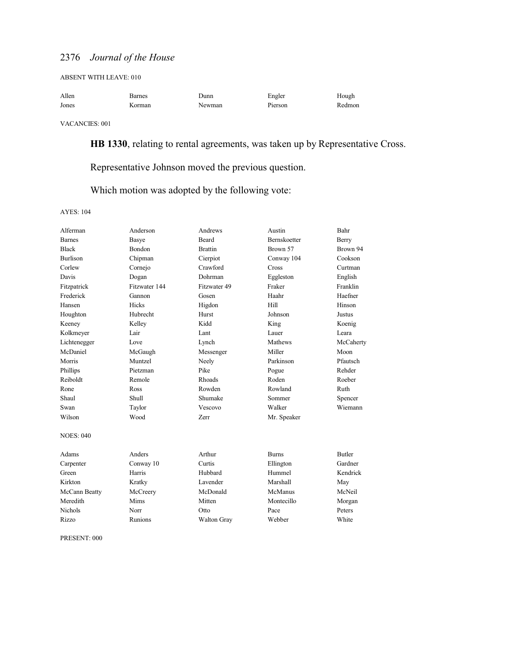ABSENT WITH LEAVE: 010

| Allen | Barnes | Dunn   | Engler  | Hough  |
|-------|--------|--------|---------|--------|
| Jones | Korman | Newman | Pierson | Redmon |

VACANCIES: 001

**HB 1330**, relating to rental agreements, was taken up by Representative Cross.

Representative Johnson moved the previous question.

Which motion was adopted by the following vote:

AYES: 104

| Alferman         | Anderson      | Andrews            | Austin              | Bahr          |
|------------------|---------------|--------------------|---------------------|---------------|
| <b>Barnes</b>    | Basye         | <b>Beard</b>       | <b>Bernskoetter</b> | Berry         |
| <b>Black</b>     | <b>Bondon</b> | <b>Brattin</b>     | Brown 57            | Brown 94      |
| <b>Burlison</b>  | Chipman       | Cierpiot           | Conway 104          | Cookson       |
| Corlew           | Cornejo       | Crawford           | Cross               | Curtman       |
| Davis            | Dogan         | Dohrman            | Eggleston           | English       |
| Fitzpatrick      | Fitzwater 144 | Fitzwater 49       | Fraker              | Franklin      |
| Frederick        | Gannon        | Gosen              | Haahr               | Haefner       |
| Hansen           | <b>Hicks</b>  | Higdon             | Hill                | Hinson        |
| Houghton         | Hubrecht      | Hurst              | Johnson             | <b>Justus</b> |
| Keeney           | Kelley        | Kidd               | King                | Koenig        |
| Kolkmeyer        | Lair          | Lant               | Lauer               | Leara         |
| Lichtenegger     | Love          | Lynch              | Mathews             | McCaherty     |
| McDaniel         | McGaugh       | Messenger          | Miller              | Moon          |
| Morris           | Muntzel       | Neely              | Parkinson           | Pfautsch      |
| Phillips         | Pietzman      | Pike               | Pogue               | Rehder        |
| Reiboldt         | Remole        | Rhoads             | Roden               | Roeber        |
| Rone             | Ross          | Rowden             | Rowland             | Ruth          |
| Shaul            | Shull         | Shumake            | Sommer              | Spencer       |
| Swan             | Taylor        | Vescovo            | Walker              | Wiemann       |
| Wilson           | Wood          | Zerr               | Mr. Speaker         |               |
| <b>NOES: 040</b> |               |                    |                     |               |
| Adams            | Anders        | Arthur             | <b>Burns</b>        | <b>Butler</b> |
| Carpenter        | Conway 10     | Curtis             | Ellington           | Gardner       |
| Green            | Harris        | Hubbard            | Hummel              | Kendrick      |
| Kirkton          | Kratky        | Lavender           | Marshall            | May           |
| McCann Beatty    | McCreery      | McDonald           | McManus             | McNeil        |
| Meredith         | Mims          | Mitten             | Montecillo          | Morgan        |
| <b>Nichols</b>   | Norr          | Otto               | Pace                | Peters        |
| Rizzo            | Runions       | <b>Walton Gray</b> | Webber              | White         |
|                  |               |                    |                     |               |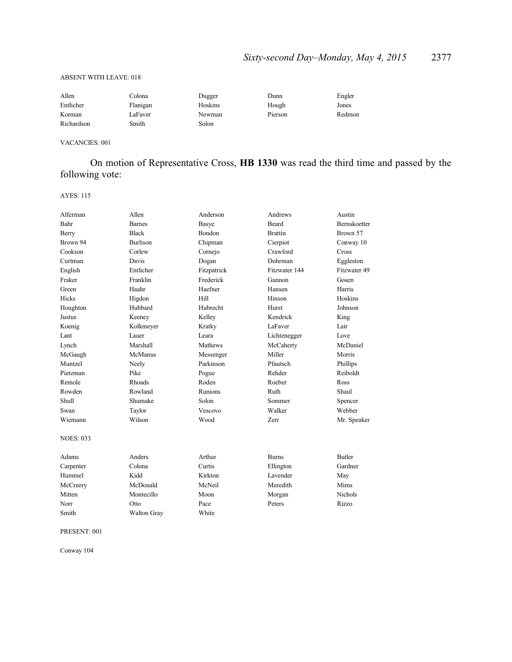#### ABSENT WITH LEAVE: 018

| Allen      | Colona   | Dugger  | Dunn    | Engler |
|------------|----------|---------|---------|--------|
| Entlicher  | Flanigan | Hoskins | Hough   | Jones  |
| Korman     | LaFaver  | Newman  | Pierson | Redmon |
| Richardson | Smith    | Solon   |         |        |

#### VACANCIES: 001

On motion of Representative Cross, **HB 1330** was read the third time and passed by the following vote:

AYES: 115

| Alferman         | Allen              | Anderson       | Andrews        | Austin         |
|------------------|--------------------|----------------|----------------|----------------|
| Bahr             | <b>Barnes</b>      | <b>Basye</b>   | Beard          | Bernskoetter   |
| Berry            | <b>Black</b>       | Bondon         | <b>Brattin</b> | Brown 57       |
| Brown 94         | <b>Burlison</b>    | Chipman        | Cierpiot       | Conway 10      |
| Cookson          | Corlew             | Cornejo        | Crawford       | Cross          |
| Curtman          | Davis              | Dogan          | Dohrman        | Eggleston      |
| English          | Entlicher          | Fitzpatrick    | Fitzwater 144  | Fitzwater 49   |
| Fraker           | Franklin           | Frederick      | Gannon         | Gosen          |
| Green            | Haahr              | Haefner        | Hansen         | Harris         |
| Hicks            | Higdon             | Hill           | Hinson         | Hoskins        |
| Houghton         | Hubbard            | Hubrecht       | Hurst          | Johnson        |
| Justus           | Keeney             | Kelley         | Kendrick       | King           |
| Koenig           | Kolkmeyer          | Kratky         | LaFaver        | Lair           |
| Lant             | Lauer              | Leara          | Lichtenegger   | Love           |
| Lynch            | Marshall           | Mathews        | McCaherty      | McDaniel       |
| McGaugh          | McManus            | Messenger      | Miller         | Morris         |
| Muntzel          | Neely              | Parkinson      | Pfautsch       | Phillips       |
| Pietzman         | Pike               | Pogue          | Rehder         | Reiboldt       |
| Remole           | Rhoads             | Roden          | Roeber         | Ross           |
| Rowden           | Rowland            | <b>Runions</b> | Ruth           | Shaul          |
| Shull            | Shumake            | Solon          | Sommer         | Spencer        |
| Swan             | Taylor             | Vescovo        | Walker         | Webber         |
| Wiemann          | Wilson             | Wood           | Zerr           | Mr. Speaker    |
| <b>NOES: 033</b> |                    |                |                |                |
| Adams            | Anders             | Arthur         | <b>Burns</b>   | <b>Butler</b>  |
| Carpenter        | Colona             | Curtis         | Ellington      | Gardner        |
| Hummel           | Kidd               | Kirkton        | Lavender       | May            |
| McCreery         | McDonald           | McNeil         | Meredith       | Mims           |
| Mitten           | Montecillo         | Moon           | Morgan         | <b>Nichols</b> |
| Norr             | Otto               | Pace           | Peters         | Rizzo          |
| Smith            | <b>Walton Gray</b> | White          |                |                |

PRESENT: 001

Conway 104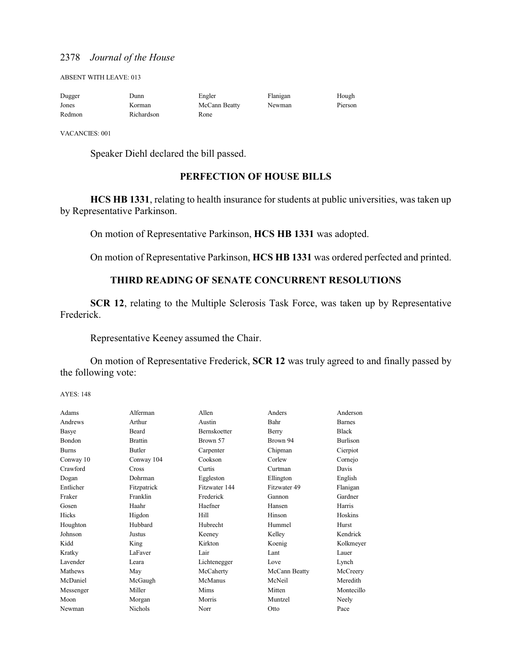ABSENT WITH LEAVE: 013

| Dugger | Junn       | Engler        | Flanigan | Hough   |
|--------|------------|---------------|----------|---------|
| Jones  | Korman     | McCann Beatty | Newman   | Pierson |
| Redmon | Richardson | Rone          |          |         |

VACANCIES: 001

Speaker Diehl declared the bill passed.

## **PERFECTION OF HOUSE BILLS**

**HCS HB 1331**, relating to health insurance for students at public universities, was taken up by Representative Parkinson.

On motion of Representative Parkinson, **HCS HB 1331** was adopted.

On motion of Representative Parkinson, **HCS HB 1331** was ordered perfected and printed.

## **THIRD READING OF SENATE CONCURRENT RESOLUTIONS**

**SCR 12**, relating to the Multiple Sclerosis Task Force, was taken up by Representative Frederick.

Representative Keeney assumed the Chair.

On motion of Representative Frederick, **SCR 12** was truly agreed to and finally passed by the following vote:

AYES: 148

| Adams         | Alferman       | Allen               | Anders        | Anderson        |
|---------------|----------------|---------------------|---------------|-----------------|
| Andrews       | Arthur         | Austin              | Bahr          | <b>Barnes</b>   |
| Basye         | Beard          | <b>Bernskoetter</b> | Berry         | <b>Black</b>    |
| <b>Bondon</b> | <b>Brattin</b> | Brown 57            | Brown 94      | <b>Burlison</b> |
| <b>Burns</b>  | <b>Butler</b>  | Carpenter           | Chipman       | Cierpiot        |
| Conway 10     | Conway 104     | Cookson             | Corlew        | Cornejo         |
| Crawford      | Cross          | Curtis              | Curtman       | Davis           |
| Dogan         | Dohrman        | Eggleston           | Ellington     | English         |
| Entlicher     | Fitzpatrick    | Fitzwater 144       | Fitzwater 49  | Flanigan        |
| Fraker        | Franklin       | Frederick           | Gannon        | Gardner         |
| Gosen         | Haahr          | Haefner             | Hansen        | Harris          |
| Hicks         | Higdon         | Hill                | Hinson        | Hoskins         |
| Houghton      | Hubbard        | Hubrecht            | Hummel        | Hurst           |
| Johnson       | Justus         | Keeney              | Kelley        | Kendrick        |
| Kidd          | King           | Kirkton             | Koenig        | Kolkmeyer       |
| Kratky        | LaFaver        | Lair                | Lant          | Lauer           |
| Lavender      | Leara          | Lichtenegger        | Love          | Lynch           |
| Mathews       | May            | McCaherty           | McCann Beatty | McCreery        |
| McDaniel      | McGaugh        | McManus             | McNeil        | Meredith        |
| Messenger     | Miller         | Mims                | Mitten        | Montecillo      |
| Moon          | Morgan         | Morris              | Muntzel       | Neely           |
| Newman        | <b>Nichols</b> | Norr                | Otto          | Pace            |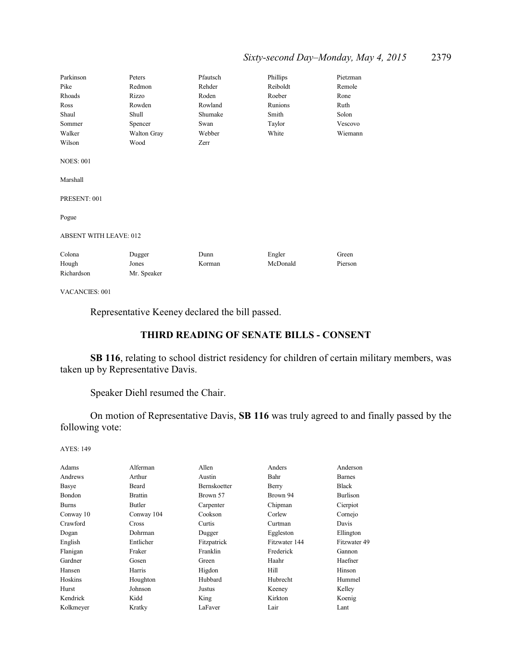## *Sixty-second Day–Monday, May 4, 2015* 2379

| Parkinson                                    | Peters      | Pfautsch | Phillips | Pietzman |
|----------------------------------------------|-------------|----------|----------|----------|
| Pike                                         | Redmon      | Rehder   | Reiboldt | Remole   |
| Rhoads                                       | Rizzo       | Roden    | Roeber   | Rone     |
| Ross                                         | Rowden      | Rowland  | Runions  | Ruth     |
| Shaul                                        | Shull       | Shumake  | Smith    | Solon    |
| Sommer                                       | Spencer     | Swan     | Taylor   | Vescovo  |
| Walker                                       | Walton Gray | Webber   | White    | Wiemann  |
| Wilson                                       | Wood        | Zerr     |          |          |
| <b>NOES: 001</b><br>Marshall<br>PRESENT: 001 |             |          |          |          |
| Pogue                                        |             |          |          |          |
| <b>ABSENT WITH LEAVE: 012</b>                |             |          |          |          |
| Colona                                       | Dugger      | Dunn     | Engler   | Green    |
| Hough                                        | Jones       | Korman   | McDonald | Pierson  |
| Richardson                                   | Mr. Speaker |          |          |          |

VACANCIES: 001

Representative Keeney declared the bill passed.

## **THIRD READING OF SENATE BILLS - CONSENT**

**SB 116**, relating to school district residency for children of certain military members, was taken up by Representative Davis.

Speaker Diehl resumed the Chair.

On motion of Representative Davis, **SB 116** was truly agreed to and finally passed by the following vote:

AYES: 149

| Adams        | Alferman       | Allen        | Anders        | Anderson      |
|--------------|----------------|--------------|---------------|---------------|
| Andrews      | Arthur         | Austin       | Bahr          | <b>Barnes</b> |
| Basye        | Beard          | Bernskoetter | Berry         | <b>Black</b>  |
| Bondon       | <b>Brattin</b> | Brown 57     | Brown 94      | Burlison      |
| <b>Burns</b> | Butler         | Carpenter    | Chipman       | Cierpiot      |
| Conway 10    | Conway 104     | Cookson      | Corlew        | Cornejo       |
| Crawford     | Cross          | Curtis       | Curtman       | Davis         |
| Dogan        | Dohrman        | Dugger       | Eggleston     | Ellington     |
| English      | Entlicher      | Fitzpatrick  | Fitzwater 144 | Fitzwater 49  |
| Flanigan     | Fraker         | Franklin     | Frederick     | Gannon        |
| Gardner      | Gosen          | Green        | Haahr         | Haefner       |
| Hansen       | Harris         | Higdon       | Hill          | Hinson        |
| Hoskins      | Houghton       | Hubbard      | Hubrecht      | Hummel        |
| Hurst        | Johnson        | Justus       | Keeney        | Kelley        |
| Kendrick     | Kidd           | King         | Kirkton       | Koenig        |
| Kolkmeyer    | Kratky         | LaFaver      | Lair          | Lant          |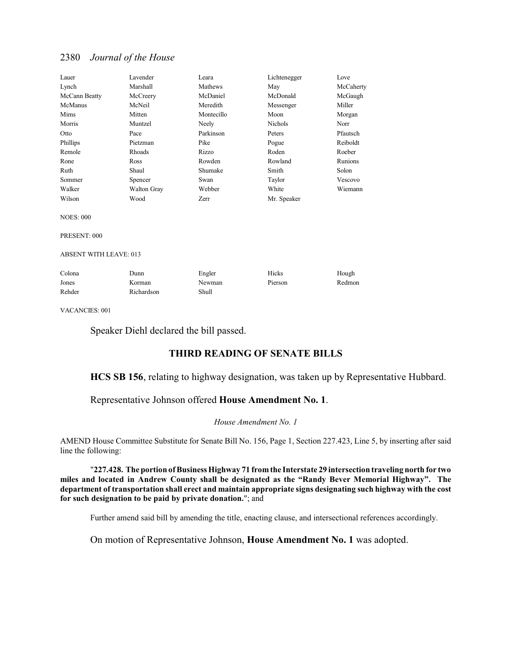| Lauer            | Lavender           | Leara      | Lichtenegger   | Love      |
|------------------|--------------------|------------|----------------|-----------|
| Lynch            | Marshall           | Mathews    | May            | McCaherty |
| McCann Beatty    | McCreery           | McDaniel   | McDonald       | McGaugh   |
| McManus          | McNeil             | Meredith   | Messenger      | Miller    |
| Mims             | Mitten             | Montecillo | Moon           | Morgan    |
| Morris           | Muntzel            | Neely      | <b>Nichols</b> | Norr      |
| Otto             | Pace               | Parkinson  | Peters         | Pfautsch  |
| Phillips         | Pietzman           | Pike       | Pogue          | Reiboldt  |
| Remole           | Rhoads             | Rizzo      | Roden          | Roeber    |
| Rone             | Ross               | Rowden     | Rowland        | Runions   |
| Ruth             | Shaul              | Shumake    | Smith          | Solon     |
| Sommer           | Spencer            | Swan       | Taylor         | Vescovo   |
| Walker           | <b>Walton Gray</b> | Webber     | White          | Wiemann   |
| Wilson           | Wood               | Zerr       | Mr. Speaker    |           |
| <b>NOES: 000</b> |                    |            |                |           |
| PRESENT: 000     |                    |            |                |           |

ABSENT WITH LEAVE: 013

| Colona | Dunn       | Engler | Hicks   | Hough  |
|--------|------------|--------|---------|--------|
| Jones  | Korman     | Newman | Pierson | Redmon |
| Rehder | Richardson | Shull  |         |        |

VACANCIES: 001

Speaker Diehl declared the bill passed.

## **THIRD READING OF SENATE BILLS**

### **HCS SB 156**, relating to highway designation, was taken up by Representative Hubbard.

## Representative Johnson offered **House Amendment No. 1**.

#### *House Amendment No. 1*

AMEND House Committee Substitute for Senate Bill No. 156, Page 1, Section 227.423, Line 5, by inserting after said line the following:

"**227.428. The portion of Business Highway 71 fromthe Interstate 29 intersection traveling north for two miles and located in Andrew County shall be designated as the "Randy Bever Memorial Highway". The department of transportation shall erect and maintain appropriate signs designating such highway with the cost for such designation to be paid by private donation.**"; and

Further amend said bill by amending the title, enacting clause, and intersectional references accordingly.

On motion of Representative Johnson, **House Amendment No. 1** was adopted.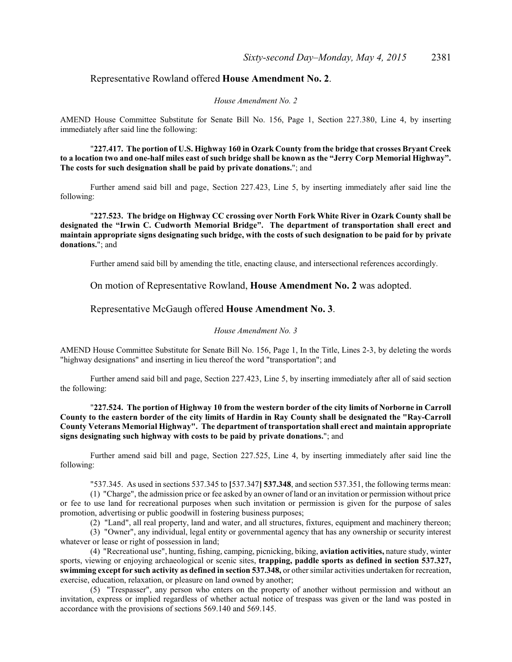### Representative Rowland offered **House Amendment No. 2**.

#### *House Amendment No. 2*

AMEND House Committee Substitute for Senate Bill No. 156, Page 1, Section 227.380, Line 4, by inserting immediately after said line the following:

"**227.417. The portion of U.S. Highway 160 in Ozark County from the bridge that crosses Bryant Creek to a location two and one-half miles east of such bridge shall be known as the "Jerry Corp Memorial Highway". The costs for such designation shall be paid by private donations.**"; and

Further amend said bill and page, Section 227.423, Line 5, by inserting immediately after said line the following:

"**227.523. The bridge on Highway CC crossing over North Fork White River in Ozark County shall be designated the "Irwin C. Cudworth Memorial Bridge". The department of transportation shall erect and maintain appropriate signs designating such bridge, with the costs of such designation to be paid for by private donations.**"; and

Further amend said bill by amending the title, enacting clause, and intersectional references accordingly.

On motion of Representative Rowland, **House Amendment No. 2** was adopted.

#### Representative McGaugh offered **House Amendment No. 3**.

#### *House Amendment No. 3*

AMEND House Committee Substitute for Senate Bill No. 156, Page 1, In the Title, Lines 2-3, by deleting the words "highway designations" and inserting in lieu thereof the word "transportation"; and

Further amend said bill and page, Section 227.423, Line 5, by inserting immediately after all of said section the following:

"**227.524. The portion of Highway 10 from the western border of the city limits of Norborne in Carroll County to the eastern border of the city limits of Hardin in Ray County shall be designated the "Ray-Carroll County Veterans Memorial Highway". The department of transportation shall erect and maintain appropriate signs designating such highway with costs to be paid by private donations.**"; and

Further amend said bill and page, Section 227.525, Line 4, by inserting immediately after said line the following:

"537.345. As used in sections 537.345 to **[**537.347**] 537.348**, and section 537.351, the following terms mean:

(1) "Charge", the admission price or fee asked by an owner of land or an invitation or permission without price or fee to use land for recreational purposes when such invitation or permission is given for the purpose of sales promotion, advertising or public goodwill in fostering business purposes;

(2) "Land", all real property, land and water, and all structures, fixtures, equipment and machinery thereon;

(3) "Owner", any individual, legal entity or governmental agency that has any ownership or security interest whatever or lease or right of possession in land;

(4) "Recreational use", hunting, fishing, camping, picnicking, biking, **aviation activities,** nature study, winter sports, viewing or enjoying archaeological or scenic sites, **trapping, paddle sports as defined in section 537.327, swimming except for such activity as defined in section 537.348,** or other similar activities undertaken for recreation, exercise, education, relaxation, or pleasure on land owned by another;

(5) "Trespasser", any person who enters on the property of another without permission and without an invitation, express or implied regardless of whether actual notice of trespass was given or the land was posted in accordance with the provisions of sections 569.140 and 569.145.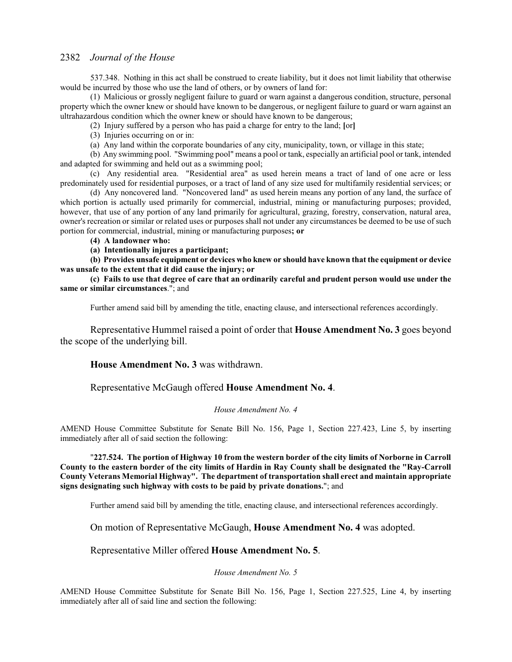537.348. Nothing in this act shall be construed to create liability, but it does not limit liability that otherwise would be incurred by those who use the land of others, or by owners of land for:

(1) Malicious or grossly negligent failure to guard or warn against a dangerous condition, structure, personal property which the owner knew or should have known to be dangerous, or negligent failure to guard or warn against an ultrahazardous condition which the owner knew or should have known to be dangerous;

(2) Injury suffered by a person who has paid a charge for entry to the land; **[**or**]**

(3) Injuries occurring on or in:

(a) Any land within the corporate boundaries of any city, municipality, town, or village in this state;

(b) Any swimming pool. "Swimming pool" means a pool or tank, especially an artificial pool or tank, intended and adapted for swimming and held out as a swimming pool;

(c) Any residential area. "Residential area" as used herein means a tract of land of one acre or less predominately used for residential purposes, or a tract of land of any size used for multifamily residential services; or

(d) Any noncovered land. "Noncovered land" as used herein means any portion of any land, the surface of which portion is actually used primarily for commercial, industrial, mining or manufacturing purposes; provided, however, that use of any portion of any land primarily for agricultural, grazing, forestry, conservation, natural area, owner's recreation or similar or related uses or purposes shall not under any circumstances be deemed to be use of such portion for commercial, industrial, mining or manufacturing purposes**; or**

**(4) A landowner who:**

**(a) Intentionally injures a participant;**

**(b) Provides unsafe equipment or devices who knew or should have known that the equipment or device was unsafe to the extent that it did cause the injury; or**

**(c) Fails to use that degree of care that an ordinarily careful and prudent person would use under the same or similar circumstances**."; and

Further amend said bill by amending the title, enacting clause, and intersectional references accordingly.

Representative Hummel raised a point of order that **House Amendment No. 3** goes beyond the scope of the underlying bill.

## **House Amendment No. 3** was withdrawn.

Representative McGaugh offered **House Amendment No. 4**.

#### *House Amendment No. 4*

AMEND House Committee Substitute for Senate Bill No. 156, Page 1, Section 227.423, Line 5, by inserting immediately after all of said section the following:

"**227.524. The portion of Highway 10 from the western border of the city limits of Norborne in Carroll County to the eastern border of the city limits of Hardin in Ray County shall be designated the "Ray-Carroll County Veterans Memorial Highway". The department of transportation shall erect and maintain appropriate signs designating such highway with costs to be paid by private donations.**"; and

Further amend said bill by amending the title, enacting clause, and intersectional references accordingly.

On motion of Representative McGaugh, **House Amendment No. 4** was adopted.

## Representative Miller offered **House Amendment No. 5**.

#### *House Amendment No. 5*

AMEND House Committee Substitute for Senate Bill No. 156, Page 1, Section 227.525, Line 4, by inserting immediately after all of said line and section the following: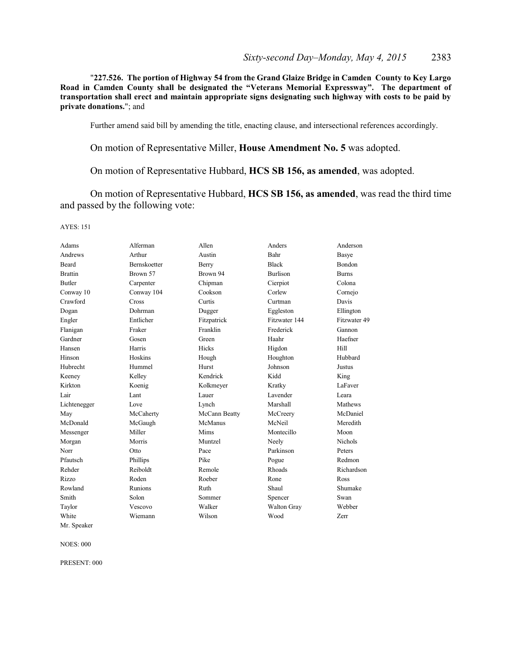"**227.526. The portion of Highway 54 from the Grand Glaize Bridge in Camden County to Key Largo Road in Camden County shall be designated the "Veterans Memorial Expressway". The department of transportation shall erect and maintain appropriate signs designating such highway with costs to be paid by private donations.**"; and

Further amend said bill by amending the title, enacting clause, and intersectional references accordingly.

On motion of Representative Miller, **House Amendment No. 5** was adopted.

On motion of Representative Hubbard, **HCS SB 156, as amended**, was adopted.

On motion of Representative Hubbard, **HCS SB 156, as amended**, was read the third time and passed by the following vote:

AYES: 151

| Adams          | Alferman            | Allen         | Anders          | Anderson       |
|----------------|---------------------|---------------|-----------------|----------------|
| Andrews        | Arthur              | Austin        | Bahr            | Basye          |
| Beard          | <b>Bernskoetter</b> | Berry         | <b>Black</b>    | <b>Bondon</b>  |
| <b>Brattin</b> | Brown 57            | Brown 94      | <b>Burlison</b> | <b>Burns</b>   |
| <b>Butler</b>  | Carpenter           | Chipman       | Cierpiot        | Colona         |
| Conway 10      | Conway 104          | Cookson       | Corlew          | Cornejo        |
| Crawford       | Cross               | Curtis        | Curtman         | Davis          |
| Dogan          | Dohrman             | Dugger        | Eggleston       | Ellington      |
| Engler         | Entlicher           | Fitzpatrick   | Fitzwater 144   | Fitzwater 49   |
| Flanigan       | Fraker              | Franklin      | Frederick       | Gannon         |
| Gardner        | Gosen               | Green         | Haahr           | Haefner        |
| Hansen         | Harris              | <b>Hicks</b>  | Higdon          | Hill           |
| Hinson         | Hoskins             | Hough         | Houghton        | Hubbard        |
| Hubrecht       | Hummel              | Hurst         | Johnson         | Justus         |
| Keeney         | Kelley              | Kendrick      | Kidd            | King           |
| Kirkton        | Koenig              | Kolkmeyer     | Kratky          | LaFaver        |
| Lair           | Lant                | Lauer         | Lavender        | Leara          |
| Lichtenegger   | Love                | Lynch         | Marshall        | Mathews        |
| May            | McCaherty           | McCann Beatty | McCreery        | McDaniel       |
| McDonald       | McGaugh             | McManus       | McNeil          | Meredith       |
| Messenger      | Miller              | Mims          | Montecillo      | Moon           |
| Morgan         | Morris              | Muntzel       | Neely           | <b>Nichols</b> |
| Norr           | Otto                | Pace          | Parkinson       | Peters         |
| Pfautsch       | Phillips            | Pike          | Pogue           | Redmon         |
| Rehder         | Reiboldt            | Remole        | Rhoads          | Richardson     |
| Rizzo          | Roden               | Roeber        | Rone            | Ross           |
| Rowland        | <b>Runions</b>      | Ruth          | Shaul           | Shumake        |
| Smith          | Solon               | Sommer        | Spencer         | Swan           |
| Taylor         | Vescovo             | Walker        | Walton Gray     | Webber         |
| White          | Wiemann             | Wilson        | Wood            | Zerr           |

NOES: 000

Mr. Speaker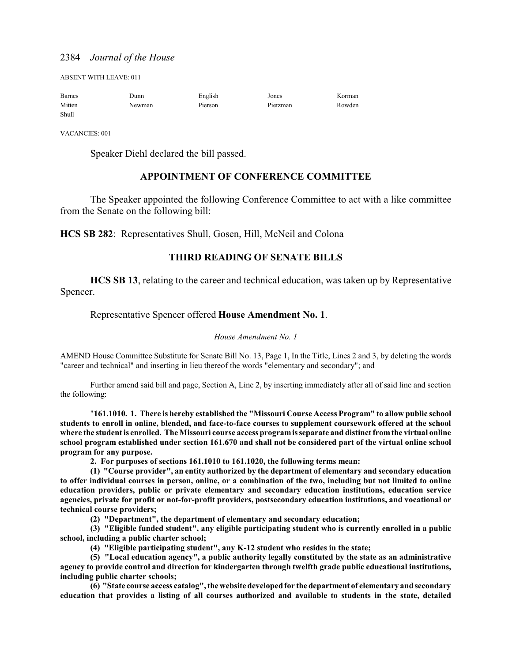ABSENT WITH LEAVE: 011

| <b>Barnes</b> | Junn   | English | Jones    | Korman |
|---------------|--------|---------|----------|--------|
| Mitten        | Newman | Pierson | Pietzman | Rowden |
| Shull         |        |         |          |        |

VACANCIES: 001

Speaker Diehl declared the bill passed.

## **APPOINTMENT OF CONFERENCE COMMITTEE**

The Speaker appointed the following Conference Committee to act with a like committee from the Senate on the following bill:

**HCS SB 282**: Representatives Shull, Gosen, Hill, McNeil and Colona

## **THIRD READING OF SENATE BILLS**

**HCS SB 13**, relating to the career and technical education, was taken up by Representative Spencer.

## Representative Spencer offered **House Amendment No. 1**.

#### *House Amendment No. 1*

AMEND House Committee Substitute for Senate Bill No. 13, Page 1, In the Title, Lines 2 and 3, by deleting the words "career and technical" and inserting in lieu thereof the words "elementary and secondary"; and

Further amend said bill and page, Section A, Line 2, by inserting immediately after all of said line and section the following:

"**161.1010. 1. There is hereby established the "Missouri Course Access Program" to allow public school students to enroll in online, blended, and face-to-face courses to supplement coursework offered at the school where the student is enrolled. The Missouri course access programis separate and distinct fromthe virtual online school program established under section 161.670 and shall not be considered part of the virtual online school program for any purpose.**

**2. For purposes of sections 161.1010 to 161.1020, the following terms mean:**

**(1) "Course provider", an entity authorized by the department of elementary and secondary education to offer individual courses in person, online, or a combination of the two, including but not limited to online education providers, public or private elementary and secondary education institutions, education service agencies, private for profit or not-for-profit providers, postsecondary education institutions, and vocational or technical course providers;**

**(2) "Department", the department of elementary and secondary education;**

**(3) "Eligible funded student", any eligible participating student who is currently enrolled in a public school, including a public charter school;**

**(4) "Eligible participating student", any K-12 student who resides in the state;**

**(5) "Local education agency", a public authority legally constituted by the state as an administrative agency to provide control and direction for kindergarten through twelfth grade public educational institutions, including public charter schools;**

**(6) "State course access catalog", the website developed for the department of elementary and secondary education that provides a listing of all courses authorized and available to students in the state, detailed**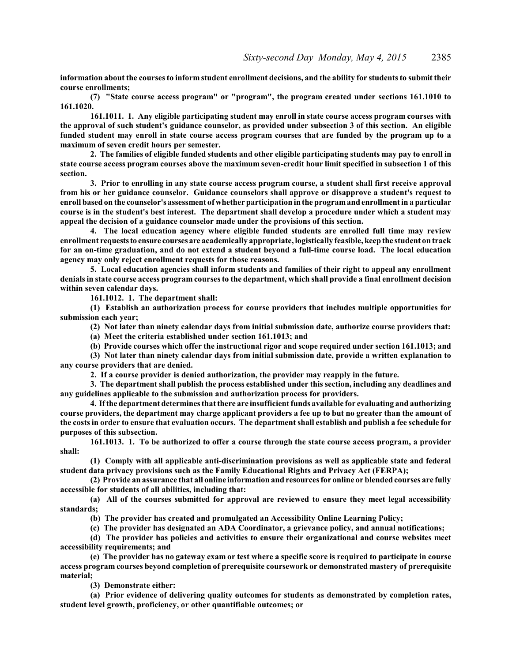**information about the courses to inform student enrollment decisions, and the ability for students to submit their course enrollments;**

**(7) "State course access program" or "program", the program created under sections 161.1010 to 161.1020.**

**161.1011. 1. Any eligible participating student may enroll in state course access program courses with the approval of such student's guidance counselor, as provided under subsection 3 of this section. An eligible funded student may enroll in state course access program courses that are funded by the program up to a maximum of seven credit hours per semester.**

**2. The families of eligible funded students and other eligible participating students may pay to enroll in state course access program courses above the maximum seven-credit hour limit specified in subsection 1 of this section.**

**3. Prior to enrolling in any state course access program course, a student shall first receive approval from his or her guidance counselor. Guidance counselors shall approve or disapprove a student's request to enroll based on the counselor's assessment of whether participation in the programand enrollment in a particular course is in the student's best interest. The department shall develop a procedure under which a student may appeal the decision of a guidance counselor made under the provisions of this section.**

**4. The local education agency where eligible funded students are enrolled full time may review enrollment requeststo ensure courses are academically appropriate, logistically feasible, keep the student on track for an on-time graduation, and do not extend a student beyond a full-time course load. The local education agency may only reject enrollment requests for those reasons.**

**5. Local education agencies shall inform students and families of their right to appeal any enrollment denials in state course access program courses to the department, which shall provide a final enrollment decision within seven calendar days.**

**161.1012. 1. The department shall:**

**(1) Establish an authorization process for course providers that includes multiple opportunities for submission each year;**

**(2) Not later than ninety calendar days from initial submission date, authorize course providers that:**

**(a) Meet the criteria established under section 161.1013; and**

**(b) Provide courses which offer the instructional rigor and scope required under section 161.1013; and**

**(3) Not later than ninety calendar days from initial submission date, provide a written explanation to any course providers that are denied.**

**2. If a course provider is denied authorization, the provider may reapply in the future.**

**3. The department shall publish the process established under this section, including any deadlines and any guidelines applicable to the submission and authorization process for providers.**

**4. If the department determines that there are insufficient funds available for evaluating and authorizing course providers, the department may charge applicant providers a fee up to but no greater than the amount of the costs in order to ensure that evaluation occurs. The department shall establish and publish a fee schedule for purposes of this subsection.**

**161.1013. 1. To be authorized to offer a course through the state course access program, a provider shall:**

**(1) Comply with all applicable anti-discrimination provisions as well as applicable state and federal student data privacy provisions such as the Family Educational Rights and Privacy Act (FERPA);**

**(2) Provide an assurance that all online information and resources for online or blended courses are fully accessible for students of all abilities, including that:**

**(a) All of the courses submitted for approval are reviewed to ensure they meet legal accessibility standards;**

**(b) The provider has created and promulgated an Accessibility Online Learning Policy;**

**(c) The provider has designated an ADA Coordinator, a grievance policy, and annual notifications;**

**(d) The provider has policies and activities to ensure their organizational and course websites meet accessibility requirements; and**

**(e) The provider has no gateway exam or test where a specific score is required to participate in course access program courses beyond completion of prerequisite coursework or demonstrated mastery of prerequisite material;**

**(3) Demonstrate either:**

**(a) Prior evidence of delivering quality outcomes for students as demonstrated by completion rates, student level growth, proficiency, or other quantifiable outcomes; or**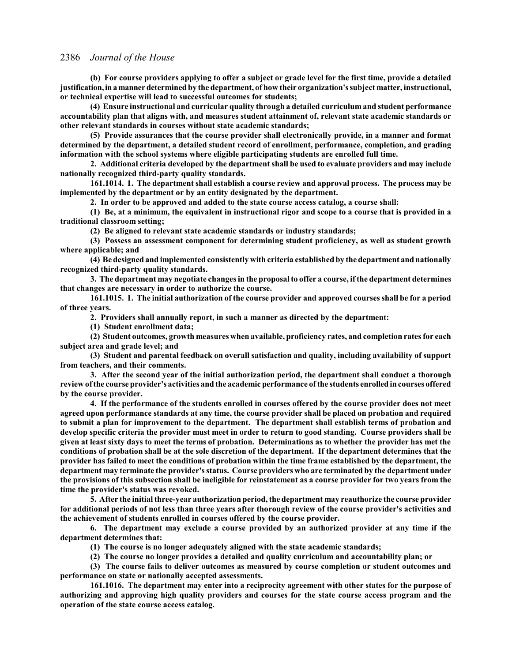**(b) For course providers applying to offer a subject or grade level for the first time, provide a detailed justification,inamannerdetermined by the department, of how their organization's subject matter, instructional, or technical expertise will lead to successful outcomes for students;**

**(4) Ensure instructional and curricular quality through a detailed curriculum and student performance accountability plan that aligns with, and measures student attainment of, relevant state academic standards or other relevant standards in courses without state academic standards;**

**(5) Provide assurances that the course provider shall electronically provide, in a manner and format determined by the department, a detailed student record of enrollment, performance, completion, and grading information with the school systems where eligible participating students are enrolled full time.**

**2. Additional criteria developed by the department shall be used to evaluate providers and may include nationally recognized third-party quality standards.**

**161.1014. 1. The department shall establish a course review and approval process. The process may be implemented by the department or by an entity designated by the department.**

**2. In order to be approved and added to the state course access catalog, a course shall:**

**(1) Be, at a minimum, the equivalent in instructional rigor and scope to a course that is provided in a traditional classroom setting;**

**(2) Be aligned to relevant state academic standards or industry standards;**

**(3) Possess an assessment component for determining student proficiency, as well as student growth where applicable; and**

**(4) Be designed and implemented consistently with criteria established by the department and nationally recognized third-party quality standards.**

**3. The department may negotiate changes in the proposal to offer a course, if the department determines that changes are necessary in order to authorize the course.**

**161.1015. 1. The initial authorization of the course provider and approved courses shall be for a period of three years.**

**2. Providers shall annually report, in such a manner as directed by the department:**

**(1) Student enrollment data;**

**(2) Student outcomes, growth measures when available, proficiency rates, and completion rates for each subject area and grade level; and**

**(3) Student and parental feedback on overall satisfaction and quality, including availability of support from teachers, and their comments.**

**3. After the second year of the initial authorization period, the department shall conduct a thorough review of the course provider's activities and the academic performance of the students enrolledin courses offered by the course provider.**

**4. If the performance of the students enrolled in courses offered by the course provider does not meet agreed upon performance standards at any time, the course provider shall be placed on probation and required to submit a plan for improvement to the department. The department shall establish terms of probation and develop specific criteria the provider must meet in order to return to good standing. Course providers shall be given at least sixty days to meet the terms of probation. Determinations as to whether the provider has met the conditions of probation shall be at the sole discretion of the department. If the department determines that the provider has failed to meet the conditions of probation within the time frame established by the department, the department may terminate the provider's status. Course providers who are terminated by the department under the provisions of this subsection shall be ineligible for reinstatement as a course provider for two years from the time the provider's status was revoked.**

**5. After the initial three-year authorization period, the department may reauthorize the course provider for additional periods of not less than three years after thorough review of the course provider's activities and the achievement of students enrolled in courses offered by the course provider.**

**6. The department may exclude a course provided by an authorized provider at any time if the department determines that:**

**(1) The course is no longer adequately aligned with the state academic standards;**

**(2) The course no longer provides a detailed and quality curriculum and accountability plan; or**

**(3) The course fails to deliver outcomes as measured by course completion or student outcomes and performance on state or nationally accepted assessments.**

**161.1016. The department may enter into a reciprocity agreement with other states for the purpose of authorizing and approving high quality providers and courses for the state course access program and the operation of the state course access catalog.**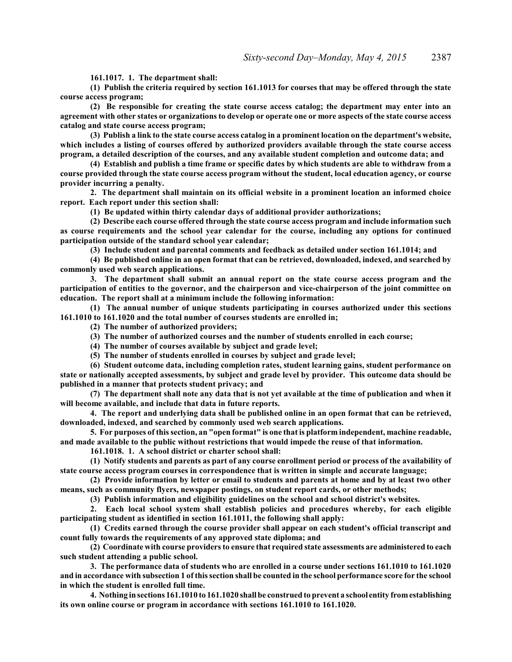**161.1017. 1. The department shall:**

**(1) Publish the criteria required by section 161.1013 for courses that may be offered through the state course access program;**

**(2) Be responsible for creating the state course access catalog; the department may enter into an agreement with other states or organizations to develop or operate one or more aspects of the state course access catalog and state course access program;**

**(3) Publish a link to the state course access catalog in a prominent location on the department's website, which includes a listing of courses offered by authorized providers available through the state course access program, a detailed description of the courses, and any available student completion and outcome data; and**

**(4) Establish and publish a time frame or specific dates by which students are able to withdraw from a course provided through the state course access program without the student, local education agency, or course provider incurring a penalty.**

**2. The department shall maintain on its official website in a prominent location an informed choice report. Each report under this section shall:**

**(1) Be updated within thirty calendar days of additional provider authorizations;**

**(2) Describe each course offered through the state course access program and include information such as course requirements and the school year calendar for the course, including any options for continued participation outside of the standard school year calendar;**

**(3) Include student and parental comments and feedback as detailed under section 161.1014; and**

**(4) Be published online in an open format that can be retrieved, downloaded, indexed, and searched by commonly used web search applications.**

**3. The department shall submit an annual report on the state course access program and the participation of entities to the governor, and the chairperson and vice-chairperson of the joint committee on education. The report shall at a minimum include the following information:**

**(1) The annual number of unique students participating in courses authorized under this sections 161.1010 to 161.1020 and the total number of courses students are enrolled in;**

**(2) The number of authorized providers;**

**(3) The number of authorized courses and the number of students enrolled in each course;**

**(4) The number of courses available by subject and grade level;**

**(5) The number of students enrolled in courses by subject and grade level;**

**(6) Student outcome data, including completion rates, student learning gains, student performance on state or nationally accepted assessments, by subject and grade level by provider. This outcome data should be published in a manner that protects student privacy; and**

**(7) The department shall note any data that is not yet available at the time of publication and when it will become available, and include that data in future reports.**

**4. The report and underlying data shall be published online in an open format that can be retrieved, downloaded, indexed, and searched by commonly used web search applications.**

**5. For purposes of this section, an "open format" is one that is platform independent, machine readable, and made available to the public without restrictions that would impede the reuse of that information.**

**161.1018. 1. A school district or charter school shall:**

**(1) Notify students and parents as part of any course enrollment period or process of the availability of state course access program courses in correspondence that is written in simple and accurate language;**

**(2) Provide information by letter or email to students and parents at home and by at least two other means, such as community flyers, newspaper postings, on student report cards, or other methods;**

**(3) Publish information and eligibility guidelines on the school and school district's websites.**

**2. Each local school system shall establish policies and procedures whereby, for each eligible participating student as identified in section 161.1011, the following shall apply:**

**(1) Credits earned through the course provider shall appear on each student's official transcript and count fully towards the requirements of any approved state diploma; and**

**(2) Coordinate with course providers to ensure that required state assessments are administered to each such student attending a public school.**

**3. The performance data of students who are enrolled in a course under sections 161.1010 to 161.1020 and in accordance with subsection 1 of this section shall be counted in the school performance score for the school in which the student is enrolled full time.**

**4. Nothing in sections 161.1010 to 161.1020 shall be construed to prevent a school entity fromestablishing its own online course or program in accordance with sections 161.1010 to 161.1020.**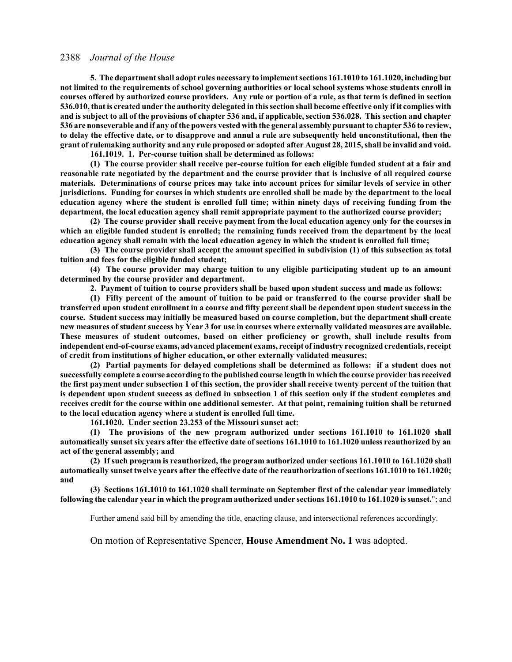**5. The department shall adopt rules necessary to implement sections 161.1010 to 161.1020, including but not limited to the requirements of school governing authorities or local school systems whose students enroll in courses offered by authorized course providers. Any rule or portion of a rule, as that term is defined in section 536.010, that is created under the authority delegated in this section shall become effective only if it complies with and is subject to all of the provisions of chapter 536 and, if applicable, section 536.028. This section and chapter 536 are nonseverable and if any of the powers vested with the general assembly pursuant to chapter 536 to review, to delay the effective date, or to disapprove and annul a rule are subsequently held unconstitutional, then the grant of rulemaking authority and any rule proposed or adopted after August 28, 2015, shall be invalid and void.**

**161.1019. 1. Per-course tuition shall be determined as follows:**

**(1) The course provider shall receive per-course tuition for each eligible funded student at a fair and reasonable rate negotiated by the department and the course provider that is inclusive of all required course materials. Determinations of course prices may take into account prices for similar levels of service in other jurisdictions. Funding for courses in which students are enrolled shall be made by the department to the local education agency where the student is enrolled full time; within ninety days of receiving funding from the department, the local education agency shall remit appropriate payment to the authorized course provider;**

**(2) The course provider shall receive payment from the local education agency only for the courses in which an eligible funded student is enrolled; the remaining funds received from the department by the local education agency shall remain with the local education agency in which the student is enrolled full time;**

**(3) The course provider shall accept the amount specified in subdivision (1) of this subsection as total tuition and fees for the eligible funded student;**

**(4) The course provider may charge tuition to any eligible participating student up to an amount determined by the course provider and department.**

**2. Payment of tuition to course providers shall be based upon student success and made as follows:**

**(1) Fifty percent of the amount of tuition to be paid or transferred to the course provider shall be transferred upon student enrollment in a course and fifty percent shall be dependent upon student success in the course. Student success may initially be measured based on course completion, but the department shall create new measures of student success by Year 3 for use in courses where externally validated measures are available. These measures of student outcomes, based on either proficiency or growth, shall include results from independent end-of-course exams, advanced placement exams, receipt of industry recognized credentials, receipt of credit from institutions of higher education, or other externally validated measures;**

**(2) Partial payments for delayed completions shall be determined as follows: if a student does not successfully complete a course according to the published course length in which the course provider has received the first payment under subsection 1 of this section, the provider shall receive twenty percent of the tuition that is dependent upon student success as defined in subsection 1 of this section only if the student completes and receives credit for the course within one additional semester. At that point, remaining tuition shall be returned to the local education agency where a student is enrolled full time.**

**161.1020. Under section 23.253 of the Missouri sunset act:**

**(1) The provisions of the new program authorized under sections 161.1010 to 161.1020 shall automatically sunset six years after the effective date of sections 161.1010 to 161.1020 unless reauthorized by an act of the general assembly; and**

**(2) If such program is reauthorized, the program authorized under sections 161.1010 to 161.1020 shall automatically sunset twelve years after the effective date of the reauthorization of sections 161.1010 to 161.1020; and**

**(3) Sections 161.1010 to 161.1020 shall terminate on September first of the calendar year immediately following the calendar year in which the program authorized under sections 161.1010 to 161.1020 is sunset.**"; and

Further amend said bill by amending the title, enacting clause, and intersectional references accordingly.

On motion of Representative Spencer, **House Amendment No. 1** was adopted.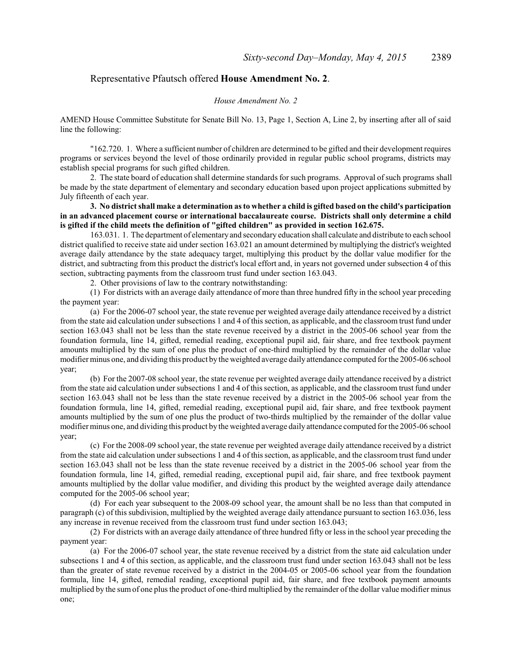## Representative Pfautsch offered **House Amendment No. 2**.

#### *House Amendment No. 2*

AMEND House Committee Substitute for Senate Bill No. 13, Page 1, Section A, Line 2, by inserting after all of said line the following:

"162.720. 1. Where a sufficient number of children are determined to be gifted and their development requires programs or services beyond the level of those ordinarily provided in regular public school programs, districts may establish special programs for such gifted children.

2. The state board of education shall determine standards for such programs. Approval of such programs shall be made by the state department of elementary and secondary education based upon project applications submitted by July fifteenth of each year.

**3. No district shall make a determination as to whether a child is gifted based on the child's participation in an advanced placement course or international baccalaureate course. Districts shall only determine a child is gifted if the child meets the definition of "gifted children" as provided in section 162.675.**

163.031. 1. The department of elementary and secondary education shall calculate and distribute to each school district qualified to receive state aid under section 163.021 an amount determined by multiplying the district's weighted average daily attendance by the state adequacy target, multiplying this product by the dollar value modifier for the district, and subtracting from this product the district's local effort and, in years not governed under subsection 4 of this section, subtracting payments from the classroom trust fund under section 163.043.

2. Other provisions of law to the contrary notwithstanding:

(1) For districts with an average daily attendance of more than three hundred fifty in the school year preceding the payment year:

(a) For the 2006-07 school year, the state revenue per weighted average daily attendance received by a district from the state aid calculation under subsections 1 and 4 of this section, as applicable, and the classroom trust fund under section 163.043 shall not be less than the state revenue received by a district in the 2005-06 school year from the foundation formula, line 14, gifted, remedial reading, exceptional pupil aid, fair share, and free textbook payment amounts multiplied by the sum of one plus the product of one-third multiplied by the remainder of the dollar value modifier minus one, and dividing this product by the weighted average daily attendance computed for the 2005-06 school year;

(b) For the 2007-08 school year, the state revenue per weighted average daily attendance received by a district from the state aid calculation under subsections 1 and 4 of this section, as applicable, and the classroom trust fund under section 163.043 shall not be less than the state revenue received by a district in the 2005-06 school year from the foundation formula, line 14, gifted, remedial reading, exceptional pupil aid, fair share, and free textbook payment amounts multiplied by the sum of one plus the product of two-thirds multiplied by the remainder of the dollar value modifier minus one, and dividing this product by the weighted average daily attendance computed for the 2005-06 school year;

(c) For the 2008-09 school year, the state revenue per weighted average daily attendance received by a district from the state aid calculation under subsections 1 and 4 of this section, as applicable, and the classroom trust fund under section 163.043 shall not be less than the state revenue received by a district in the 2005-06 school year from the foundation formula, line 14, gifted, remedial reading, exceptional pupil aid, fair share, and free textbook payment amounts multiplied by the dollar value modifier, and dividing this product by the weighted average daily attendance computed for the 2005-06 school year;

(d) For each year subsequent to the 2008-09 school year, the amount shall be no less than that computed in paragraph (c) of this subdivision, multiplied by the weighted average daily attendance pursuant to section 163.036, less any increase in revenue received from the classroom trust fund under section 163.043;

(2) For districts with an average daily attendance of three hundred fifty or less in the school year preceding the payment year:

(a) For the 2006-07 school year, the state revenue received by a district from the state aid calculation under subsections 1 and 4 of this section, as applicable, and the classroom trust fund under section 163.043 shall not be less than the greater of state revenue received by a district in the 2004-05 or 2005-06 school year from the foundation formula, line 14, gifted, remedial reading, exceptional pupil aid, fair share, and free textbook payment amounts multiplied by the sumof one plus the product of one-third multiplied by the remainder of the dollar value modifier minus one;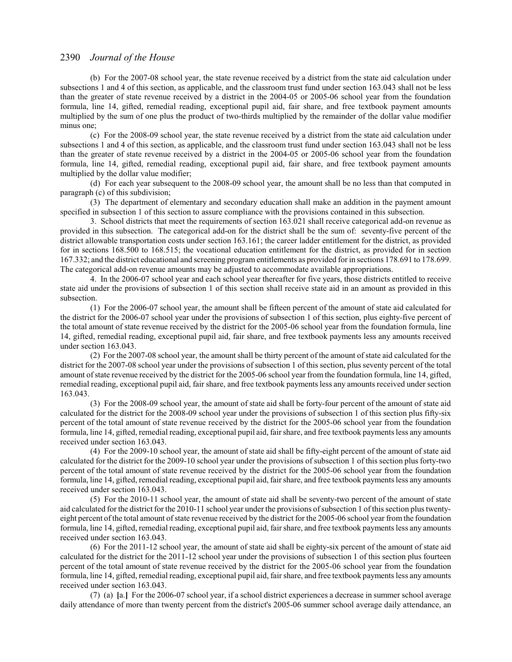(b) For the 2007-08 school year, the state revenue received by a district from the state aid calculation under subsections 1 and 4 of this section, as applicable, and the classroom trust fund under section 163.043 shall not be less than the greater of state revenue received by a district in the 2004-05 or 2005-06 school year from the foundation formula, line 14, gifted, remedial reading, exceptional pupil aid, fair share, and free textbook payment amounts multiplied by the sum of one plus the product of two-thirds multiplied by the remainder of the dollar value modifier minus one;

(c) For the 2008-09 school year, the state revenue received by a district from the state aid calculation under subsections 1 and 4 of this section, as applicable, and the classroom trust fund under section 163.043 shall not be less than the greater of state revenue received by a district in the 2004-05 or 2005-06 school year from the foundation formula, line 14, gifted, remedial reading, exceptional pupil aid, fair share, and free textbook payment amounts multiplied by the dollar value modifier;

(d) For each year subsequent to the 2008-09 school year, the amount shall be no less than that computed in paragraph (c) of this subdivision;

(3) The department of elementary and secondary education shall make an addition in the payment amount specified in subsection 1 of this section to assure compliance with the provisions contained in this subsection.

3. School districts that meet the requirements of section 163.021 shall receive categorical add-on revenue as provided in this subsection. The categorical add-on for the district shall be the sum of: seventy-five percent of the district allowable transportation costs under section 163.161; the career ladder entitlement for the district, as provided for in sections 168.500 to 168.515; the vocational education entitlement for the district, as provided for in section 167.332; and the district educational and screening program entitlements as provided for in sections 178.691 to 178.699. The categorical add-on revenue amounts may be adjusted to accommodate available appropriations.

4. In the 2006-07 school year and each school year thereafter for five years, those districts entitled to receive state aid under the provisions of subsection 1 of this section shall receive state aid in an amount as provided in this subsection.

(1) For the 2006-07 school year, the amount shall be fifteen percent of the amount of state aid calculated for the district for the 2006-07 school year under the provisions of subsection 1 of this section, plus eighty-five percent of the total amount of state revenue received by the district for the 2005-06 school year from the foundation formula, line 14, gifted, remedial reading, exceptional pupil aid, fair share, and free textbook payments less any amounts received under section 163.043.

(2) For the 2007-08 school year, the amount shall be thirty percent of the amount ofstate aid calculated for the district for the 2007-08 school year under the provisions of subsection 1 of this section, plus seventy percent of the total amount ofstate revenue received by the district for the 2005-06 school year from the foundation formula, line 14, gifted, remedial reading, exceptional pupil aid, fair share, and free textbook payments less any amounts received under section 163.043.

(3) For the 2008-09 school year, the amount of state aid shall be forty-four percent of the amount of state aid calculated for the district for the 2008-09 school year under the provisions of subsection 1 of this section plus fifty-six percent of the total amount of state revenue received by the district for the 2005-06 school year from the foundation formula, line 14, gifted, remedial reading, exceptional pupil aid, fair share, and free textbook payments less any amounts received under section 163.043.

(4) For the 2009-10 school year, the amount of state aid shall be fifty-eight percent of the amount of state aid calculated for the district for the 2009-10 school year under the provisions of subsection 1 of this section plus forty-two percent of the total amount of state revenue received by the district for the 2005-06 school year from the foundation formula, line 14, gifted, remedial reading, exceptional pupil aid, fair share, and free textbook payments less any amounts received under section 163.043.

(5) For the 2010-11 school year, the amount of state aid shall be seventy-two percent of the amount of state aid calculated for the district for the 2010-11 school year under the provisions ofsubsection 1 of this section plus twentyeight percent of the total amount of state revenue received by the district for the 2005-06 school year from the foundation formula, line 14, gifted, remedial reading, exceptional pupil aid, fair share, and free textbook payments less any amounts received under section 163.043.

(6) For the 2011-12 school year, the amount of state aid shall be eighty-six percent of the amount of state aid calculated for the district for the 2011-12 school year under the provisions of subsection 1 of this section plus fourteen percent of the total amount of state revenue received by the district for the 2005-06 school year from the foundation formula, line 14, gifted, remedial reading, exceptional pupil aid, fair share, and free textbook payments less any amounts received under section 163.043.

(7) (a) **[**a.**]** For the 2006-07 school year, if a school district experiences a decrease in summer school average daily attendance of more than twenty percent from the district's 2005-06 summer school average daily attendance, an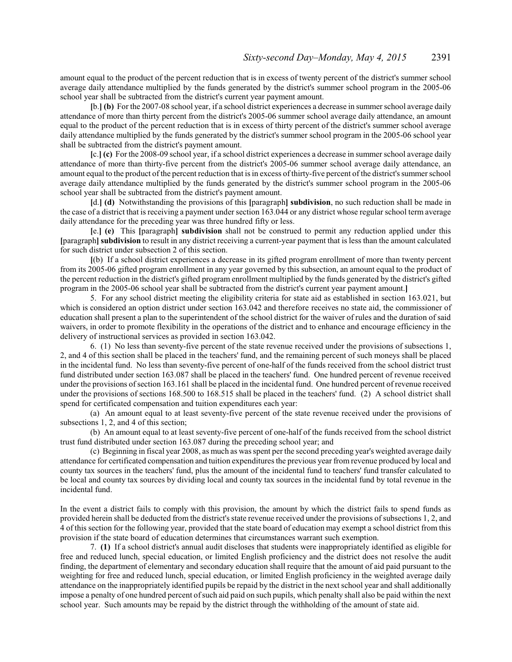amount equal to the product of the percent reduction that is in excess of twenty percent of the district's summer school average daily attendance multiplied by the funds generated by the district's summer school program in the 2005-06 school year shall be subtracted from the district's current year payment amount.

**[**b.**] (b)** For the 2007-08 school year, if a school district experiences a decrease in summer school average daily attendance of more than thirty percent from the district's 2005-06 summer school average daily attendance, an amount equal to the product of the percent reduction that is in excess of thirty percent of the district's summer school average daily attendance multiplied by the funds generated by the district's summer school program in the 2005-06 school year shall be subtracted from the district's payment amount.

**[**c.**] (c)** For the 2008-09 school year, if a school district experiences a decrease in summer school average daily attendance of more than thirty-five percent from the district's 2005-06 summer school average daily attendance, an amount equal to the product ofthe percent reduction that is in excess of thirty-five percent of the district's summer school average daily attendance multiplied by the funds generated by the district's summer school program in the 2005-06 school year shall be subtracted from the district's payment amount.

**[**d.**] (d)** Notwithstanding the provisions of this **[**paragraph**] subdivision**, no such reduction shall be made in the case of a district that is receiving a payment under section 163.044 or any district whose regular school term average daily attendance for the preceding year was three hundred fifty or less.

**[**e.**] (e)** This **[**paragraph**] subdivision** shall not be construed to permit any reduction applied under this **[**paragraph**] subdivision** to result in any district receiving a current-year payment that is less than the amount calculated for such district under subsection 2 of this section.

**[**(b) If a school district experiences a decrease in its gifted program enrollment of more than twenty percent from its 2005-06 gifted program enrollment in any year governed by this subsection, an amount equal to the product of the percent reduction in the district's gifted program enrollment multiplied by the funds generated by the district's gifted program in the 2005-06 school year shall be subtracted from the district's current year payment amount.**]**

5. For any school district meeting the eligibility criteria for state aid as established in section 163.021, but which is considered an option district under section 163.042 and therefore receives no state aid, the commissioner of education shall present a plan to the superintendent of the school district for the waiver of rules and the duration of said waivers, in order to promote flexibility in the operations of the district and to enhance and encourage efficiency in the delivery of instructional services as provided in section 163.042.

6. (1) No less than seventy-five percent of the state revenue received under the provisions of subsections 1, 2, and 4 of this section shall be placed in the teachers' fund, and the remaining percent of such moneys shall be placed in the incidental fund. No less than seventy-five percent of one-half of the funds received from the school district trust fund distributed under section 163.087 shall be placed in the teachers' fund. One hundred percent of revenue received under the provisions ofsection 163.161 shall be placed in the incidental fund. One hundred percent of revenue received under the provisions of sections 168.500 to 168.515 shall be placed in the teachers' fund. (2) A school district shall spend for certificated compensation and tuition expenditures each year:

(a) An amount equal to at least seventy-five percent of the state revenue received under the provisions of subsections 1, 2, and 4 of this section;

(b) An amount equal to at least seventy-five percent of one-half of the funds received from the school district trust fund distributed under section 163.087 during the preceding school year; and

(c) Beginning in fiscal year 2008, as much as was spent per the second preceding year's weighted average daily attendance for certificated compensation and tuition expenditures the previous year from revenue produced by local and county tax sources in the teachers' fund, plus the amount of the incidental fund to teachers' fund transfer calculated to be local and county tax sources by dividing local and county tax sources in the incidental fund by total revenue in the incidental fund.

In the event a district fails to comply with this provision, the amount by which the district fails to spend funds as provided herein shall be deducted from the district's state revenue received under the provisions of subsections 1, 2, and 4 of this section for the following year, provided that the state board of education may exempt a school district from this provision if the state board of education determines that circumstances warrant such exemption.

7. **(1)** If a school district's annual audit discloses that students were inappropriately identified as eligible for free and reduced lunch, special education, or limited English proficiency and the district does not resolve the audit finding, the department of elementary and secondary education shall require that the amount of aid paid pursuant to the weighting for free and reduced lunch, special education, or limited English proficiency in the weighted average daily attendance on the inappropriately identified pupils be repaid by the district in the next school year and shall additionally impose a penalty of one hundred percent ofsuch aid paid on such pupils, which penalty shall also be paid within the next school year. Such amounts may be repaid by the district through the withholding of the amount of state aid.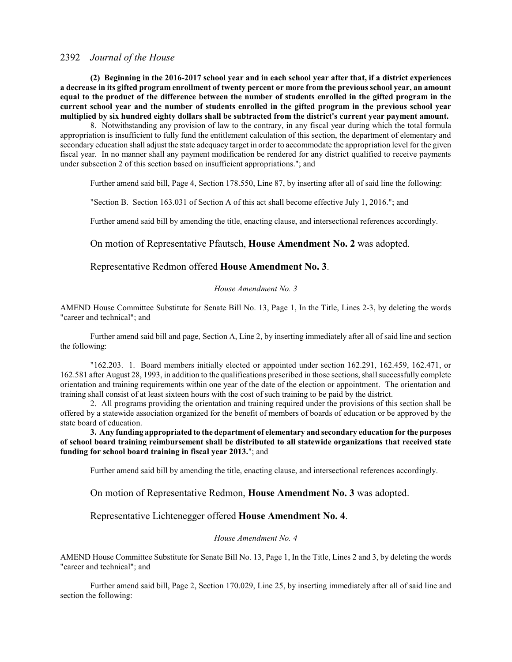**(2) Beginning in the 2016-2017 school year and in each school year after that, if a district experiences a decrease in its gifted program enrollment of twenty percent or more from the previous school year, an amount equal to the product of the difference between the number of students enrolled in the gifted program in the current school year and the number of students enrolled in the gifted program in the previous school year multiplied by six hundred eighty dollars shall be subtracted from the district's current year payment amount.**

8. Notwithstanding any provision of law to the contrary, in any fiscal year during which the total formula appropriation is insufficient to fully fund the entitlement calculation of this section, the department of elementary and secondary education shall adjust the state adequacy target in order to accommodate the appropriation level for the given fiscal year. In no manner shall any payment modification be rendered for any district qualified to receive payments under subsection 2 of this section based on insufficient appropriations."; and

Further amend said bill, Page 4, Section 178.550, Line 87, by inserting after all of said line the following:

"Section B. Section 163.031 of Section A of this act shall become effective July 1, 2016."; and

Further amend said bill by amending the title, enacting clause, and intersectional references accordingly.

On motion of Representative Pfautsch, **House Amendment No. 2** was adopted.

### Representative Redmon offered **House Amendment No. 3**.

#### *House Amendment No. 3*

AMEND House Committee Substitute for Senate Bill No. 13, Page 1, In the Title, Lines 2-3, by deleting the words "career and technical"; and

Further amend said bill and page, Section A, Line 2, by inserting immediately after all of said line and section the following:

"162.203. 1. Board members initially elected or appointed under section 162.291, 162.459, 162.471, or 162.581 after August 28, 1993, in addition to the qualifications prescribed in those sections, shall successfully complete orientation and training requirements within one year of the date of the election or appointment. The orientation and training shall consist of at least sixteen hours with the cost of such training to be paid by the district.

2. All programs providing the orientation and training required under the provisions of this section shall be offered by a statewide association organized for the benefit of members of boards of education or be approved by the state board of education.

**3. Any funding appropriated to the department of elementary and secondary education for the purposes of school board training reimbursement shall be distributed to all statewide organizations that received state funding for school board training in fiscal year 2013.**"; and

Further amend said bill by amending the title, enacting clause, and intersectional references accordingly.

On motion of Representative Redmon, **House Amendment No. 3** was adopted.

#### Representative Lichtenegger offered **House Amendment No. 4**.

#### *House Amendment No. 4*

AMEND House Committee Substitute for Senate Bill No. 13, Page 1, In the Title, Lines 2 and 3, by deleting the words "career and technical"; and

Further amend said bill, Page 2, Section 170.029, Line 25, by inserting immediately after all of said line and section the following: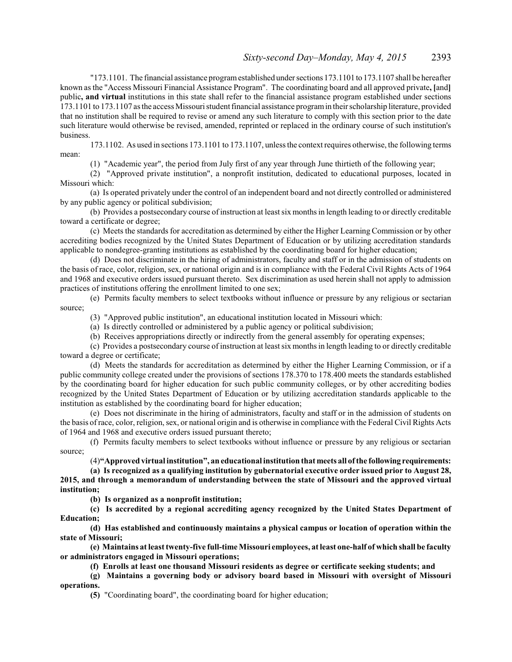"173.1101. The financial assistance programestablished under sections 173.1101 to 173.1107 shall be hereafter known as the "Access Missouri Financial Assistance Program". The coordinating board and all approved private**, [**and**]** public**, and virtual** institutions in this state shall refer to the financial assistance program established under sections 173.1101 to 173.1107 as the access Missouri student financial assistance programin their scholarship literature, provided that no institution shall be required to revise or amend any such literature to comply with this section prior to the date such literature would otherwise be revised, amended, reprinted or replaced in the ordinary course of such institution's business.

173.1102. As used in sections 173.1101 to 173.1107, unless the context requires otherwise, the following terms mean:

(1) "Academic year", the period from July first of any year through June thirtieth of the following year;

(2) "Approved private institution", a nonprofit institution, dedicated to educational purposes, located in Missouri which:

(a) Is operated privately under the control of an independent board and not directly controlled or administered by any public agency or political subdivision;

(b) Provides a postsecondary course of instruction at least six monthsin length leading to or directly creditable toward a certificate or degree;

(c) Meets the standards for accreditation as determined by either the Higher Learning Commission or by other accrediting bodies recognized by the United States Department of Education or by utilizing accreditation standards applicable to nondegree-granting institutions as established by the coordinating board for higher education;

(d) Does not discriminate in the hiring of administrators, faculty and staff or in the admission of students on the basis of race, color, religion, sex, or national origin and is in compliance with the Federal Civil Rights Acts of 1964 and 1968 and executive orders issued pursuant thereto. Sex discrimination as used herein shall not apply to admission practices of institutions offering the enrollment limited to one sex;

(e) Permits faculty members to select textbooks without influence or pressure by any religious or sectarian source;

(3) "Approved public institution", an educational institution located in Missouri which:

(a) Is directly controlled or administered by a public agency or political subdivision;

(b) Receives appropriations directly or indirectly from the general assembly for operating expenses;

(c) Provides a postsecondary course of instruction at least six monthsin length leading to or directly creditable toward a degree or certificate;

(d) Meets the standards for accreditation as determined by either the Higher Learning Commission, or if a public community college created under the provisions of sections 178.370 to 178.400 meets the standards established by the coordinating board for higher education for such public community colleges, or by other accrediting bodies recognized by the United States Department of Education or by utilizing accreditation standards applicable to the institution as established by the coordinating board for higher education;

(e) Does not discriminate in the hiring of administrators, faculty and staff or in the admission of students on the basis ofrace, color, religion, sex, or national origin and is otherwise in compliance with the Federal Civil Rights Acts of 1964 and 1968 and executive orders issued pursuant thereto;

(f) Permits faculty members to select textbooks without influence or pressure by any religious or sectarian source;

(4)**"Approved virtual institution", aneducational institution that meets all of the following requirements:**

**(a) Is recognized as a qualifying institution by gubernatorial executive order issued prior to August 28, 2015, and through a memorandum of understanding between the state of Missouri and the approved virtual institution;**

**(b) Is organized as a nonprofit institution;**

**(c) Is accredited by a regional accrediting agency recognized by the United States Department of Education;**

**(d) Has established and continuously maintains a physical campus or location of operation within the state of Missouri;**

**(e) Maintains at least twenty-five full-time Missouri employees, at least one-half of which shall be faculty or administrators engaged in Missouri operations;**

**(f) Enrolls at least one thousand Missouri residents as degree or certificate seeking students; and**

**(g) Maintains a governing body or advisory board based in Missouri with oversight of Missouri operations.**

**(5)** "Coordinating board", the coordinating board for higher education;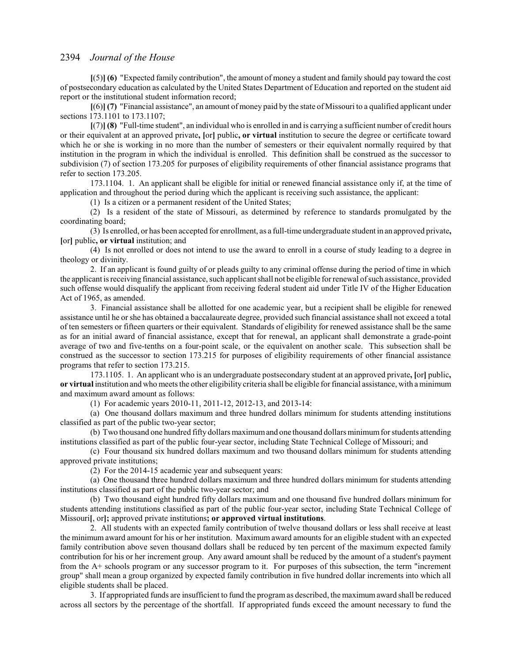**[**(5)**] (6)** "Expected family contribution", the amount of money a student and family should pay toward the cost of postsecondary education as calculated by the United States Department of Education and reported on the student aid report or the institutional student information record;

**[**(6)**] (7)** "Financial assistance", an amount of money paid by the state of Missouri to a qualified applicant under sections 173.1101 to 173.1107;

**[**(7)**] (8)** "Full-time student", an individual who is enrolled in and is carrying a sufficient number of credit hours or their equivalent at an approved private**, [**or**]** public**, or virtual** institution to secure the degree or certificate toward which he or she is working in no more than the number of semesters or their equivalent normally required by that institution in the program in which the individual is enrolled. This definition shall be construed as the successor to subdivision (7) of section 173.205 for purposes of eligibility requirements of other financial assistance programs that refer to section 173.205.

173.1104. 1. An applicant shall be eligible for initial or renewed financial assistance only if, at the time of application and throughout the period during which the applicant is receiving such assistance, the applicant:

(1) Is a citizen or a permanent resident of the United States;

(2) Is a resident of the state of Missouri, as determined by reference to standards promulgated by the coordinating board;

(3) Is enrolled, or has been accepted for enrollment, as a full-time undergraduate student in an approved private**, [**or**]** public**, or virtual** institution; and

(4) Is not enrolled or does not intend to use the award to enroll in a course of study leading to a degree in theology or divinity.

2. If an applicant is found guilty of or pleads guilty to any criminal offense during the period of time in which the applicant is receiving financial assistance, such applicant shall not be eligible for renewal ofsuch assistance, provided such offense would disqualify the applicant from receiving federal student aid under Title IV of the Higher Education Act of 1965, as amended.

3. Financial assistance shall be allotted for one academic year, but a recipient shall be eligible for renewed assistance until he or she has obtained a baccalaureate degree, provided such financial assistance shall not exceed a total of ten semesters or fifteen quarters or their equivalent. Standards of eligibility for renewed assistance shall be the same as for an initial award of financial assistance, except that for renewal, an applicant shall demonstrate a grade-point average of two and five-tenths on a four-point scale, or the equivalent on another scale. This subsection shall be construed as the successor to section 173.215 for purposes of eligibility requirements of other financial assistance programs that refer to section 173.215.

173.1105. 1. An applicant who is an undergraduate postsecondary student at an approved private**, [**or**]** public**, or virtual** institution and who meets the other eligibility criteria shall be eligible for financial assistance, with a minimum and maximum award amount as follows:

(1) For academic years 2010-11, 2011-12, 2012-13, and 2013-14:

(a) One thousand dollars maximum and three hundred dollars minimum for students attending institutions classified as part of the public two-year sector;

(b) Two thousand one hundred fifty dollars maximumand one thousand dollars minimumfor students attending institutions classified as part of the public four-year sector, including State Technical College of Missouri; and

(c) Four thousand six hundred dollars maximum and two thousand dollars minimum for students attending approved private institutions;

(2) For the 2014-15 academic year and subsequent years:

(a) One thousand three hundred dollars maximum and three hundred dollars minimum for students attending institutions classified as part of the public two-year sector; and

(b) Two thousand eight hundred fifty dollars maximum and one thousand five hundred dollars minimum for students attending institutions classified as part of the public four-year sector, including State Technical College of Missouri**[**, or**];** approved private institutions**; or approved virtual institutions**.

2. All students with an expected family contribution of twelve thousand dollars or less shall receive at least the minimum award amount for his or her institution. Maximum award amounts for an eligible student with an expected family contribution above seven thousand dollars shall be reduced by ten percent of the maximum expected family contribution for his or her increment group. Any award amount shall be reduced by the amount of a student's payment from the A+ schools program or any successor program to it. For purposes of this subsection, the term "increment group" shall mean a group organized by expected family contribution in five hundred dollar increments into which all eligible students shall be placed.

3. If appropriated funds are insufficient to fund the program as described, the maximumaward shall be reduced across all sectors by the percentage of the shortfall. If appropriated funds exceed the amount necessary to fund the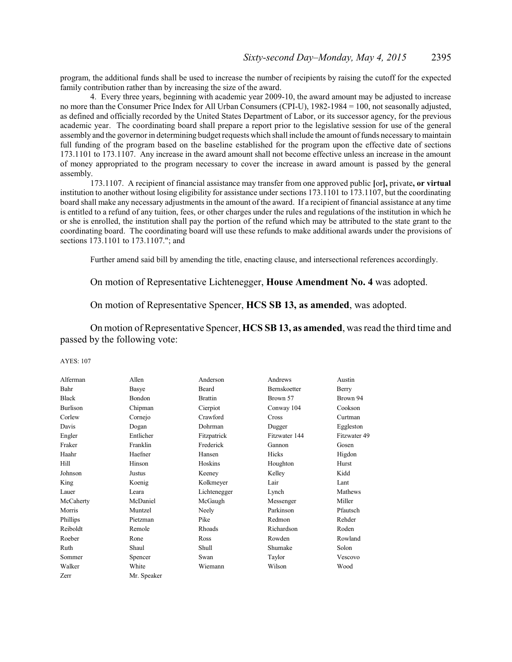program, the additional funds shall be used to increase the number of recipients by raising the cutoff for the expected family contribution rather than by increasing the size of the award.

4. Every three years, beginning with academic year 2009-10, the award amount may be adjusted to increase no more than the Consumer Price Index for All Urban Consumers (CPI-U), 1982-1984 = 100, not seasonally adjusted, as defined and officially recorded by the United States Department of Labor, or its successor agency, for the previous academic year. The coordinating board shall prepare a report prior to the legislative session for use of the general assembly and the governor in determining budget requests which shall include the amount offunds necessary to maintain full funding of the program based on the baseline established for the program upon the effective date of sections 173.1101 to 173.1107. Any increase in the award amount shall not become effective unless an increase in the amount of money appropriated to the program necessary to cover the increase in award amount is passed by the general assembly.

173.1107. A recipient of financial assistance may transfer from one approved public **[**or**],** private**, or virtual** institution to another without losing eligibility for assistance under sections 173.1101 to 173.1107, but the coordinating board shall make any necessary adjustments in the amount of the award. If a recipient of financial assistance at any time is entitled to a refund of any tuition, fees, or other charges under the rules and regulations of the institution in which he or she is enrolled, the institution shall pay the portion of the refund which may be attributed to the state grant to the coordinating board. The coordinating board will use these refunds to make additional awards under the provisions of sections 173.1101 to 173.1107."; and

Further amend said bill by amending the title, enacting clause, and intersectional references accordingly.

### On motion of Representative Lichtenegger, **House Amendment No. 4** was adopted.

### On motion of Representative Spencer, **HCS SB 13, as amended**, was adopted.

On motion of Representative Spencer, **HCS SB 13, as amended**, was read the third time and passed by the following vote:

#### AYES: 107

| Alferman        | Allen       | Anderson       | Andrews             | Austin       |
|-----------------|-------------|----------------|---------------------|--------------|
| Bahr            | Basye       | <b>Beard</b>   | <b>Bernskoetter</b> | Berry        |
| <b>Black</b>    | Bondon      | <b>Brattin</b> | Brown 57            | Brown 94     |
| <b>Burlison</b> | Chipman     | Cierpiot       | Conway 104          | Cookson      |
| Corlew          | Cornejo     | Crawford       | <b>Cross</b>        | Curtman      |
| Davis           | Dogan       | Dohrman        | Dugger              | Eggleston    |
| Engler          | Entlicher   | Fitzpatrick    | Fitzwater 144       | Fitzwater 49 |
| Fraker          | Franklin    | Frederick      | Gannon              | Gosen        |
| Haahr           | Haefner     | Hansen         | Hicks               | Higdon       |
| Hill            | Hinson      | Hoskins        | Houghton            | Hurst        |
| Johnson         | Justus      | Keeney         | Kelley              | Kidd         |
| King            | Koenig      | Kolkmeyer      | Lair                | Lant         |
| Lauer           | Leara       | Lichtenegger   | Lynch               | Mathews      |
| McCaherty       | McDaniel    | McGaugh        | Messenger           | Miller       |
| Morris          | Muntzel     | Neely          | Parkinson           | Pfautsch     |
| Phillips        | Pietzman    | Pike           | Redmon              | Rehder       |
| Reiboldt        | Remole      | Rhoads         | Richardson          | Roden        |
| Roeber          | Rone        | Ross           | Rowden              | Rowland      |
| Ruth            | Shaul       | Shull          | Shumake             | Solon        |
| Sommer          | Spencer     | Swan           | Taylor              | Vescovo      |
| Walker          | White       | Wiemann        | Wilson              | Wood         |
| Zerr            | Mr. Speaker |                |                     |              |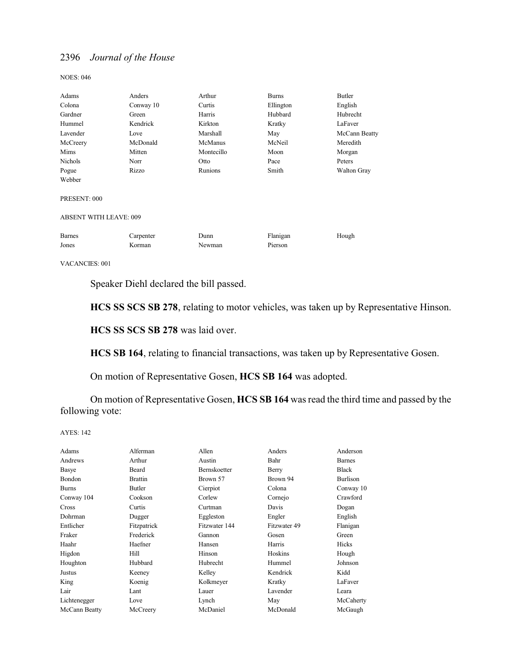NOES: 046

| Adams                         | Anders    | Arthur     | <b>Burns</b> | Butler             |
|-------------------------------|-----------|------------|--------------|--------------------|
| Colona                        | Conway 10 | Curtis     | Ellington    | English            |
| Gardner                       | Green     | Harris     | Hubbard      | Hubrecht           |
| Hummel                        | Kendrick  | Kirkton    | Kratky       | LaFaver            |
| Lavender                      | Love      | Marshall   | May          | McCann Beatty      |
| McCreery                      | McDonald  | McManus    | McNeil       | Meredith           |
| Mims                          | Mitten    | Montecillo | Moon         | Morgan             |
| Nichols                       | Norr      | Otto       | Pace         | Peters             |
| Pogue                         | Rizzo     | Runions    | Smith        | <b>Walton Gray</b> |
| Webber                        |           |            |              |                    |
| PRESENT: 000                  |           |            |              |                    |
| <b>ABSENT WITH LEAVE: 009</b> |           |            |              |                    |
| <b>Barnes</b>                 | Carpenter | Dunn       | Flanigan     | Hough              |
| Jones                         | Korman    | Newman     | Pierson      |                    |
|                               |           |            |              |                    |

VACANCIES: 001

Speaker Diehl declared the bill passed.

**HCS SS SCS SB 278**, relating to motor vehicles, was taken up by Representative Hinson.

**HCS SS SCS SB 278** was laid over.

**HCS SB 164**, relating to financial transactions, was taken up by Representative Gosen.

On motion of Representative Gosen, **HCS SB 164** was adopted.

On motion of Representative Gosen, **HCS SB 164** was read the third time and passed by the following vote:

AYES: 142

| Adams         | Alferman       | Allen         | Anders       | Anderson      |
|---------------|----------------|---------------|--------------|---------------|
| Andrews       | Arthur         | Austin        | Bahr         | <b>Barnes</b> |
| Basye         | Beard          | Bernskoetter  | Berry        | <b>Black</b>  |
| Bondon        | <b>Brattin</b> | Brown 57      | Brown 94     | Burlison      |
| <b>Burns</b>  | Butler         | Cierpiot      | Colona       | Conway 10     |
| Conway 104    | Cookson        | Corlew        | Cornejo      | Crawford      |
| <b>Cross</b>  | Curtis         | Curtman       | Davis        | Dogan         |
| Dohrman       | Dugger         | Eggleston     | Engler       | English       |
| Entlicher     | Fitzpatrick    | Fitzwater 144 | Fitzwater 49 | Flanigan      |
| Fraker        | Frederick      | Gannon        | Gosen        | Green         |
| Haahr         | Haefner        | Hansen        | Harris       | Hicks         |
| Higdon        | Hill           | Hinson        | Hoskins      | Hough         |
| Houghton      | Hubbard        | Hubrecht      | Hummel       | Johnson       |
| Justus        | Keeney         | Kelley        | Kendrick     | Kidd          |
| King          | Koenig         | Kolkmeyer     | Kratky       | LaFaver       |
| Lair          | Lant           | Lauer         | Lavender     | Leara         |
| Lichtenegger  | Love           | Lynch         | May          | McCaherty     |
| McCann Beatty | McCreery       | McDaniel      | McDonald     | McGaugh       |
|               |                |               |              |               |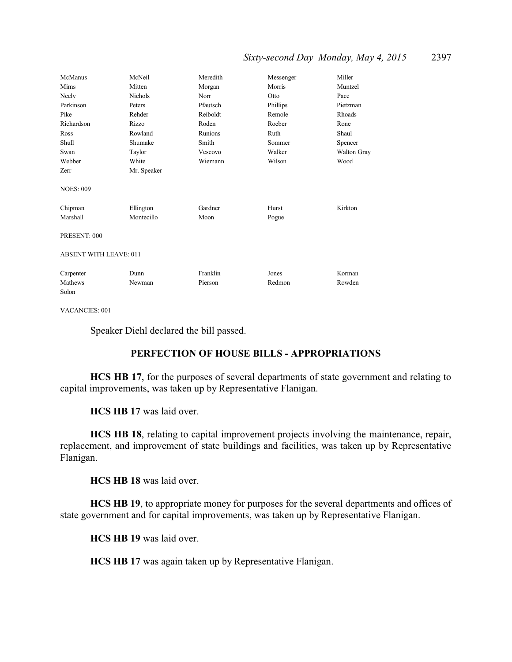## *Sixty-second Day–Monday, May 4, 2015* 2397

| McManus                       | McNeil         | Meredith | Messenger | Miller      |
|-------------------------------|----------------|----------|-----------|-------------|
| Mims                          | Mitten         | Morgan   | Morris    | Muntzel     |
| Neely                         | <b>Nichols</b> | Norr     | Otto      | Pace        |
| Parkinson                     | Peters         | Pfautsch | Phillips  | Pietzman    |
| Pike                          | Rehder         | Reiboldt | Remole    | Rhoads      |
| Richardson                    | Rizzo          | Roden    | Roeber    | Rone        |
| Ross                          | Rowland        | Runions  | Ruth      | Shaul       |
| Shull                         | Shumake        | Smith    | Sommer    | Spencer     |
| Swan                          | Taylor         | Vescovo  | Walker    | Walton Gray |
| Webber                        | White          | Wiemann  | Wilson    | Wood        |
| Zerr                          | Mr. Speaker    |          |           |             |
| <b>NOES: 009</b>              |                |          |           |             |
| Chipman                       | Ellington      | Gardner  | Hurst     | Kirkton     |
| Marshall                      | Montecillo     | Moon     | Pogue     |             |
| PRESENT: 000                  |                |          |           |             |
| <b>ABSENT WITH LEAVE: 011</b> |                |          |           |             |
| Carpenter                     | Dunn           | Franklin | Jones     | Korman      |
| Mathews                       | Newman         | Pierson  | Redmon    | Rowden      |
| Solon                         |                |          |           |             |

VACANCIES: 001

Speaker Diehl declared the bill passed.

## **PERFECTION OF HOUSE BILLS - APPROPRIATIONS**

**HCS HB 17**, for the purposes of several departments of state government and relating to capital improvements, was taken up by Representative Flanigan.

**HCS HB 17** was laid over.

**HCS HB 18**, relating to capital improvement projects involving the maintenance, repair, replacement, and improvement of state buildings and facilities, was taken up by Representative Flanigan.

**HCS HB 18** was laid over.

**HCS HB 19**, to appropriate money for purposes for the several departments and offices of state government and for capital improvements, was taken up by Representative Flanigan.

**HCS HB 19** was laid over.

**HCS HB 17** was again taken up by Representative Flanigan.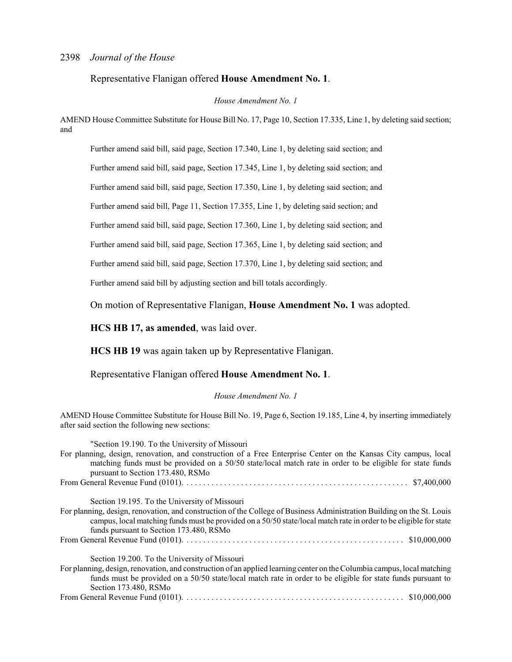#### Representative Flanigan offered **House Amendment No. 1**.

*House Amendment No. 1*

AMEND House Committee Substitute for House Bill No. 17, Page 10, Section 17.335, Line 1, by deleting said section; and

Further amend said bill, said page, Section 17.340, Line 1, by deleting said section; and

Further amend said bill, said page, Section 17.345, Line 1, by deleting said section; and

Further amend said bill, said page, Section 17.350, Line 1, by deleting said section; and

Further amend said bill, Page 11, Section 17.355, Line 1, by deleting said section; and

Further amend said bill, said page, Section 17.360, Line 1, by deleting said section; and

Further amend said bill, said page, Section 17.365, Line 1, by deleting said section; and

Further amend said bill, said page, Section 17.370, Line 1, by deleting said section; and

Further amend said bill by adjusting section and bill totals accordingly.

On motion of Representative Flanigan, **House Amendment No. 1** was adopted.

**HCS HB 17, as amended**, was laid over.

**HCS HB 19** was again taken up by Representative Flanigan.

## Representative Flanigan offered **House Amendment No. 1**.

#### *House Amendment No. 1*

AMEND House Committee Substitute for House Bill No. 19, Page 6, Section 19.185, Line 4, by inserting immediately after said section the following new sections:

| "Section 19.190. To the University of Missouri                                                                                                                                                                                                                                         |
|----------------------------------------------------------------------------------------------------------------------------------------------------------------------------------------------------------------------------------------------------------------------------------------|
| For planning, design, renovation, and construction of a Free Enterprise Center on the Kansas City campus, local                                                                                                                                                                        |
| matching funds must be provided on a 50/50 state/local match rate in order to be eligible for state funds<br>pursuant to Section 173.480, RSMo                                                                                                                                         |
|                                                                                                                                                                                                                                                                                        |
| Section 19.195. To the University of Missouri                                                                                                                                                                                                                                          |
| For planning, design, renovation, and construction of the College of Business Administration Building on the St. Louis<br>campus, local matching funds must be provided on a 50/50 state/local match rate in order to be eligible for state<br>funds pursuant to Section 173.480, RSMo |
|                                                                                                                                                                                                                                                                                        |
|                                                                                                                                                                                                                                                                                        |
| Section 19.200. To the University of Missouri                                                                                                                                                                                                                                          |
| For planning, design, renovation, and construction of an applied learning center on the Columbia campus, local matching                                                                                                                                                                |
| funds must be provided on a 50/50 state/local match rate in order to be eligible for state funds pursuant to<br>Section 173.480, RSMo                                                                                                                                                  |
| From General Revenue Fund (0101). $\ldots \ldots \ldots \ldots \ldots \ldots \ldots \ldots \ldots \ldots \ldots \ldots \ldots$ \$10,000,000                                                                                                                                            |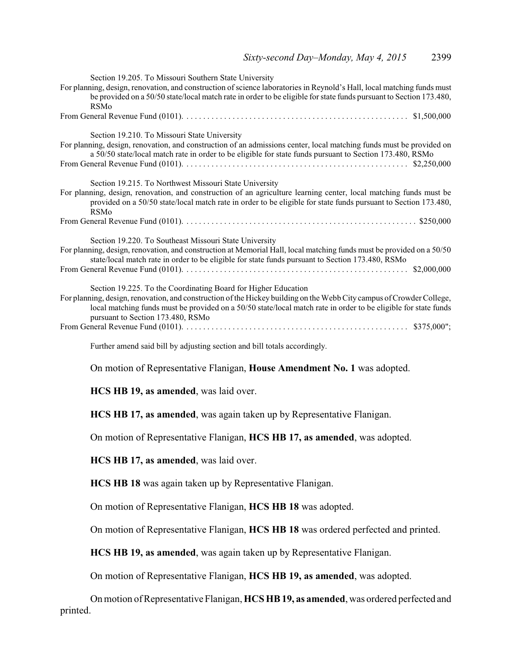| Section 19.205. To Missouri Southern State University<br>For planning, design, renovation, and construction of science laboratories in Reynold's Hall, local matching funds must<br>be provided on a 50/50 state/local match rate in order to be eligible for state funds pursuant to Section 173.480,<br><b>RSMo</b>                           |
|-------------------------------------------------------------------------------------------------------------------------------------------------------------------------------------------------------------------------------------------------------------------------------------------------------------------------------------------------|
|                                                                                                                                                                                                                                                                                                                                                 |
| Section 19.210. To Missouri State University<br>For planning, design, renovation, and construction of an admissions center, local matching funds must be provided on<br>a 50/50 state/local match rate in order to be eligible for state funds pursuant to Section 173.480, RSMo                                                                |
| Section 19.215. To Northwest Missouri State University<br>For planning, design, renovation, and construction of an agriculture learning center, local matching funds must be<br>provided on a 50/50 state/local match rate in order to be eligible for state funds pursuant to Section 173.480,<br><b>RSMo</b>                                  |
|                                                                                                                                                                                                                                                                                                                                                 |
| Section 19.220. To Southeast Missouri State University<br>For planning, design, renovation, and construction at Memorial Hall, local matching funds must be provided on a 50/50<br>state/local match rate in order to be eligible for state funds pursuant to Section 173.480, RSMo                                                             |
| Section 19.225. To the Coordinating Board for Higher Education<br>For planning, design, renovation, and construction of the Hickey building on the Webb City campus of Crowder College,<br>local matching funds must be provided on a 50/50 state/local match rate in order to be eligible for state funds<br>pursuant to Section 173.480, RSMo |
| Further amend said bill by adjusting section and bill totals accordingly.                                                                                                                                                                                                                                                                       |
| On motion of Representative Flanigan, <b>House Amendment No. 1</b> was adopted.                                                                                                                                                                                                                                                                 |

**HCS HB 19, as amended**, was laid over.

**HCS HB 17, as amended**, was again taken up by Representative Flanigan.

On motion of Representative Flanigan, **HCS HB 17, as amended**, was adopted.

**HCS HB 17, as amended**, was laid over.

**HCS HB 18** was again taken up by Representative Flanigan.

On motion of Representative Flanigan, **HCS HB 18** was adopted.

On motion of Representative Flanigan, **HCS HB 18** was ordered perfected and printed.

**HCS HB 19, as amended**, was again taken up by Representative Flanigan.

On motion of Representative Flanigan, **HCS HB 19, as amended**, was adopted.

On motion of Representative Flanigan, **HCS HB 19, as amended**, was ordered perfected and printed.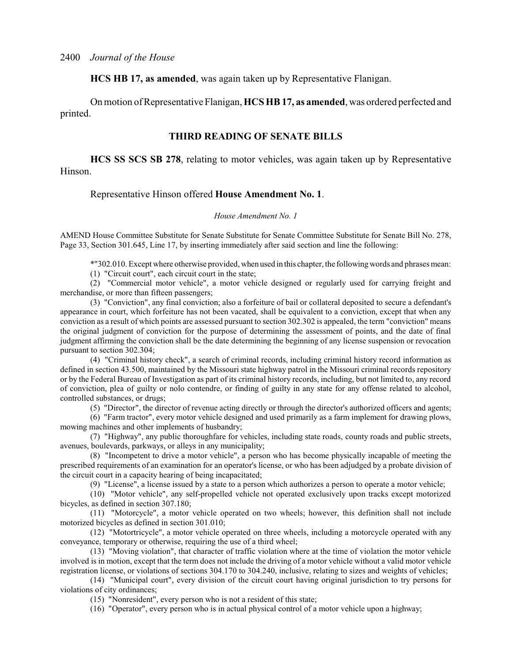**HCS HB 17, as amended**, was again taken up by Representative Flanigan.

On motion of Representative Flanigan, **HCS HB 17, as amended**, was ordered perfected and printed.

## **THIRD READING OF SENATE BILLS**

**HCS SS SCS SB 278**, relating to motor vehicles, was again taken up by Representative Hinson.

#### Representative Hinson offered **House Amendment No. 1**.

#### *House Amendment No. 1*

AMEND House Committee Substitute for Senate Substitute for Senate Committee Substitute for Senate Bill No. 278, Page 33, Section 301.645, Line 17, by inserting immediately after said section and line the following:

\*"302.010. Except where otherwise provided, when used in this chapter, the following words and phrases mean:

(1) "Circuit court", each circuit court in the state;

(2) "Commercial motor vehicle", a motor vehicle designed or regularly used for carrying freight and merchandise, or more than fifteen passengers;

(3) "Conviction", any final conviction; also a forfeiture of bail or collateral deposited to secure a defendant's appearance in court, which forfeiture has not been vacated, shall be equivalent to a conviction, except that when any conviction as a result of which points are assessed pursuant to section 302.302 is appealed, the term "conviction" means the original judgment of conviction for the purpose of determining the assessment of points, and the date of final judgment affirming the conviction shall be the date determining the beginning of any license suspension or revocation pursuant to section 302.304;

(4) "Criminal history check", a search of criminal records, including criminal history record information as defined in section 43.500, maintained by the Missouri state highway patrol in the Missouri criminal records repository or by the Federal Bureau of Investigation as part of its criminal history records, including, but not limited to, any record of conviction, plea of guilty or nolo contendre, or finding of guilty in any state for any offense related to alcohol, controlled substances, or drugs;

(5) "Director", the director of revenue acting directly or through the director's authorized officers and agents;

(6) "Farm tractor", every motor vehicle designed and used primarily as a farm implement for drawing plows, mowing machines and other implements of husbandry;

(7) "Highway", any public thoroughfare for vehicles, including state roads, county roads and public streets, avenues, boulevards, parkways, or alleys in any municipality;

(8) "Incompetent to drive a motor vehicle", a person who has become physically incapable of meeting the prescribed requirements of an examination for an operator's license, or who has been adjudged by a probate division of the circuit court in a capacity hearing of being incapacitated;

(9) "License", a license issued by a state to a person which authorizes a person to operate a motor vehicle;

(10) "Motor vehicle", any self-propelled vehicle not operated exclusively upon tracks except motorized bicycles, as defined in section 307.180;

(11) "Motorcycle", a motor vehicle operated on two wheels; however, this definition shall not include motorized bicycles as defined in section 301.010;

(12) "Motortricycle", a motor vehicle operated on three wheels, including a motorcycle operated with any conveyance, temporary or otherwise, requiring the use of a third wheel;

(13) "Moving violation", that character of traffic violation where at the time of violation the motor vehicle involved is in motion, except that the term does not include the driving of a motor vehicle without a valid motor vehicle registration license, or violations of sections 304.170 to 304.240, inclusive, relating to sizes and weights of vehicles;

(14) "Municipal court", every division of the circuit court having original jurisdiction to try persons for violations of city ordinances;

(15) "Nonresident", every person who is not a resident of this state;

(16) "Operator", every person who is in actual physical control of a motor vehicle upon a highway;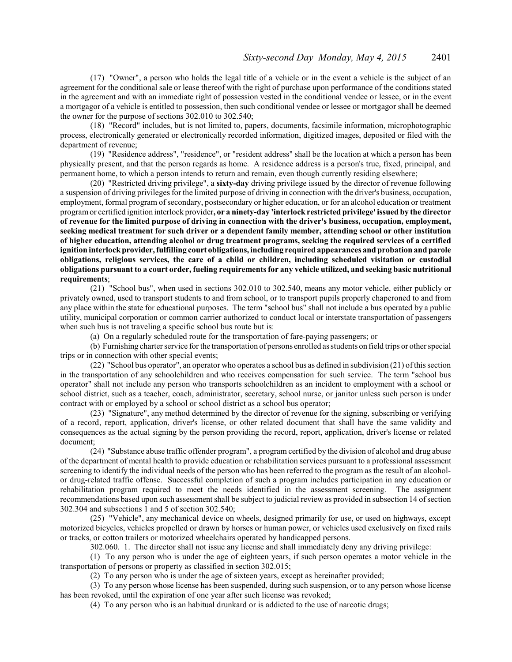(17) "Owner", a person who holds the legal title of a vehicle or in the event a vehicle is the subject of an agreement for the conditional sale or lease thereof with the right of purchase upon performance of the conditions stated in the agreement and with an immediate right of possession vested in the conditional vendee or lessee, or in the event a mortgagor of a vehicle is entitled to possession, then such conditional vendee or lessee or mortgagor shall be deemed the owner for the purpose of sections 302.010 to 302.540;

(18) "Record" includes, but is not limited to, papers, documents, facsimile information, microphotographic process, electronically generated or electronically recorded information, digitized images, deposited or filed with the department of revenue;

(19) "Residence address", "residence", or "resident address" shall be the location at which a person has been physically present, and that the person regards as home. A residence address is a person's true, fixed, principal, and permanent home, to which a person intends to return and remain, even though currently residing elsewhere;

(20) "Restricted driving privilege", a **sixty-day** driving privilege issued by the director of revenue following a suspension of driving privileges for the limited purpose of driving in connection with the driver's business, occupation, employment, formal program of secondary, postsecondary or higher education, or for an alcohol education or treatment programor certified ignition interlock provider**, or a ninety-day 'interlock restricted privilege' issued by the director of revenue for the limited purpose of driving in connection with the driver's business, occupation, employment, seeking medical treatment for such driver or a dependent family member, attending school or other institution of higher education, attending alcohol or drug treatment programs, seeking the required services of a certified ignition interlockprovider, fulfilling court obligations, including required appearances and probation and parole obligations, religious services, the care of a child or children, including scheduled visitation or custodial obligations pursuant to a court order, fueling requirements for any vehicle utilized, and seeking basic nutritional requirements**;

(21) "School bus", when used in sections 302.010 to 302.540, means any motor vehicle, either publicly or privately owned, used to transport students to and from school, or to transport pupils properly chaperoned to and from any place within the state for educational purposes. The term "school bus" shall not include a bus operated by a public utility, municipal corporation or common carrier authorized to conduct local or interstate transportation of passengers when such bus is not traveling a specific school bus route but is:

(a) On a regularly scheduled route for the transportation of fare-paying passengers; or

(b) Furnishing charter service for the transportation ofpersons enrolled as students on field trips or other special trips or in connection with other special events;

(22) "School bus operator", an operator who operates a school bus as defined in subdivision (21) ofthis section in the transportation of any schoolchildren and who receives compensation for such service. The term "school bus operator" shall not include any person who transports schoolchildren as an incident to employment with a school or school district, such as a teacher, coach, administrator, secretary, school nurse, or janitor unless such person is under contract with or employed by a school or school district as a school bus operator;

(23) "Signature", any method determined by the director of revenue for the signing, subscribing or verifying of a record, report, application, driver's license, or other related document that shall have the same validity and consequences as the actual signing by the person providing the record, report, application, driver's license or related document;

(24) "Substance abuse traffic offender program", a program certified by the division of alcohol and drug abuse of the department of mental health to provide education or rehabilitation services pursuant to a professional assessment screening to identify the individual needs of the person who has been referred to the program as the result of an alcoholor drug-related traffic offense. Successful completion of such a program includes participation in any education or rehabilitation program required to meet the needs identified in the assessment screening. The assignment recommendations based upon such assessment shall be subject to judicial review as provided in subsection 14 ofsection 302.304 and subsections 1 and 5 of section 302.540;

(25) "Vehicle", any mechanical device on wheels, designed primarily for use, or used on highways, except motorized bicycles, vehicles propelled or drawn by horses or human power, or vehicles used exclusively on fixed rails or tracks, or cotton trailers or motorized wheelchairs operated by handicapped persons.

302.060. 1. The director shall not issue any license and shall immediately deny any driving privilege:

(1) To any person who is under the age of eighteen years, if such person operates a motor vehicle in the transportation of persons or property as classified in section 302.015;

(2) To any person who is under the age of sixteen years, except as hereinafter provided;

(3) To any person whose license has been suspended, during such suspension, or to any person whose license has been revoked, until the expiration of one year after such license was revoked;

(4) To any person who is an habitual drunkard or is addicted to the use of narcotic drugs;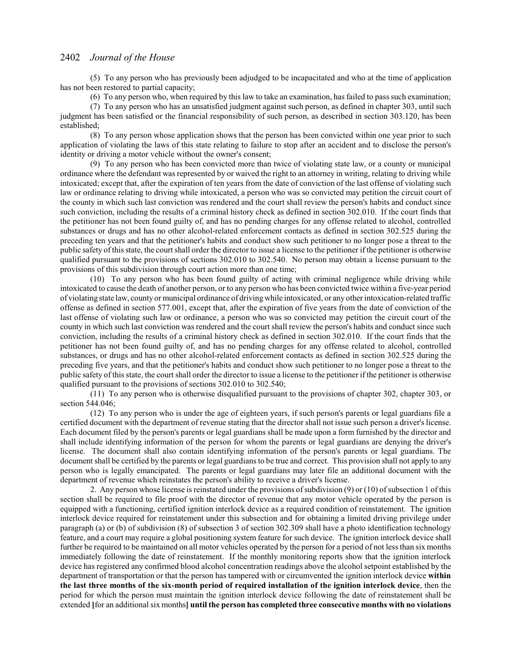(5) To any person who has previously been adjudged to be incapacitated and who at the time of application has not been restored to partial capacity;

(6) To any person who, when required by this law to take an examination, has failed to pass such examination;

(7) To any person who has an unsatisfied judgment against such person, as defined in chapter 303, until such judgment has been satisfied or the financial responsibility of such person, as described in section 303.120, has been established;

(8) To any person whose application shows that the person has been convicted within one year prior to such application of violating the laws of this state relating to failure to stop after an accident and to disclose the person's identity or driving a motor vehicle without the owner's consent;

(9) To any person who has been convicted more than twice of violating state law, or a county or municipal ordinance where the defendant was represented by or waived the right to an attorney in writing, relating to driving while intoxicated; except that, after the expiration of ten years from the date of conviction of the last offense of violating such law or ordinance relating to driving while intoxicated, a person who was so convicted may petition the circuit court of the county in which such last conviction was rendered and the court shall review the person's habits and conduct since such conviction, including the results of a criminal history check as defined in section 302.010. If the court finds that the petitioner has not been found guilty of, and has no pending charges for any offense related to alcohol, controlled substances or drugs and has no other alcohol-related enforcement contacts as defined in section 302.525 during the preceding ten years and that the petitioner's habits and conduct show such petitioner to no longer pose a threat to the public safety of this state, the court shall order the director to issue a license to the petitioner if the petitioner is otherwise qualified pursuant to the provisions of sections 302.010 to 302.540. No person may obtain a license pursuant to the provisions of this subdivision through court action more than one time;

(10) To any person who has been found guilty of acting with criminal negligence while driving while intoxicated to cause the death of another person, or to any person who has been convicted twice within a five-year period of violating state law, county or municipal ordinance of driving while intoxicated, or any other intoxication-related traffic offense as defined in section 577.001, except that, after the expiration of five years from the date of conviction of the last offense of violating such law or ordinance, a person who was so convicted may petition the circuit court of the county in which such last conviction was rendered and the court shall review the person's habits and conduct since such conviction, including the results of a criminal history check as defined in section 302.010. If the court finds that the petitioner has not been found guilty of, and has no pending charges for any offense related to alcohol, controlled substances, or drugs and has no other alcohol-related enforcement contacts as defined in section 302.525 during the preceding five years, and that the petitioner's habits and conduct show such petitioner to no longer pose a threat to the public safety of this state, the court shall order the director to issue a license to the petitioner if the petitioner is otherwise qualified pursuant to the provisions of sections 302.010 to 302.540;

(11) To any person who is otherwise disqualified pursuant to the provisions of chapter 302, chapter 303, or section 544.046;

(12) To any person who is under the age of eighteen years, if such person's parents or legal guardians file a certified document with the department of revenue stating that the director shall not issue such person a driver's license. Each document filed by the person's parents or legal guardians shall be made upon a form furnished by the director and shall include identifying information of the person for whom the parents or legal guardians are denying the driver's license. The document shall also contain identifying information of the person's parents or legal guardians. The document shall be certified by the parents or legal guardians to be true and correct. This provision shall not apply to any person who is legally emancipated. The parents or legal guardians may later file an additional document with the department of revenue which reinstates the person's ability to receive a driver's license.

2. Any person whose license is reinstated under the provisions of subdivision (9) or (10) of subsection 1 of this section shall be required to file proof with the director of revenue that any motor vehicle operated by the person is equipped with a functioning, certified ignition interlock device as a required condition of reinstatement. The ignition interlock device required for reinstatement under this subsection and for obtaining a limited driving privilege under paragraph (a) or (b) of subdivision (8) of subsection 3 of section 302.309 shall have a photo identification technology feature, and a court may require a global positioning system feature for such device. The ignition interlock device shall further be required to be maintained on all motor vehicles operated by the person for a period of not less than six months immediately following the date of reinstatement. If the monthly monitoring reports show that the ignition interlock device has registered any confirmed blood alcohol concentration readings above the alcohol setpoint established by the department of transportation or that the person has tampered with or circumvented the ignition interlock device **within the last three months of the six-month period of required installation of the ignition interlock device**, then the period for which the person must maintain the ignition interlock device following the date of reinstatement shall be extended **[**for an additional six months**] until the person has completed three consecutive months with no violations**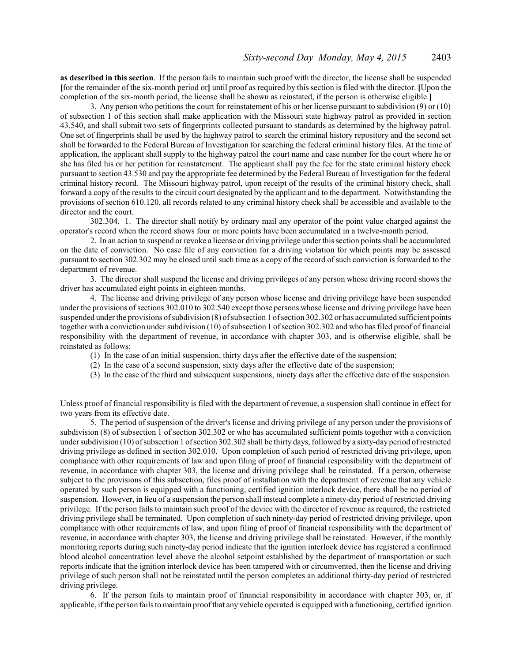**as described in this section**. If the person fails to maintain such proof with the director, the license shall be suspended **[**for the remainder of the six-month period or**]** until proof as required by this section is filed with the director. **[**Upon the completion of the six-month period, the license shall be shown as reinstated, if the person is otherwise eligible.**]**

3. Any person who petitions the court for reinstatement of his or her license pursuant to subdivision (9) or (10) of subsection 1 of this section shall make application with the Missouri state highway patrol as provided in section 43.540, and shall submit two sets of fingerprints collected pursuant to standards as determined by the highway patrol. One set of fingerprints shall be used by the highway patrol to search the criminal history repository and the second set shall be forwarded to the Federal Bureau of Investigation for searching the federal criminal history files. At the time of application, the applicant shall supply to the highway patrol the court name and case number for the court where he or she has filed his or her petition for reinstatement. The applicant shall pay the fee for the state criminal history check pursuant to section 43.530 and pay the appropriate fee determined by the Federal Bureau of Investigation for the federal criminal history record. The Missouri highway patrol, upon receipt of the results of the criminal history check, shall forward a copy of the results to the circuit court designated by the applicant and to the department. Notwithstanding the provisions of section 610.120, all records related to any criminal history check shall be accessible and available to the director and the court.

302.304. 1. The director shall notify by ordinary mail any operator of the point value charged against the operator's record when the record shows four or more points have been accumulated in a twelve-month period.

2. In an action to suspend or revoke a license or driving privilege under this section points shall be accumulated on the date of conviction. No case file of any conviction for a driving violation for which points may be assessed pursuant to section 302.302 may be closed until such time as a copy of the record of such conviction is forwarded to the department of revenue.

3. The director shall suspend the license and driving privileges of any person whose driving record shows the driver has accumulated eight points in eighteen months.

4. The license and driving privilege of any person whose license and driving privilege have been suspended under the provisions ofsections 302.010 to 302.540 except those persons whose license and driving privilege have been suspended under the provisions of subdivision (8) of subsection 1 of section 302.302 or has accumulated sufficient points together with a conviction under subdivision (10) of subsection 1 of section 302.302 and who has filed proof of financial responsibility with the department of revenue, in accordance with chapter 303, and is otherwise eligible, shall be reinstated as follows:

- (1) In the case of an initial suspension, thirty days after the effective date of the suspension;
- (2) In the case of a second suspension, sixty days after the effective date of the suspension;
- (3) In the case of the third and subsequent suspensions, ninety days after the effective date of the suspension.

Unless proof of financial responsibility is filed with the department of revenue, a suspension shall continue in effect for two years from its effective date.

5. The period of suspension of the driver's license and driving privilege of any person under the provisions of subdivision (8) of subsection 1 of section 302.302 or who has accumulated sufficient points together with a conviction under subdivision (10) ofsubsection 1 ofsection 302.302 shall be thirty days, followed by a sixty-day period ofrestricted driving privilege as defined in section 302.010. Upon completion of such period of restricted driving privilege, upon compliance with other requirements of law and upon filing of proof of financial responsibility with the department of revenue, in accordance with chapter 303, the license and driving privilege shall be reinstated. If a person, otherwise subject to the provisions of this subsection, files proof of installation with the department of revenue that any vehicle operated by such person is equipped with a functioning, certified ignition interlock device, there shall be no period of suspension. However, in lieu of a suspension the person shall instead complete a ninety-day period of restricted driving privilege. If the person fails to maintain such proof of the device with the director of revenue as required, the restricted driving privilege shall be terminated. Upon completion of such ninety-day period of restricted driving privilege, upon compliance with other requirements of law, and upon filing of proof of financial responsibility with the department of revenue, in accordance with chapter 303, the license and driving privilege shall be reinstated. However, if the monthly monitoring reports during such ninety-day period indicate that the ignition interlock device has registered a confirmed blood alcohol concentration level above the alcohol setpoint established by the department of transportation or such reports indicate that the ignition interlock device has been tampered with or circumvented, then the license and driving privilege of such person shall not be reinstated until the person completes an additional thirty-day period of restricted driving privilege.

6. If the person fails to maintain proof of financial responsibility in accordance with chapter 303, or, if applicable, ifthe person fails to maintain proofthat any vehicle operated is equipped with a functioning, certified ignition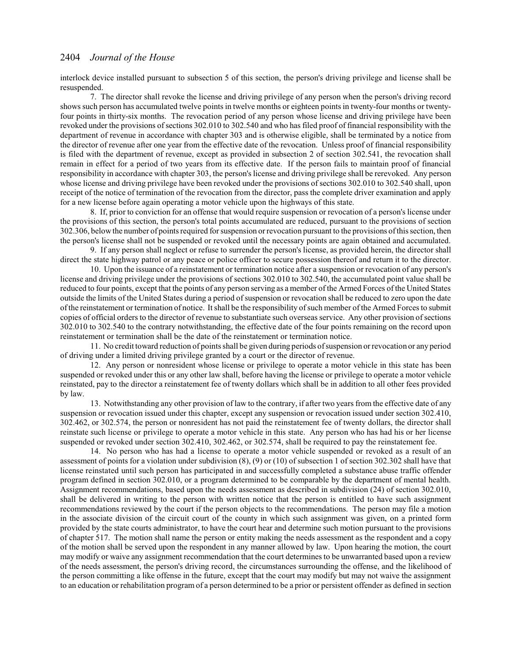interlock device installed pursuant to subsection 5 of this section, the person's driving privilege and license shall be resuspended.

7. The director shall revoke the license and driving privilege of any person when the person's driving record shows such person has accumulated twelve points in twelve months or eighteen points in twenty-four months or twentyfour points in thirty-six months. The revocation period of any person whose license and driving privilege have been revoked under the provisions ofsections 302.010 to 302.540 and who has filed proof of financial responsibility with the department of revenue in accordance with chapter 303 and is otherwise eligible, shall be terminated by a notice from the director of revenue after one year from the effective date of the revocation. Unless proof of financial responsibility is filed with the department of revenue, except as provided in subsection 2 of section 302.541, the revocation shall remain in effect for a period of two years from its effective date. If the person fails to maintain proof of financial responsibility in accordance with chapter 303, the person's license and driving privilege shall be rerevoked. Any person whose license and driving privilege have been revoked under the provisions of sections 302.010 to 302.540 shall, upon receipt of the notice of termination of the revocation from the director, pass the complete driver examination and apply for a new license before again operating a motor vehicle upon the highways of this state.

8. If, prior to conviction for an offense that would require suspension or revocation of a person's license under the provisions of this section, the person's total points accumulated are reduced, pursuant to the provisions of section 302.306, belowthe number of points required for suspension or revocation pursuant to the provisions ofthis section, then the person's license shall not be suspended or revoked until the necessary points are again obtained and accumulated.

9. If any person shall neglect or refuse to surrender the person's license, as provided herein, the director shall direct the state highway patrol or any peace or police officer to secure possession thereof and return it to the director.

10. Upon the issuance of a reinstatement or termination notice after a suspension or revocation of any person's license and driving privilege under the provisions of sections 302.010 to 302.540, the accumulated point value shall be reduced to four points, except that the points of any person serving as a member of the Armed Forces of the United States outside the limits of the United States during a period of suspension or revocation shall be reduced to zero upon the date ofthe reinstatement or termination of notice. It shall be the responsibility ofsuch member of the Armed Forces to submit copies of official orders to the director of revenue to substantiate such overseas service. Any other provision ofsections 302.010 to 302.540 to the contrary notwithstanding, the effective date of the four points remaining on the record upon reinstatement or termination shall be the date of the reinstatement or termination notice.

11. No credit toward reduction of points shall be given during periods ofsuspension or revocation or any period of driving under a limited driving privilege granted by a court or the director of revenue.

12. Any person or nonresident whose license or privilege to operate a motor vehicle in this state has been suspended or revoked under this or any other law shall, before having the license or privilege to operate a motor vehicle reinstated, pay to the director a reinstatement fee of twenty dollars which shall be in addition to all other fees provided by law.

13. Notwithstanding any other provision of law to the contrary, if after two years from the effective date of any suspension or revocation issued under this chapter, except any suspension or revocation issued under section 302.410, 302.462, or 302.574, the person or nonresident has not paid the reinstatement fee of twenty dollars, the director shall reinstate such license or privilege to operate a motor vehicle in this state. Any person who has had his or her license suspended or revoked under section 302.410, 302.462, or 302.574, shall be required to pay the reinstatement fee.

14. No person who has had a license to operate a motor vehicle suspended or revoked as a result of an assessment of points for a violation under subdivision (8), (9) or (10) of subsection 1 of section 302.302 shall have that license reinstated until such person has participated in and successfully completed a substance abuse traffic offender program defined in section 302.010, or a program determined to be comparable by the department of mental health. Assignment recommendations, based upon the needs assessment as described in subdivision (24) of section 302.010, shall be delivered in writing to the person with written notice that the person is entitled to have such assignment recommendations reviewed by the court if the person objects to the recommendations. The person may file a motion in the associate division of the circuit court of the county in which such assignment was given, on a printed form provided by the state courts administrator, to have the court hear and determine such motion pursuant to the provisions of chapter 517. The motion shall name the person or entity making the needs assessment as the respondent and a copy of the motion shall be served upon the respondent in any manner allowed by law. Upon hearing the motion, the court may modify or waive any assignment recommendation that the court determines to be unwarranted based upon a review of the needs assessment, the person's driving record, the circumstances surrounding the offense, and the likelihood of the person committing a like offense in the future, except that the court may modify but may not waive the assignment to an education or rehabilitation program of a person determined to be a prior or persistent offender as defined in section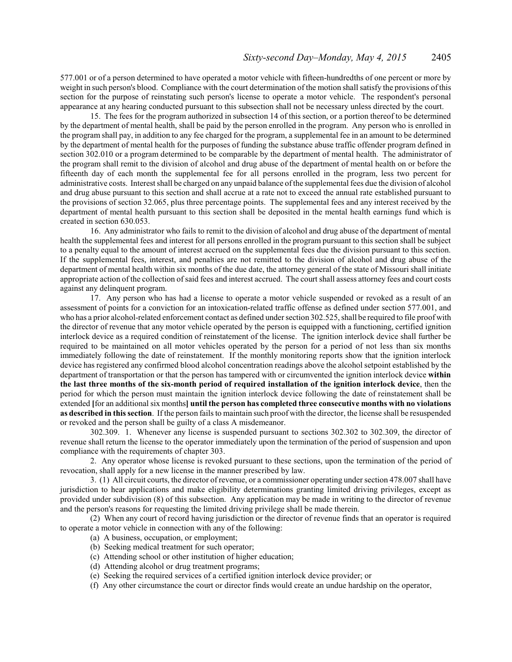577.001 or of a person determined to have operated a motor vehicle with fifteen-hundredths of one percent or more by weight in such person's blood. Compliance with the court determination of the motion shall satisfy the provisions of this section for the purpose of reinstating such person's license to operate a motor vehicle. The respondent's personal appearance at any hearing conducted pursuant to this subsection shall not be necessary unless directed by the court.

15. The fees for the program authorized in subsection 14 of this section, or a portion thereof to be determined by the department of mental health, shall be paid by the person enrolled in the program. Any person who is enrolled in the program shall pay, in addition to any fee charged for the program, a supplemental fee in an amount to be determined by the department of mental health for the purposes of funding the substance abuse traffic offender program defined in section 302.010 or a program determined to be comparable by the department of mental health. The administrator of the program shall remit to the division of alcohol and drug abuse of the department of mental health on or before the fifteenth day of each month the supplemental fee for all persons enrolled in the program, less two percent for administrative costs. Interest shall be charged on any unpaid balance ofthe supplemental fees due the division of alcohol and drug abuse pursuant to this section and shall accrue at a rate not to exceed the annual rate established pursuant to the provisions of section 32.065, plus three percentage points. The supplemental fees and any interest received by the department of mental health pursuant to this section shall be deposited in the mental health earnings fund which is created in section 630.053.

16. Any administrator who fails to remit to the division of alcohol and drug abuse of the department of mental health the supplemental fees and interest for all persons enrolled in the program pursuant to this section shall be subject to a penalty equal to the amount of interest accrued on the supplemental fees due the division pursuant to this section. If the supplemental fees, interest, and penalties are not remitted to the division of alcohol and drug abuse of the department of mental health within six months of the due date, the attorney general of the state of Missouri shall initiate appropriate action of the collection of said fees and interest accrued. The court shall assess attorney fees and court costs against any delinquent program.

17. Any person who has had a license to operate a motor vehicle suspended or revoked as a result of an assessment of points for a conviction for an intoxication-related traffic offense as defined under section 577.001, and who has a prior alcohol-related enforcement contact as defined under section 302.525, shall be required to file proof with the director of revenue that any motor vehicle operated by the person is equipped with a functioning, certified ignition interlock device as a required condition of reinstatement of the license. The ignition interlock device shall further be required to be maintained on all motor vehicles operated by the person for a period of not less than six months immediately following the date of reinstatement. If the monthly monitoring reports show that the ignition interlock device has registered any confirmed blood alcohol concentration readings above the alcohol setpoint established by the department of transportation or that the person has tampered with or circumvented the ignition interlock device **within the last three months of the six-month period of required installation of the ignition interlock device**, then the period for which the person must maintain the ignition interlock device following the date of reinstatement shall be extended **[**for an additional six months**] until the person has completed three consecutive months with no violations as described in this section**. If the person fails to maintain such proof with the director, the license shall be resuspended or revoked and the person shall be guilty of a class A misdemeanor.

302.309. 1. Whenever any license is suspended pursuant to sections 302.302 to 302.309, the director of revenue shall return the license to the operator immediately upon the termination of the period of suspension and upon compliance with the requirements of chapter 303.

2. Any operator whose license is revoked pursuant to these sections, upon the termination of the period of revocation, shall apply for a new license in the manner prescribed by law.

3. (1) All circuit courts, the director of revenue, or a commissioner operating under section 478.007 shall have jurisdiction to hear applications and make eligibility determinations granting limited driving privileges, except as provided under subdivision (8) of this subsection. Any application may be made in writing to the director of revenue and the person's reasons for requesting the limited driving privilege shall be made therein.

(2) When any court of record having jurisdiction or the director of revenue finds that an operator is required to operate a motor vehicle in connection with any of the following:

- (a) A business, occupation, or employment;
- (b) Seeking medical treatment for such operator;
- (c) Attending school or other institution of higher education;
- (d) Attending alcohol or drug treatment programs;
- (e) Seeking the required services of a certified ignition interlock device provider; or
- (f) Any other circumstance the court or director finds would create an undue hardship on the operator,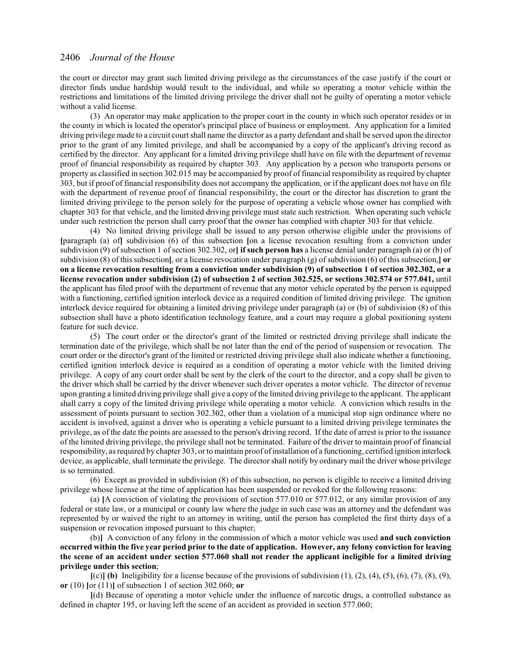the court or director may grant such limited driving privilege as the circumstances of the case justify if the court or director finds undue hardship would result to the individual, and while so operating a motor vehicle within the restrictions and limitations of the limited driving privilege the driver shall not be guilty of operating a motor vehicle without a valid license.

(3) An operator may make application to the proper court in the county in which such operator resides or in the county in which is located the operator's principal place of business or employment. Any application for a limited driving privilege made to a circuit court shall name the director as a party defendant and shall be served upon the director prior to the grant of any limited privilege, and shall be accompanied by a copy of the applicant's driving record as certified by the director. Any applicant for a limited driving privilege shall have on file with the department of revenue proof of financial responsibility as required by chapter 303. Any application by a person who transports persons or property as classified in section 302.015 may be accompanied by proof of financial responsibility as required by chapter 303, but if proof of financial responsibility does not accompany the application, or if the applicant does not have on file with the department of revenue proof of financial responsibility, the court or the director has discretion to grant the limited driving privilege to the person solely for the purpose of operating a vehicle whose owner has complied with chapter 303 for that vehicle, and the limited driving privilege must state such restriction. When operating such vehicle under such restriction the person shall carry proof that the owner has complied with chapter 303 for that vehicle.

(4) No limited driving privilege shall be issued to any person otherwise eligible under the provisions of **[**paragraph (a) of**]** subdivision (6) of this subsection **[**on a license revocation resulting from a conviction under subdivision (9) of subsection 1 of section 302.302, or**] if such person has** a license denial under paragraph (a) or (b) of subdivision (8) of this subsection**[**, or a license revocation under paragraph (g) of subdivision (6) of this subsection,**] or on a license revocation resulting from a conviction under subdivision (9) of subsection 1 of section 302.302, or a license revocation under subdivision (2) of subsection 2 of section 302.525, or sections 302.574 or 577.041,** until the applicant has filed proof with the department of revenue that any motor vehicle operated by the person is equipped with a functioning, certified ignition interlock device as a required condition of limited driving privilege. The ignition interlock device required for obtaining a limited driving privilege under paragraph (a) or (b) of subdivision (8) of this subsection shall have a photo identification technology feature, and a court may require a global positioning system feature for such device.

(5) The court order or the director's grant of the limited or restricted driving privilege shall indicate the termination date of the privilege, which shall be not later than the end of the period of suspension or revocation. The court order or the director's grant of the limited or restricted driving privilege shall also indicate whether a functioning, certified ignition interlock device is required as a condition of operating a motor vehicle with the limited driving privilege. A copy of any court order shall be sent by the clerk of the court to the director, and a copy shall be given to the driver which shall be carried by the driver whenever such driver operates a motor vehicle. The director of revenue upon granting a limited driving privilege shall give a copy of the limited driving privilege to the applicant. The applicant shall carry a copy of the limited driving privilege while operating a motor vehicle. A conviction which results in the assessment of points pursuant to section 302.302, other than a violation of a municipal stop sign ordinance where no accident is involved, against a driver who is operating a vehicle pursuant to a limited driving privilege terminates the privilege, as of the date the points are assessed to the person's driving record. If the date of arrest is prior to the issuance of the limited driving privilege, the privilege shall not be terminated. Failure of the driver to maintain proof of financial responsibility, as required by chapter 303, or to maintain proof ofinstallation of a functioning, certified ignition interlock device, as applicable, shall terminate the privilege. The director shall notify by ordinary mail the driver whose privilege is so terminated.

(6) Except as provided in subdivision (8) of this subsection, no person is eligible to receive a limited driving privilege whose license at the time of application has been suspended or revoked for the following reasons:

(a) **[**A conviction of violating the provisions of section 577.010 or 577.012, or any similar provision of any federal or state law, or a municipal or county law where the judge in such case was an attorney and the defendant was represented by or waived the right to an attorney in writing, until the person has completed the first thirty days of a suspension or revocation imposed pursuant to this chapter;

(b)**]** A conviction of any felony in the commission of which a motor vehicle was used **and such conviction occurred within the five year period prior to the date of application. However, any felony conviction for leaving the scene of an accident under section 577.060 shall not render the applicant ineligible for a limited driving privilege under this section**;

 $[{\rm (c)}]$  (b) Ineligibility for a license because of the provisions of subdivision  $(1), (2), (4), (5), (6), (7), (8), (9),$ **or** (10) **[**or (11)**]** of subsection 1 of section 302.060; **or**

**[**(d) Because of operating a motor vehicle under the influence of narcotic drugs, a controlled substance as defined in chapter 195, or having left the scene of an accident as provided in section 577.060;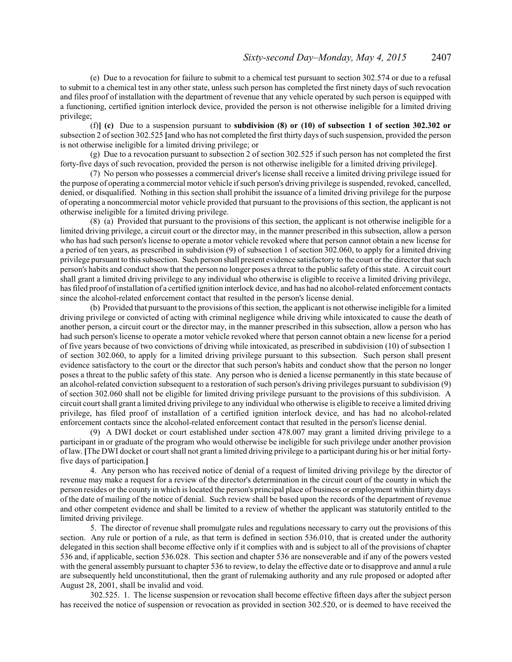(e) Due to a revocation for failure to submit to a chemical test pursuant to section 302.574 or due to a refusal to submit to a chemical test in any other state, unless such person has completed the first ninety days of such revocation and files proof of installation with the department of revenue that any vehicle operated by such person is equipped with a functioning, certified ignition interlock device, provided the person is not otherwise ineligible for a limited driving privilege;

(f)**] (c)** Due to a suspension pursuant to **subdivision (8) or (10) of subsection 1 of section 302.302 or** subsection 2 of section 302.525 **[and who has not completed the first thirty days of such suspension, provided the person** is not otherwise ineligible for a limited driving privilege; or

(g) Due to a revocation pursuant to subsection 2 of section 302.525 if such person has not completed the first forty-five days of such revocation, provided the person is not otherwise ineligible for a limited driving privilege**]**.

(7) No person who possesses a commercial driver's license shall receive a limited driving privilege issued for the purpose of operating a commercial motor vehicle ifsuch person's driving privilege is suspended, revoked, cancelled, denied, or disqualified. Nothing in this section shall prohibit the issuance of a limited driving privilege for the purpose of operating a noncommercial motor vehicle provided that pursuant to the provisions of this section, the applicant is not otherwise ineligible for a limited driving privilege.

(8) (a) Provided that pursuant to the provisions of this section, the applicant is not otherwise ineligible for a limited driving privilege, a circuit court or the director may, in the manner prescribed in this subsection, allow a person who has had such person's license to operate a motor vehicle revoked where that person cannot obtain a new license for a period of ten years, as prescribed in subdivision (9) of subsection 1 of section 302.060, to apply for a limited driving privilege pursuant to this subsection. Such person shall present evidence satisfactory to the court or the director that such person's habits and conduct show that the person no longer poses a threat to the public safety of this state. A circuit court shall grant a limited driving privilege to any individual who otherwise is eligible to receive a limited driving privilege, has filed proof ofinstallation of a certified ignition interlock device, and has had no alcohol-related enforcement contacts since the alcohol-related enforcement contact that resulted in the person's license denial.

(b) Provided that pursuant to the provisions ofthis section, the applicant is not otherwise ineligible for a limited driving privilege or convicted of acting with criminal negligence while driving while intoxicated to cause the death of another person, a circuit court or the director may, in the manner prescribed in this subsection, allow a person who has had such person's license to operate a motor vehicle revoked where that person cannot obtain a new license for a period of five years because of two convictions of driving while intoxicated, as prescribed in subdivision (10) of subsection 1 of section 302.060, to apply for a limited driving privilege pursuant to this subsection. Such person shall present evidence satisfactory to the court or the director that such person's habits and conduct show that the person no longer poses a threat to the public safety of this state. Any person who is denied a license permanently in this state because of an alcohol-related conviction subsequent to a restoration of such person's driving privileges pursuant to subdivision (9) of section 302.060 shall not be eligible for limited driving privilege pursuant to the provisions of this subdivision. A circuit court shall grant a limited driving privilege to any individual who otherwise is eligible to receive a limited driving privilege, has filed proof of installation of a certified ignition interlock device, and has had no alcohol-related enforcement contacts since the alcohol-related enforcement contact that resulted in the person's license denial.

(9) A DWI docket or court established under section 478.007 may grant a limited driving privilege to a participant in or graduate of the program who would otherwise be ineligible for such privilege under another provision of law. **[**The DWI docket or court shall not grant a limited driving privilege to a participant during his or her initial fortyfive days of participation.**]**

4. Any person who has received notice of denial of a request of limited driving privilege by the director of revenue may make a request for a review of the director's determination in the circuit court of the county in which the person resides or the county in which is located the person's principal place of business or employment within thirty days of the date of mailing of the notice of denial. Such review shall be based upon the records of the department of revenue and other competent evidence and shall be limited to a review of whether the applicant was statutorily entitled to the limited driving privilege.

5. The director of revenue shall promulgate rules and regulations necessary to carry out the provisions of this section. Any rule or portion of a rule, as that term is defined in section 536.010, that is created under the authority delegated in this section shall become effective only if it complies with and is subject to all of the provisions of chapter 536 and, if applicable, section 536.028. This section and chapter 536 are nonseverable and if any of the powers vested with the general assembly pursuant to chapter 536 to review, to delay the effective date or to disapprove and annul a rule are subsequently held unconstitutional, then the grant of rulemaking authority and any rule proposed or adopted after August 28, 2001, shall be invalid and void.

302.525. 1. The license suspension or revocation shall become effective fifteen days after the subject person has received the notice of suspension or revocation as provided in section 302.520, or is deemed to have received the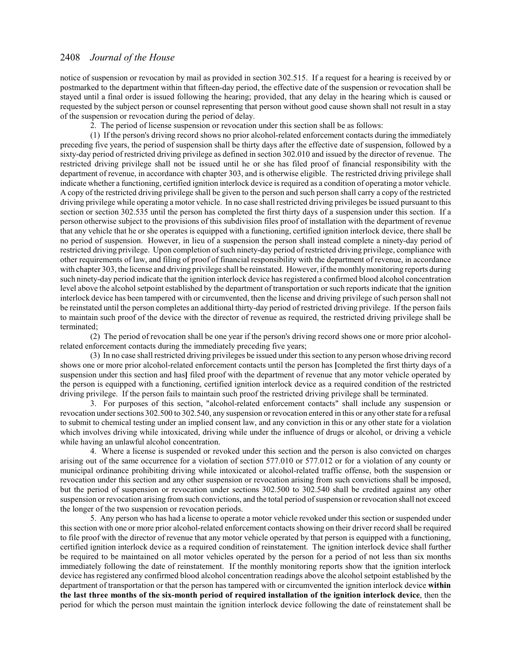notice of suspension or revocation by mail as provided in section 302.515. If a request for a hearing is received by or postmarked to the department within that fifteen-day period, the effective date of the suspension or revocation shall be stayed until a final order is issued following the hearing; provided, that any delay in the hearing which is caused or requested by the subject person or counsel representing that person without good cause shown shall not result in a stay of the suspension or revocation during the period of delay.

2. The period of license suspension or revocation under this section shall be as follows:

(1) If the person's driving record shows no prior alcohol-related enforcement contacts during the immediately preceding five years, the period of suspension shall be thirty days after the effective date of suspension, followed by a sixty-day period of restricted driving privilege as defined in section 302.010 and issued by the director of revenue. The restricted driving privilege shall not be issued until he or she has filed proof of financial responsibility with the department of revenue, in accordance with chapter 303, and is otherwise eligible. The restricted driving privilege shall indicate whether a functioning, certified ignition interlock device is required as a condition of operating a motor vehicle. A copy of the restricted driving privilege shall be given to the person and such person shall carry a copy of the restricted driving privilege while operating a motor vehicle. In no case shall restricted driving privileges be issued pursuant to this section or section 302.535 until the person has completed the first thirty days of a suspension under this section. If a person otherwise subject to the provisions of this subdivision files proof of installation with the department of revenue that any vehicle that he or she operates is equipped with a functioning, certified ignition interlock device, there shall be no period of suspension. However, in lieu of a suspension the person shall instead complete a ninety-day period of restricted driving privilege. Upon completion ofsuch ninety-day period of restricted driving privilege, compliance with other requirements of law, and filing of proof of financial responsibility with the department of revenue, in accordance with chapter 303, the license and driving privilege shall be reinstated. However, if the monthly monitoring reports during such ninety-day period indicate that the ignition interlock device has registered a confirmed blood alcohol concentration level above the alcohol setpoint established by the department of transportation or such reports indicate that the ignition interlock device has been tampered with or circumvented, then the license and driving privilege of such person shall not be reinstated until the person completes an additional thirty-day period of restricted driving privilege. If the person fails to maintain such proof of the device with the director of revenue as required, the restricted driving privilege shall be terminated;

(2) The period of revocation shall be one year if the person's driving record shows one or more prior alcoholrelated enforcement contacts during the immediately preceding five years;

(3) In no case shall restricted driving privileges be issued under this section to any person whose driving record shows one or more prior alcohol-related enforcement contacts until the person has **[**completed the first thirty days of a suspension under this section and has**]** filed proof with the department of revenue that any motor vehicle operated by the person is equipped with a functioning, certified ignition interlock device as a required condition of the restricted driving privilege. If the person fails to maintain such proof the restricted driving privilege shall be terminated.

3. For purposes of this section, "alcohol-related enforcement contacts" shall include any suspension or revocation under sections 302.500 to 302.540, any suspension or revocation entered in this or any other state for a refusal to submit to chemical testing under an implied consent law, and any conviction in this or any other state for a violation which involves driving while intoxicated, driving while under the influence of drugs or alcohol, or driving a vehicle while having an unlawful alcohol concentration.

4. Where a license is suspended or revoked under this section and the person is also convicted on charges arising out of the same occurrence for a violation of section 577.010 or 577.012 or for a violation of any county or municipal ordinance prohibiting driving while intoxicated or alcohol-related traffic offense, both the suspension or revocation under this section and any other suspension or revocation arising from such convictions shall be imposed, but the period of suspension or revocation under sections 302.500 to 302.540 shall be credited against any other suspension or revocation arising from such convictions, and the total period of suspension or revocation shall not exceed the longer of the two suspension or revocation periods.

5. Any person who has had a license to operate a motor vehicle revoked under this section or suspended under this section with one or more prior alcohol-related enforcement contacts showing on their driver record shall be required to file proof with the director of revenue that any motor vehicle operated by that person is equipped with a functioning, certified ignition interlock device as a required condition of reinstatement. The ignition interlock device shall further be required to be maintained on all motor vehicles operated by the person for a period of not less than six months immediately following the date of reinstatement. If the monthly monitoring reports show that the ignition interlock device has registered any confirmed blood alcohol concentration readings above the alcohol setpoint established by the department of transportation or that the person has tampered with or circumvented the ignition interlock device **within the last three months of the six-month period of required installation of the ignition interlock device**, then the period for which the person must maintain the ignition interlock device following the date of reinstatement shall be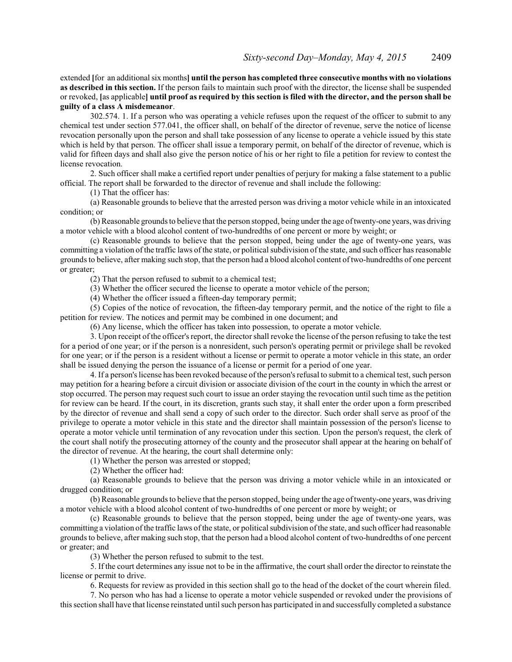extended **[**for an additional six months**] until the person has completed three consecutive months with no violations as described in this section.** If the person fails to maintain such proof with the director, the license shall be suspended or revoked, **[**as applicable**] until proof as required by this section is filed with the director, and the person shall be guilty of a class A misdemeanor**.

302.574. 1. If a person who was operating a vehicle refuses upon the request of the officer to submit to any chemical test under section 577.041, the officer shall, on behalf of the director of revenue, serve the notice of license revocation personally upon the person and shall take possession of any license to operate a vehicle issued by this state which is held by that person. The officer shall issue a temporary permit, on behalf of the director of revenue, which is valid for fifteen days and shall also give the person notice of his or her right to file a petition for review to contest the license revocation.

2. Such officer shall make a certified report under penalties of perjury for making a false statement to a public official. The report shall be forwarded to the director of revenue and shall include the following:

(1) That the officer has:

(a) Reasonable grounds to believe that the arrested person was driving a motor vehicle while in an intoxicated condition; or

(b) Reasonable grounds to believe that the person stopped, being under the age oftwenty-one years, was driving a motor vehicle with a blood alcohol content of two-hundredths of one percent or more by weight; or

(c) Reasonable grounds to believe that the person stopped, being under the age of twenty-one years, was committing a violation of the traffic laws of the state, or political subdivision of the state, and such officer has reasonable grounds to believe, after making such stop, that the person had a blood alcohol content of two-hundredths of one percent or greater;

(2) That the person refused to submit to a chemical test;

(3) Whether the officer secured the license to operate a motor vehicle of the person;

(4) Whether the officer issued a fifteen-day temporary permit;

(5) Copies of the notice of revocation, the fifteen-day temporary permit, and the notice of the right to file a petition for review. The notices and permit may be combined in one document; and

(6) Any license, which the officer has taken into possession, to operate a motor vehicle.

3. Upon receipt of the officer's report, the director shall revoke the license of the person refusing to take the test for a period of one year; or if the person is a nonresident, such person's operating permit or privilege shall be revoked for one year; or if the person is a resident without a license or permit to operate a motor vehicle in this state, an order shall be issued denying the person the issuance of a license or permit for a period of one year.

4. If a person's license has been revoked because ofthe person's refusal to submit to a chemical test, such person may petition for a hearing before a circuit division or associate division of the court in the county in which the arrest or stop occurred. The person may request such court to issue an order staying the revocation until such time as the petition for review can be heard. If the court, in its discretion, grants such stay, it shall enter the order upon a form prescribed by the director of revenue and shall send a copy of such order to the director. Such order shall serve as proof of the privilege to operate a motor vehicle in this state and the director shall maintain possession of the person's license to operate a motor vehicle until termination of any revocation under this section. Upon the person's request, the clerk of the court shall notify the prosecuting attorney of the county and the prosecutor shall appear at the hearing on behalf of the director of revenue. At the hearing, the court shall determine only:

(1) Whether the person was arrested or stopped;

(2) Whether the officer had:

(a) Reasonable grounds to believe that the person was driving a motor vehicle while in an intoxicated or drugged condition; or

(b) Reasonable grounds to believe that the person stopped, being under the age oftwenty-one years, was driving a motor vehicle with a blood alcohol content of two-hundredths of one percent or more by weight; or

(c) Reasonable grounds to believe that the person stopped, being under the age of twenty-one years, was committing a violation of the traffic laws of the state, or political subdivision ofthe state, and such officer had reasonable grounds to believe, after making such stop, that the person had a blood alcohol content of two-hundredths of one percent or greater; and

(3) Whether the person refused to submit to the test.

5. If the court determines any issue not to be in the affirmative, the court shall order the director to reinstate the license or permit to drive.

6. Requests for review as provided in this section shall go to the head of the docket of the court wherein filed.

7. No person who has had a license to operate a motor vehicle suspended or revoked under the provisions of this section shall have that license reinstated until such person has participated in and successfully completed a substance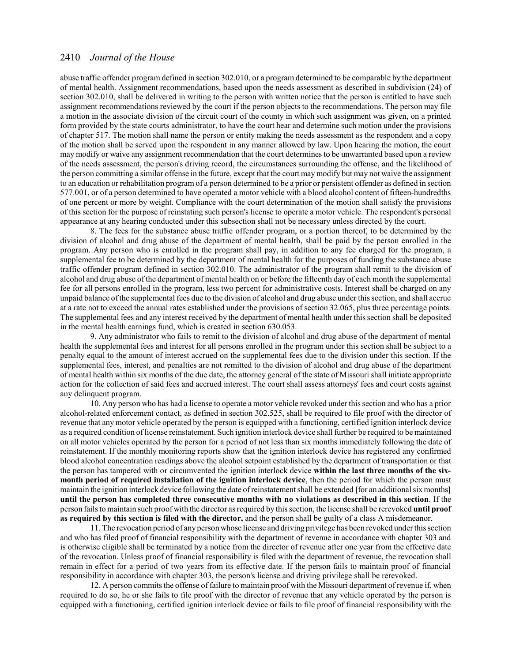abuse traffic offender program defined in section 302.010, or a program determined to be comparable by the department of mental health. Assignment recommendations, based upon the needs assessment as described in subdivision (24) of section 302.010, shall be delivered in writing to the person with written notice that the person is entitled to have such assignment recommendations reviewed by the court if the person objects to the recommendations. The person may file a motion in the associate division of the circuit court of the county in which such assignment was given, on a printed form provided by the state courts administrator, to have the court hear and determine such motion under the provisions of chapter 517. The motion shall name the person or entity making the needs assessment as the respondent and a copy of the motion shall be served upon the respondent in any manner allowed by law. Upon hearing the motion, the court may modify or waive any assignment recommendation that the court determines to be unwarranted based upon a review of the needs assessment, the person's driving record, the circumstances surrounding the offense, and the likelihood of the person committing a similar offense in the future, except that the court may modify but may not waive the assignment to an education or rehabilitation program of a person determined to be a prior or persistent offender as defined in section 577.001, or of a person determined to have operated a motor vehicle with a blood alcohol content of fifteen-hundredths of one percent or more by weight. Compliance with the court determination of the motion shall satisfy the provisions of this section for the purpose of reinstating such person's license to operate a motor vehicle. The respondent's personal appearance at any hearing conducted under this subsection shall not be necessary unless directed by the court.

8. The fees for the substance abuse traffic offender program, or a portion thereof, to be determined by the division of alcohol and drug abuse of the department of mental health, shall be paid by the person enrolled in the program. Any person who is enrolled in the program shall pay, in addition to any fee charged for the program, a supplemental fee to be determined by the department of mental health for the purposes of funding the substance abuse traffic offender program defined in section 302.010. The administrator of the program shall remit to the division of alcohol and drug abuse of the department of mental health on or before the fifteenth day of each month the supplemental fee for all persons enrolled in the program, less two percent for administrative costs. Interest shall be charged on any unpaid balance ofthe supplemental fees due to the division of alcohol and drug abuse under this section, and shall accrue at a rate not to exceed the annual rates established under the provisions of section 32.065, plus three percentage points. The supplemental fees and any interest received by the department of mental health under this section shall be deposited in the mental health earnings fund, which is created in section 630.053.

9. Any administrator who fails to remit to the division of alcohol and drug abuse of the department of mental health the supplemental fees and interest for all persons enrolled in the program under this section shall be subject to a penalty equal to the amount of interest accrued on the supplemental fees due to the division under this section. If the supplemental fees, interest, and penalties are not remitted to the division of alcohol and drug abuse of the department of mental health within six months of the due date, the attorney general of the state of Missouri shall initiate appropriate action for the collection of said fees and accrued interest. The court shall assess attorneys' fees and court costs against any delinquent program.

10. Any person who has had a license to operate a motor vehicle revoked under this section and who has a prior alcohol-related enforcement contact, as defined in section 302.525, shall be required to file proof with the director of revenue that any motor vehicle operated by the person is equipped with a functioning, certified ignition interlock device as a required condition of license reinstatement. Such ignition interlock device shall further be required to be maintained on all motor vehicles operated by the person for a period of not less than six months immediately following the date of reinstatement. If the monthly monitoring reports show that the ignition interlock device has registered any confirmed blood alcohol concentration readings above the alcohol setpoint established by the department of transportation or that the person has tampered with or circumvented the ignition interlock device **within the last three months of the sixmonth period of required installation of the ignition interlock device**, then the period for which the person must maintain the ignition interlock device following the date ofreinstatement shall be extended **[**for an additional six months**] until the person has completed three consecutive months with no violations as described in this section**. If the person fails to maintain such proof with the director as required by this section, the license shall be rerevoked **until proof as required by this section is filed with the director,** and the person shall be guilty of a class A misdemeanor.

11. The revocation period of any person whose license and driving privilege has been revoked under this section and who has filed proof of financial responsibility with the department of revenue in accordance with chapter 303 and is otherwise eligible shall be terminated by a notice from the director of revenue after one year from the effective date of the revocation. Unless proof of financial responsibility is filed with the department of revenue, the revocation shall remain in effect for a period of two years from its effective date. If the person fails to maintain proof of financial responsibility in accordance with chapter 303, the person's license and driving privilege shall be rerevoked.

12. A person commits the offense of failure to maintain proof with the Missouri department of revenue if, when required to do so, he or she fails to file proof with the director of revenue that any vehicle operated by the person is equipped with a functioning, certified ignition interlock device or fails to file proof of financial responsibility with the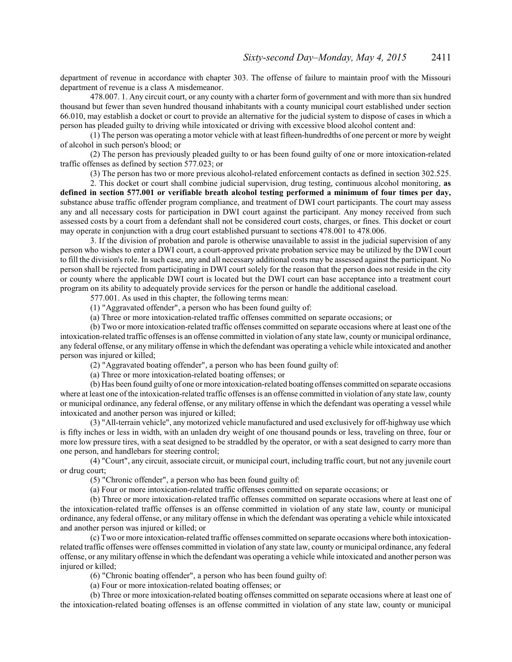department of revenue in accordance with chapter 303. The offense of failure to maintain proof with the Missouri department of revenue is a class A misdemeanor.

478.007. 1. Any circuit court, or any county with a charter form of government and with more than six hundred thousand but fewer than seven hundred thousand inhabitants with a county municipal court established under section 66.010, may establish a docket or court to provide an alternative for the judicial system to dispose of cases in which a person has pleaded guilty to driving while intoxicated or driving with excessive blood alcohol content and:

(1) The person was operating a motor vehicle with at least fifteen-hundredths of one percent or more by weight of alcohol in such person's blood; or

(2) The person has previously pleaded guilty to or has been found guilty of one or more intoxication-related traffic offenses as defined by section 577.023; or

(3) The person has two or more previous alcohol-related enforcement contacts as defined in section 302.525.

2. This docket or court shall combine judicial supervision, drug testing, continuous alcohol monitoring, **as defined in section 577.001 or verifiable breath alcohol testing performed a minimum of four times per day,** substance abuse traffic offender program compliance, and treatment of DWI court participants. The court may assess any and all necessary costs for participation in DWI court against the participant. Any money received from such assessed costs by a court from a defendant shall not be considered court costs, charges, or fines. This docket or court may operate in conjunction with a drug court established pursuant to sections 478.001 to 478.006.

3. If the division of probation and parole is otherwise unavailable to assist in the judicial supervision of any person who wishes to enter a DWI court, a court-approved private probation service may be utilized by the DWI court to fill the division's role. In such case, any and all necessary additional costs may be assessed against the participant. No person shall be rejected from participating in DWI court solely for the reason that the person does not reside in the city or county where the applicable DWI court is located but the DWI court can base acceptance into a treatment court program on its ability to adequately provide services for the person or handle the additional caseload.

577.001. As used in this chapter, the following terms mean:

(1) "Aggravated offender", a person who has been found guilty of:

(a) Three or more intoxication-related traffic offenses committed on separate occasions; or

(b) Two or more intoxication-related traffic offenses committed on separate occasions where at least one of the intoxication-related traffic offenses is an offense committed in violation of any state law, county or municipal ordinance, any federal offense, or any military offense in which the defendant was operating a vehicle while intoxicated and another person was injured or killed;

(2) "Aggravated boating offender", a person who has been found guilty of:

(a) Three or more intoxication-related boating offenses; or

(b) Has been found guilty of one or more intoxication-related boating offenses committed on separate occasions where at least one of the intoxication-related traffic offenses is an offense committed in violation of any state law, county or municipal ordinance, any federal offense, or any military offense in which the defendant was operating a vessel while intoxicated and another person was injured or killed;

(3) "All-terrain vehicle", any motorized vehicle manufactured and used exclusively for off-highway use which is fifty inches or less in width, with an unladen dry weight of one thousand pounds or less, traveling on three, four or more low pressure tires, with a seat designed to be straddled by the operator, or with a seat designed to carry more than one person, and handlebars for steering control;

(4) "Court", any circuit, associate circuit, or municipal court, including traffic court, but not any juvenile court or drug court;

(5) "Chronic offender", a person who has been found guilty of:

(a) Four or more intoxication-related traffic offenses committed on separate occasions; or

(b) Three or more intoxication-related traffic offenses committed on separate occasions where at least one of the intoxication-related traffic offenses is an offense committed in violation of any state law, county or municipal ordinance, any federal offense, or any military offense in which the defendant was operating a vehicle while intoxicated and another person was injured or killed; or

(c) Two or more intoxication-related traffic offenses committed on separate occasions where both intoxicationrelated traffic offenses were offenses committed in violation of any state law, county or municipal ordinance, any federal offense, or any military offense in which the defendant was operating a vehicle while intoxicated and another person was injured or killed;

(6) "Chronic boating offender", a person who has been found guilty of:

(a) Four or more intoxication-related boating offenses; or

(b) Three or more intoxication-related boating offenses committed on separate occasions where at least one of the intoxication-related boating offenses is an offense committed in violation of any state law, county or municipal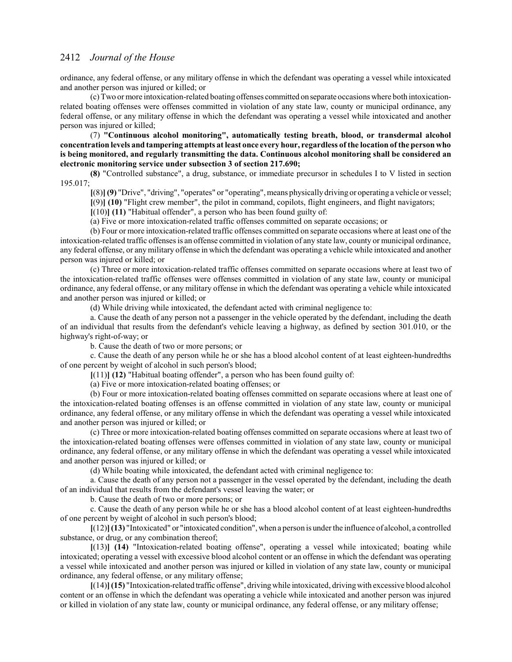ordinance, any federal offense, or any military offense in which the defendant was operating a vessel while intoxicated and another person was injured or killed; or

(c) Two or more intoxication-related boating offenses committed onseparate occasions where both intoxicationrelated boating offenses were offenses committed in violation of any state law, county or municipal ordinance, any federal offense, or any military offense in which the defendant was operating a vessel while intoxicated and another person was injured or killed;

(7) **"Continuous alcohol monitoring", automatically testing breath, blood, or transdermal alcohol concentration levels and tampering attempts at least once every hour, regardless of the location of the person who is being monitored, and regularly transmitting the data. Continuous alcohol monitoring shall be considered an electronic monitoring service under subsection 3 of section 217.690;**

**(8)** "Controlled substance", a drug, substance, or immediate precursor in schedules I to V listed in section 195.017;

**[**(8)**](9)** "Drive", "driving", "operates" or "operating", means physicallydriving or operating a vehicle or vessel;

**[**(9)**] (10)** "Flight crew member", the pilot in command, copilots, flight engineers, and flight navigators;

**[**(10)**] (11)** "Habitual offender", a person who has been found guilty of:

(a) Five or more intoxication-related traffic offenses committed on separate occasions; or

(b) Four or more intoxication-related traffic offenses committed on separate occasions where at least one of the intoxication-related traffic offenses is an offense committed in violation of any state law, county or municipal ordinance, any federal offense, or any military offense in which the defendant was operating a vehicle while intoxicated and another person was injured or killed; or

(c) Three or more intoxication-related traffic offenses committed on separate occasions where at least two of the intoxication-related traffic offenses were offenses committed in violation of any state law, county or municipal ordinance, any federal offense, or any military offense in which the defendant was operating a vehicle while intoxicated and another person was injured or killed; or

(d) While driving while intoxicated, the defendant acted with criminal negligence to:

a. Cause the death of any person not a passenger in the vehicle operated by the defendant, including the death of an individual that results from the defendant's vehicle leaving a highway, as defined by section 301.010, or the highway's right-of-way; or

b. Cause the death of two or more persons; or

c. Cause the death of any person while he or she has a blood alcohol content of at least eighteen-hundredths of one percent by weight of alcohol in such person's blood;

**[**(11)**] (12)** "Habitual boating offender", a person who has been found guilty of:

(a) Five or more intoxication-related boating offenses; or

(b) Four or more intoxication-related boating offenses committed on separate occasions where at least one of the intoxication-related boating offenses is an offense committed in violation of any state law, county or municipal ordinance, any federal offense, or any military offense in which the defendant was operating a vessel while intoxicated and another person was injured or killed; or

(c) Three or more intoxication-related boating offenses committed on separate occasions where at least two of the intoxication-related boating offenses were offenses committed in violation of any state law, county or municipal ordinance, any federal offense, or any military offense in which the defendant was operating a vessel while intoxicated and another person was injured or killed; or

(d) While boating while intoxicated, the defendant acted with criminal negligence to:

a. Cause the death of any person not a passenger in the vessel operated by the defendant, including the death of an individual that results from the defendant's vessel leaving the water; or

b. Cause the death of two or more persons; or

c. Cause the death of any person while he or she has a blood alcohol content of at least eighteen-hundredths of one percent by weight of alcohol in such person's blood;

**[**(12)**](13)** "Intoxicated" or "intoxicated condition", when a person is under the influence of alcohol, a controlled substance, or drug, or any combination thereof;

**[**(13)**] (14)** "Intoxication-related boating offense", operating a vessel while intoxicated; boating while intoxicated; operating a vessel with excessive blood alcohol content or an offense in which the defendant was operating a vessel while intoxicated and another person was injured or killed in violation of any state law, county or municipal ordinance, any federal offense, or any military offense;

**[**(14)**](15)** "Intoxication-related traffic offense", drivingwhile intoxicated, drivingwith excessive blood alcohol content or an offense in which the defendant was operating a vehicle while intoxicated and another person was injured or killed in violation of any state law, county or municipal ordinance, any federal offense, or any military offense;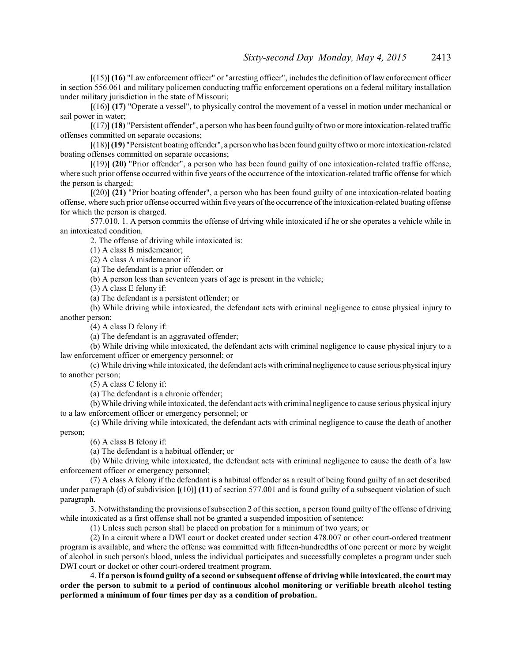**[**(15)**] (16)** "Law enforcement officer" or "arresting officer", includes the definition of law enforcement officer in section 556.061 and military policemen conducting traffic enforcement operations on a federal military installation under military jurisdiction in the state of Missouri;

**[**(16)**] (17)** "Operate a vessel", to physically control the movement of a vessel in motion under mechanical or sail power in water;

**[**(17)**] (18)** "Persistent offender", a person who has been found guilty oftwo or more intoxication-related traffic offenses committed on separate occasions;

**[**(18)**](19)** "Persistent boating offender", a personwho has been found guiltyoftwo or more intoxication-related boating offenses committed on separate occasions;

**[**(19)**] (20)** "Prior offender", a person who has been found guilty of one intoxication-related traffic offense, where such prior offense occurred within five years of the occurrence ofthe intoxication-related traffic offense for which the person is charged;

**[**(20)**] (21)** "Prior boating offender", a person who has been found guilty of one intoxication-related boating offense, where such prior offense occurred within five years ofthe occurrence ofthe intoxication-related boating offense for which the person is charged.

577.010. 1. A person commits the offense of driving while intoxicated if he or she operates a vehicle while in an intoxicated condition.

2. The offense of driving while intoxicated is:

(1) A class B misdemeanor;

(2) A class A misdemeanor if:

(a) The defendant is a prior offender; or

(b) A person less than seventeen years of age is present in the vehicle;

(3) A class E felony if:

(a) The defendant is a persistent offender; or

(b) While driving while intoxicated, the defendant acts with criminal negligence to cause physical injury to another person;

(4) A class D felony if:

(a) The defendant is an aggravated offender;

(b) While driving while intoxicated, the defendant acts with criminal negligence to cause physical injury to a law enforcement officer or emergency personnel; or

(c) While driving while intoxicated, the defendant acts with criminal negligence to cause serious physical injury to another person;

(5) A class C felony if:

(a) The defendant is a chronic offender;

(b) While driving while intoxicated, the defendant acts with criminal negligence to cause serious physical injury to a law enforcement officer or emergency personnel; or

(c) While driving while intoxicated, the defendant acts with criminal negligence to cause the death of another person;

(6) A class B felony if:

(a) The defendant is a habitual offender; or

(b) While driving while intoxicated, the defendant acts with criminal negligence to cause the death of a law enforcement officer or emergency personnel;

(7) A class A felony if the defendant is a habitual offender as a result of being found guilty of an act described under paragraph (d) of subdivision **[**(10)**] (11)** of section 577.001 and is found guilty of a subsequent violation of such paragraph.

3. Notwithstanding the provisions ofsubsection 2 of this section, a person found guilty of the offense of driving while intoxicated as a first offense shall not be granted a suspended imposition of sentence:

(1) Unless such person shall be placed on probation for a minimum of two years; or

(2) In a circuit where a DWI court or docket created under section 478.007 or other court-ordered treatment program is available, and where the offense was committed with fifteen-hundredths of one percent or more by weight of alcohol in such person's blood, unless the individual participates and successfully completes a program under such DWI court or docket or other court-ordered treatment program.

4. **If a person is found guilty of a second or subsequent offense of driving while intoxicated, the court may order the person to submit to a period of continuous alcohol monitoring or verifiable breath alcohol testing performed a minimum of four times per day as a condition of probation.**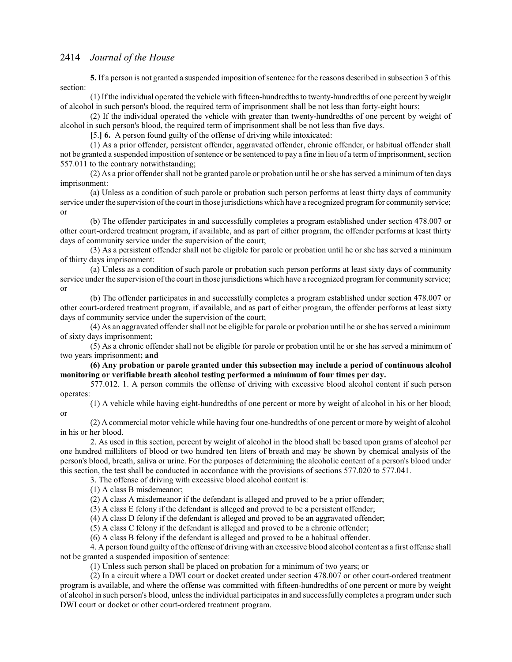**5.** If a person is not granted a suspended imposition of sentence for the reasons described in subsection 3 of this section:

(1) Ifthe individual operated the vehicle with fifteen-hundredths to twenty-hundredths of one percent by weight of alcohol in such person's blood, the required term of imprisonment shall be not less than forty-eight hours;

(2) If the individual operated the vehicle with greater than twenty-hundredths of one percent by weight of alcohol in such person's blood, the required term of imprisonment shall be not less than five days.

**[**5.**] 6.** A person found guilty of the offense of driving while intoxicated:

(1) As a prior offender, persistent offender, aggravated offender, chronic offender, or habitual offender shall not be granted a suspended imposition ofsentence or be sentenced to pay a fine in lieu of a term of imprisonment, section 557.011 to the contrary notwithstanding;

(2) As a prior offender shall not be granted parole or probation until he or she has served a minimum of ten days imprisonment:

(a) Unless as a condition of such parole or probation such person performs at least thirty days of community service under the supervision of the court in those jurisdictions which have a recognized program for community service; or

(b) The offender participates in and successfully completes a program established under section 478.007 or other court-ordered treatment program, if available, and as part of either program, the offender performs at least thirty days of community service under the supervision of the court;

(3) As a persistent offender shall not be eligible for parole or probation until he or she has served a minimum of thirty days imprisonment:

(a) Unless as a condition of such parole or probation such person performs at least sixty days of community service under the supervision of the court in those jurisdictions which have a recognized program for community service; or

(b) The offender participates in and successfully completes a program established under section 478.007 or other court-ordered treatment program, if available, and as part of either program, the offender performs at least sixty days of community service under the supervision of the court;

(4) As an aggravated offender shall not be eligible for parole or probation until he or she has served a minimum of sixty days imprisonment;

(5) As a chronic offender shall not be eligible for parole or probation until he or she has served a minimum of two years imprisonment**; and**

**(6) Any probation or parole granted under this subsection may include a period of continuous alcohol monitoring or verifiable breath alcohol testing performed a minimum of four times per day.**

577.012. 1. A person commits the offense of driving with excessive blood alcohol content if such person operates:

(1) A vehicle while having eight-hundredths of one percent or more by weight of alcohol in his or her blood; or

(2) A commercial motor vehicle while having four one-hundredths of one percent or more by weight of alcohol in his or her blood.

2. As used in this section, percent by weight of alcohol in the blood shall be based upon grams of alcohol per one hundred milliliters of blood or two hundred ten liters of breath and may be shown by chemical analysis of the person's blood, breath, saliva or urine. For the purposes of determining the alcoholic content of a person's blood under this section, the test shall be conducted in accordance with the provisions of sections 577.020 to 577.041.

3. The offense of driving with excessive blood alcohol content is:

(1) A class B misdemeanor;

(2) A class A misdemeanor if the defendant is alleged and proved to be a prior offender;

(3) A class E felony if the defendant is alleged and proved to be a persistent offender;

(4) A class D felony if the defendant is alleged and proved to be an aggravated offender;

(5) A class C felony if the defendant is alleged and proved to be a chronic offender;

(6) A class B felony if the defendant is alleged and proved to be a habitual offender.

4. A person found guilty ofthe offense of driving with an excessive blood alcohol content as a first offense shall not be granted a suspended imposition of sentence:

(1) Unless such person shall be placed on probation for a minimum of two years; or

(2) In a circuit where a DWI court or docket created under section 478.007 or other court-ordered treatment program is available, and where the offense was committed with fifteen-hundredths of one percent or more by weight of alcohol in such person's blood, unless the individual participates in and successfully completes a program under such DWI court or docket or other court-ordered treatment program.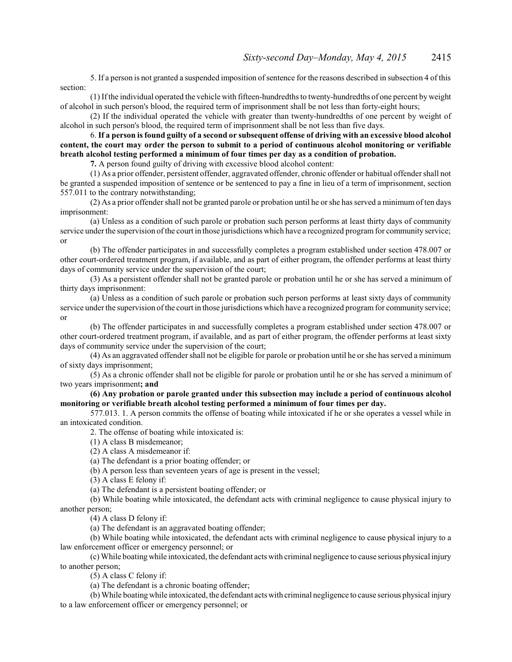5. If a person is not granted a suspended imposition ofsentence for the reasons described in subsection 4 of this section:

(1) Ifthe individual operated the vehicle with fifteen-hundredths to twenty-hundredths of one percent by weight of alcohol in such person's blood, the required term of imprisonment shall be not less than forty-eight hours;

(2) If the individual operated the vehicle with greater than twenty-hundredths of one percent by weight of alcohol in such person's blood, the required term of imprisonment shall be not less than five days.

6. **If a person is found guilty of a second or subsequent offense of driving with an excessive blood alcohol content, the court may order the person to submit to a period of continuous alcohol monitoring or verifiable breath alcohol testing performed a minimum of four times per day as a condition of probation.**

**7.** A person found guilty of driving with excessive blood alcohol content:

(1) As a prior offender, persistent offender, aggravated offender, chronic offender or habitual offender shall not be granted a suspended imposition of sentence or be sentenced to pay a fine in lieu of a term of imprisonment, section 557.011 to the contrary notwithstanding;

(2) As a prior offender shall not be granted parole or probation until he or she has served a minimum of ten days imprisonment:

(a) Unless as a condition of such parole or probation such person performs at least thirty days of community service under the supervision of the court in those jurisdictions which have a recognized program for community service; or

(b) The offender participates in and successfully completes a program established under section 478.007 or other court-ordered treatment program, if available, and as part of either program, the offender performs at least thirty days of community service under the supervision of the court;

(3) As a persistent offender shall not be granted parole or probation until he or she has served a minimum of thirty days imprisonment:

(a) Unless as a condition of such parole or probation such person performs at least sixty days of community service under the supervision of the court in those jurisdictions which have a recognized program for community service; or

(b) The offender participates in and successfully completes a program established under section 478.007 or other court-ordered treatment program, if available, and as part of either program, the offender performs at least sixty days of community service under the supervision of the court;

(4) As an aggravated offender shall not be eligible for parole or probation until he or she has served a minimum of sixty days imprisonment;

(5) As a chronic offender shall not be eligible for parole or probation until he or she has served a minimum of two years imprisonment**; and**

**(6) Any probation or parole granted under this subsection may include a period of continuous alcohol monitoring or verifiable breath alcohol testing performed a minimum of four times per day.**

577.013. 1. A person commits the offense of boating while intoxicated if he or she operates a vessel while in an intoxicated condition.

2. The offense of boating while intoxicated is:

(1) A class B misdemeanor;

(2) A class A misdemeanor if:

(a) The defendant is a prior boating offender; or

(b) A person less than seventeen years of age is present in the vessel;

(3) A class E felony if:

(a) The defendant is a persistent boating offender; or

(b) While boating while intoxicated, the defendant acts with criminal negligence to cause physical injury to another person;

(4) A class D felony if:

(a) The defendant is an aggravated boating offender;

(b) While boating while intoxicated, the defendant acts with criminal negligence to cause physical injury to a law enforcement officer or emergency personnel; or

(c) While boating while intoxicated, the defendant acts with criminal negligence to cause serious physical injury to another person;

(5) A class C felony if:

(a) The defendant is a chronic boating offender;

(b) While boating while intoxicated, the defendant acts with criminal negligence to cause serious physical injury to a law enforcement officer or emergency personnel; or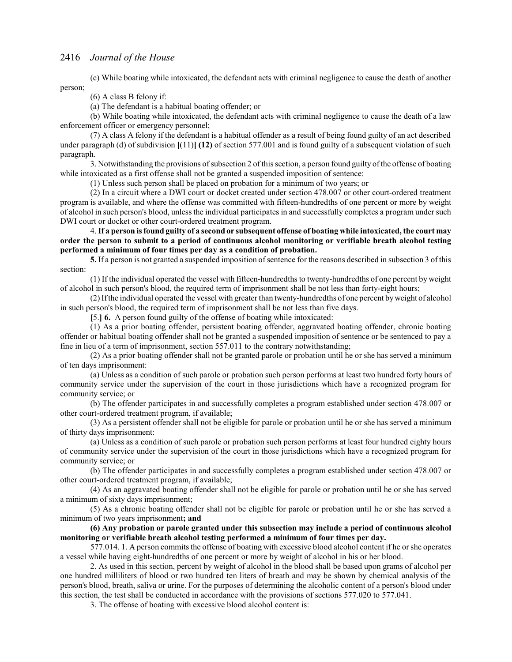(c) While boating while intoxicated, the defendant acts with criminal negligence to cause the death of another person;

(6) A class B felony if:

(a) The defendant is a habitual boating offender; or

(b) While boating while intoxicated, the defendant acts with criminal negligence to cause the death of a law enforcement officer or emergency personnel;

(7) A class A felony if the defendant is a habitual offender as a result of being found guilty of an act described under paragraph (d) of subdivision **[**(11)**] (12)** of section 577.001 and is found guilty of a subsequent violation of such paragraph.

3. Notwithstanding the provisions of subsection 2 of this section, a person found guilty of the offense of boating while intoxicated as a first offense shall not be granted a suspended imposition of sentence:

(1) Unless such person shall be placed on probation for a minimum of two years; or

(2) In a circuit where a DWI court or docket created under section 478.007 or other court-ordered treatment program is available, and where the offense was committed with fifteen-hundredths of one percent or more by weight of alcohol in such person's blood, unless the individual participates in and successfully completes a program under such DWI court or docket or other court-ordered treatment program.

4. **If a person is found guilty of a second or subsequent offense of boating while intoxicated, the court may order the person to submit to a period of continuous alcohol monitoring or verifiable breath alcohol testing performed a minimum of four times per day as a condition of probation.**

**5.** If a person is not granted a suspended imposition of sentence for the reasons described in subsection 3 of this section:

(1) If the individual operated the vessel with fifteen-hundredths to twenty-hundredths of one percent by weight of alcohol in such person's blood, the required term of imprisonment shall be not less than forty-eight hours;

(2) Ifthe individual operated the vessel with greater than twenty-hundredths of one percent byweight of alcohol in such person's blood, the required term of imprisonment shall be not less than five days.

**[**5.**] 6.** A person found guilty of the offense of boating while intoxicated:

(1) As a prior boating offender, persistent boating offender, aggravated boating offender, chronic boating offender or habitual boating offender shall not be granted a suspended imposition of sentence or be sentenced to pay a fine in lieu of a term of imprisonment, section 557.011 to the contrary notwithstanding;

(2) As a prior boating offender shall not be granted parole or probation until he or she has served a minimum of ten days imprisonment:

(a) Unless as a condition of such parole or probation such person performs at least two hundred forty hours of community service under the supervision of the court in those jurisdictions which have a recognized program for community service; or

(b) The offender participates in and successfully completes a program established under section 478.007 or other court-ordered treatment program, if available;

(3) As a persistent offender shall not be eligible for parole or probation until he or she has served a minimum of thirty days imprisonment:

(a) Unless as a condition of such parole or probation such person performs at least four hundred eighty hours of community service under the supervision of the court in those jurisdictions which have a recognized program for community service; or

(b) The offender participates in and successfully completes a program established under section 478.007 or other court-ordered treatment program, if available;

(4) As an aggravated boating offender shall not be eligible for parole or probation until he or she has served a minimum of sixty days imprisonment;

(5) As a chronic boating offender shall not be eligible for parole or probation until he or she has served a minimum of two years imprisonment**; and**

**(6) Any probation or parole granted under this subsection may include a period of continuous alcohol monitoring or verifiable breath alcohol testing performed a minimum of four times per day.**

577.014. 1. A person commits the offense of boating with excessive blood alcohol content if he or she operates a vessel while having eight-hundredths of one percent or more by weight of alcohol in his or her blood.

2. As used in this section, percent by weight of alcohol in the blood shall be based upon grams of alcohol per one hundred milliliters of blood or two hundred ten liters of breath and may be shown by chemical analysis of the person's blood, breath, saliva or urine. For the purposes of determining the alcoholic content of a person's blood under this section, the test shall be conducted in accordance with the provisions of sections 577.020 to 577.041.

3. The offense of boating with excessive blood alcohol content is: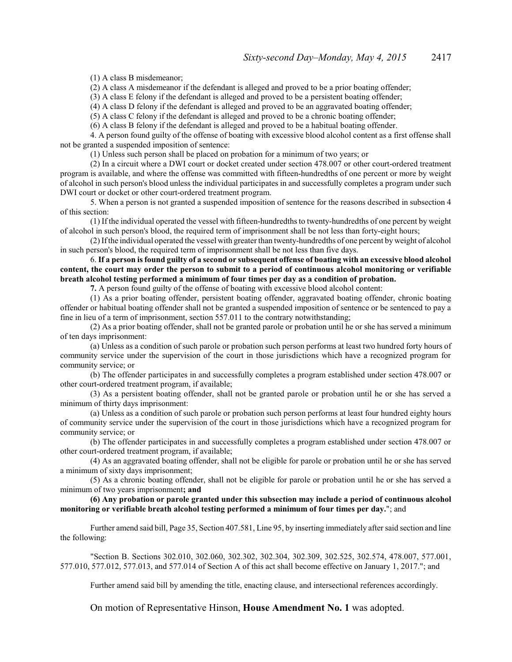(1) A class B misdemeanor;

(2) A class A misdemeanor if the defendant is alleged and proved to be a prior boating offender;

(3) A class E felony if the defendant is alleged and proved to be a persistent boating offender;

(4) A class D felony if the defendant is alleged and proved to be an aggravated boating offender;

(5) A class C felony if the defendant is alleged and proved to be a chronic boating offender;

(6) A class B felony if the defendant is alleged and proved to be a habitual boating offender.

4. A person found guilty of the offense of boating with excessive blood alcohol content as a first offense shall not be granted a suspended imposition of sentence:

(1) Unless such person shall be placed on probation for a minimum of two years; or

(2) In a circuit where a DWI court or docket created under section 478.007 or other court-ordered treatment program is available, and where the offense was committed with fifteen-hundredths of one percent or more by weight of alcohol in such person's blood unless the individual participates in and successfully completes a program under such DWI court or docket or other court-ordered treatment program.

5. When a person is not granted a suspended imposition of sentence for the reasons described in subsection 4 of this section:

(1) If the individual operated the vessel with fifteen-hundredths to twenty-hundredths of one percent by weight of alcohol in such person's blood, the required term of imprisonment shall be not less than forty-eight hours;

(2) Ifthe individual operated the vessel with greater than twenty-hundredths of one percent by weight of alcohol in such person's blood, the required term of imprisonment shall be not less than five days.

6. **If a person is found guilty of a second or subsequent offense of boating with an excessive blood alcohol content, the court may order the person to submit to a period of continuous alcohol monitoring or verifiable breath alcohol testing performed a minimum of four times per day as a condition of probation.**

**7.** A person found guilty of the offense of boating with excessive blood alcohol content:

(1) As a prior boating offender, persistent boating offender, aggravated boating offender, chronic boating offender or habitual boating offender shall not be granted a suspended imposition of sentence or be sentenced to pay a fine in lieu of a term of imprisonment, section 557.011 to the contrary notwithstanding;

(2) As a prior boating offender, shall not be granted parole or probation until he or she has served a minimum of ten days imprisonment:

(a) Unless as a condition of such parole or probation such person performs at least two hundred forty hours of community service under the supervision of the court in those jurisdictions which have a recognized program for community service; or

(b) The offender participates in and successfully completes a program established under section 478.007 or other court-ordered treatment program, if available;

(3) As a persistent boating offender, shall not be granted parole or probation until he or she has served a minimum of thirty days imprisonment:

(a) Unless as a condition of such parole or probation such person performs at least four hundred eighty hours of community service under the supervision of the court in those jurisdictions which have a recognized program for community service; or

(b) The offender participates in and successfully completes a program established under section 478.007 or other court-ordered treatment program, if available;

(4) As an aggravated boating offender, shall not be eligible for parole or probation until he or she has served a minimum of sixty days imprisonment;

(5) As a chronic boating offender, shall not be eligible for parole or probation until he or she has served a minimum of two years imprisonment**; and**

#### **(6) Any probation or parole granted under this subsection may include a period of continuous alcohol monitoring or verifiable breath alcohol testing performed a minimum of four times per day.**"; and

Further amend said bill, Page 35, Section 407.581, Line 95, by inserting immediately after said section and line the following:

"Section B. Sections 302.010, 302.060, 302.302, 302.304, 302.309, 302.525, 302.574, 478.007, 577.001, 577.010, 577.012, 577.013, and 577.014 of Section A of this act shall become effective on January 1, 2017."; and

Further amend said bill by amending the title, enacting clause, and intersectional references accordingly.

On motion of Representative Hinson, **House Amendment No. 1** was adopted.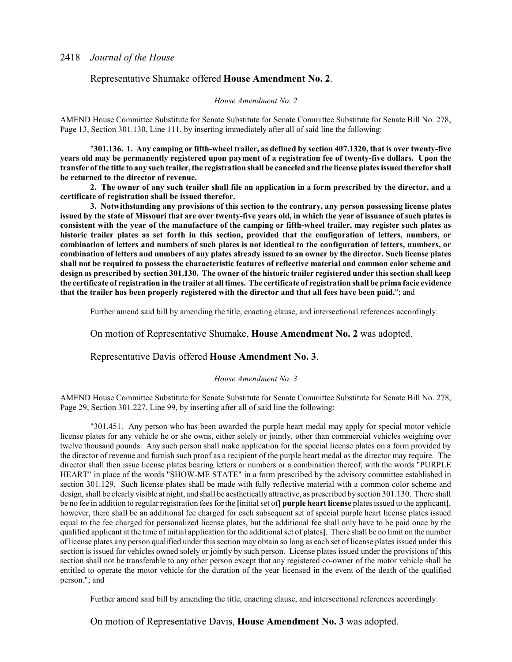### Representative Shumake offered **House Amendment No. 2**.

#### *House Amendment No. 2*

AMEND House Committee Substitute for Senate Substitute for Senate Committee Substitute for Senate Bill No. 278, Page 13, Section 301.130, Line 111, by inserting immediately after all of said line the following:

"**301.136. 1. Any camping or fifth-wheel trailer, as defined by section 407.1320, that is over twenty-five years old may be permanently registered upon payment of a registration fee of twenty-five dollars. Upon the transfer of the title to any such trailer, the registration shall be canceled and the license plates issued therefor shall be returned to the director of revenue.**

**2. The owner of any such trailer shall file an application in a form prescribed by the director, and a certificate of registration shall be issued therefor.**

**3. Notwithstanding any provisions of this section to the contrary, any person possessing license plates issued by the state of Missouri that are over twenty-five years old, in which the year of issuance of such plates is consistent with the year of the manufacture of the camping or fifth-wheel trailer, may register such plates as historic trailer plates as set forth in this section, provided that the configuration of letters, numbers, or combination of letters and numbers of such plates is not identical to the configuration of letters, numbers, or combination of letters and numbers of any plates already issued to an owner by the director. Such license plates shall not be required to possess the characteristic features of reflective material and common color scheme and design as prescribed by section 301.130. The owner of the historic trailer registered under this section shall keep the certificate of registration in the trailer at all times. The certificate of registration shall be prima facie evidence that the trailer has been properly registered with the director and that all fees have been paid.**"; and

Further amend said bill by amending the title, enacting clause, and intersectional references accordingly.

On motion of Representative Shumake, **House Amendment No. 2** was adopted.

Representative Davis offered **House Amendment No. 3**.

#### *House Amendment No. 3*

AMEND House Committee Substitute for Senate Substitute for Senate Committee Substitute for Senate Bill No. 278, Page 29, Section 301.227, Line 99, by inserting after all of said line the following:

"301.451. Any person who has been awarded the purple heart medal may apply for special motor vehicle license plates for any vehicle he or she owns, either solely or jointly, other than commercial vehicles weighing over twelve thousand pounds. Any such person shall make application for the special license plates on a form provided by the director of revenue and furnish such proof as a recipient of the purple heart medal as the director may require. The director shall then issue license plates bearing letters or numbers or a combination thereof, with the words "PURPLE HEART" in place of the words "SHOW-ME STATE" in a form prescribed by the advisory committee established in section 301.129. Such license plates shall be made with fully reflective material with a common color scheme and design, shall be clearly visible at night, and shall be aesthetically attractive, as prescribed by section 301.130. There shall be no fee in addition to regular registration fees for the **[**initial set of**] purple heart license** plates issued to the applicant**[**, however, there shall be an additional fee charged for each subsequent set of special purple heart license plates issued equal to the fee charged for personalized license plates, but the additional fee shall only have to be paid once by the qualified applicant at the time of initial application for the additional set of plates**]**. There shall be no limit on the number of license plates any person qualified under this section may obtain so long as each set of license plates issued under this section is issued for vehicles owned solely or jointly by such person. License plates issued under the provisions of this section shall not be transferable to any other person except that any registered co-owner of the motor vehicle shall be entitled to operate the motor vehicle for the duration of the year licensed in the event of the death of the qualified person."; and

Further amend said bill by amending the title, enacting clause, and intersectional references accordingly.

On motion of Representative Davis, **House Amendment No. 3** was adopted.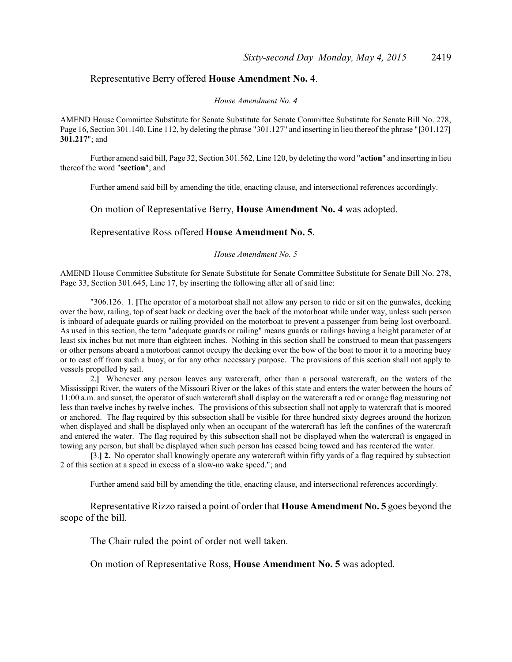## Representative Berry offered **House Amendment No. 4**.

#### *House Amendment No. 4*

AMEND House Committee Substitute for Senate Substitute for Senate Committee Substitute for Senate Bill No. 278, Page 16, Section 301.140, Line 112, by deleting the phrase "301.127" and inserting in lieu thereof the phrase "**[**301.127**] 301.217**"; and

Further amend said bill, Page 32, Section 301.562, Line 120, by deleting the word "**action**" and inserting in lieu thereof the word "**section**"; and

Further amend said bill by amending the title, enacting clause, and intersectional references accordingly.

On motion of Representative Berry, **House Amendment No. 4** was adopted.

Representative Ross offered **House Amendment No. 5**.

*House Amendment No. 5*

AMEND House Committee Substitute for Senate Substitute for Senate Committee Substitute for Senate Bill No. 278, Page 33, Section 301.645, Line 17, by inserting the following after all of said line:

"306.126. 1. **[**The operator of a motorboat shall not allow any person to ride or sit on the gunwales, decking over the bow, railing, top of seat back or decking over the back of the motorboat while under way, unless such person is inboard of adequate guards or railing provided on the motorboat to prevent a passenger from being lost overboard. As used in this section, the term "adequate guards or railing" means guards or railings having a height parameter of at least six inches but not more than eighteen inches. Nothing in this section shall be construed to mean that passengers or other persons aboard a motorboat cannot occupy the decking over the bow of the boat to moor it to a mooring buoy or to cast off from such a buoy, or for any other necessary purpose. The provisions of this section shall not apply to vessels propelled by sail.

2.**]** Whenever any person leaves any watercraft, other than a personal watercraft, on the waters of the Mississippi River, the waters of the Missouri River or the lakes of this state and enters the water between the hours of 11:00 a.m. and sunset, the operator of such watercraft shall display on the watercraft a red or orange flag measuring not less than twelve inches by twelve inches. The provisions of this subsection shall not apply to watercraft that is moored or anchored. The flag required by this subsection shall be visible for three hundred sixty degrees around the horizon when displayed and shall be displayed only when an occupant of the watercraft has left the confines of the watercraft and entered the water. The flag required by this subsection shall not be displayed when the watercraft is engaged in towing any person, but shall be displayed when such person has ceased being towed and has reentered the water.

**[**3.**] 2.** No operator shall knowingly operate any watercraft within fifty yards of a flag required by subsection 2 of this section at a speed in excess of a slow-no wake speed."; and

Further amend said bill by amending the title, enacting clause, and intersectional references accordingly.

Representative Rizzo raised a point of order that **House Amendment No. 5** goes beyond the scope of the bill.

The Chair ruled the point of order not well taken.

On motion of Representative Ross, **House Amendment No. 5** was adopted.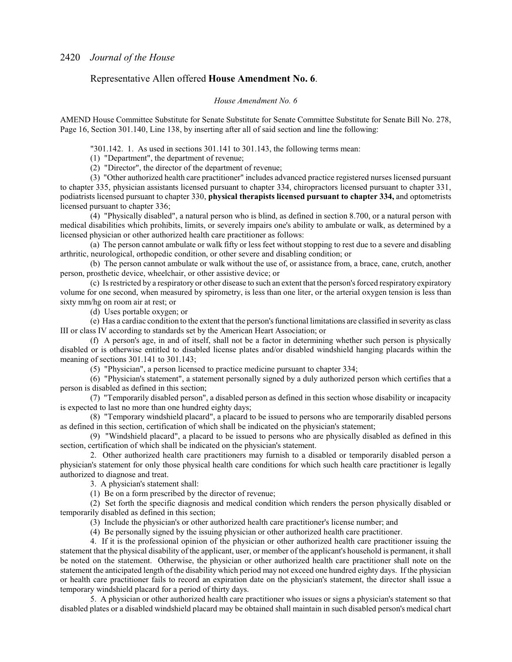## Representative Allen offered **House Amendment No. 6**.

#### *House Amendment No. 6*

AMEND House Committee Substitute for Senate Substitute for Senate Committee Substitute for Senate Bill No. 278, Page 16, Section 301.140, Line 138, by inserting after all of said section and line the following:

"301.142. 1. As used in sections 301.141 to 301.143, the following terms mean:

(1) "Department", the department of revenue;

(2) "Director", the director of the department of revenue;

(3) "Other authorized health care practitioner" includes advanced practice registered nurses licensed pursuant to chapter 335, physician assistants licensed pursuant to chapter 334, chiropractors licensed pursuant to chapter 331, podiatrists licensed pursuant to chapter 330, **physical therapists licensed pursuant to chapter 334,** and optometrists licensed pursuant to chapter 336;

(4) "Physically disabled", a natural person who is blind, as defined in section 8.700, or a natural person with medical disabilities which prohibits, limits, or severely impairs one's ability to ambulate or walk, as determined by a licensed physician or other authorized health care practitioner as follows:

(a) The person cannot ambulate or walk fifty or less feet without stopping to rest due to a severe and disabling arthritic, neurological, orthopedic condition, or other severe and disabling condition; or

(b) The person cannot ambulate or walk without the use of, or assistance from, a brace, cane, crutch, another person, prosthetic device, wheelchair, or other assistive device; or

(c) Is restricted by a respiratory or other disease to such an extent that the person's forced respiratory expiratory volume for one second, when measured by spirometry, is less than one liter, or the arterial oxygen tension is less than sixty mm/hg on room air at rest; or

(d) Uses portable oxygen; or

(e) Has a cardiac condition to the extent that the person's functional limitations are classified in severity as class III or class IV according to standards set by the American Heart Association; or

(f) A person's age, in and of itself, shall not be a factor in determining whether such person is physically disabled or is otherwise entitled to disabled license plates and/or disabled windshield hanging placards within the meaning of sections 301.141 to 301.143;

(5) "Physician", a person licensed to practice medicine pursuant to chapter 334;

(6) "Physician's statement", a statement personally signed by a duly authorized person which certifies that a person is disabled as defined in this section;

(7) "Temporarily disabled person", a disabled person as defined in this section whose disability or incapacity is expected to last no more than one hundred eighty days;

(8) "Temporary windshield placard", a placard to be issued to persons who are temporarily disabled persons as defined in this section, certification of which shall be indicated on the physician's statement;

(9) "Windshield placard", a placard to be issued to persons who are physically disabled as defined in this section, certification of which shall be indicated on the physician's statement.

2. Other authorized health care practitioners may furnish to a disabled or temporarily disabled person a physician's statement for only those physical health care conditions for which such health care practitioner is legally authorized to diagnose and treat.

3. A physician's statement shall:

(1) Be on a form prescribed by the director of revenue;

(2) Set forth the specific diagnosis and medical condition which renders the person physically disabled or temporarily disabled as defined in this section;

(3) Include the physician's or other authorized health care practitioner's license number; and

(4) Be personally signed by the issuing physician or other authorized health care practitioner.

4. If it is the professional opinion of the physician or other authorized health care practitioner issuing the statement that the physical disability of the applicant, user, or member of the applicant's household is permanent, it shall be noted on the statement. Otherwise, the physician or other authorized health care practitioner shall note on the statement the anticipated length of the disability which period may not exceed one hundred eighty days. If the physician or health care practitioner fails to record an expiration date on the physician's statement, the director shall issue a temporary windshield placard for a period of thirty days.

5. A physician or other authorized health care practitioner who issues or signs a physician's statement so that disabled plates or a disabled windshield placard may be obtained shall maintain in such disabled person's medical chart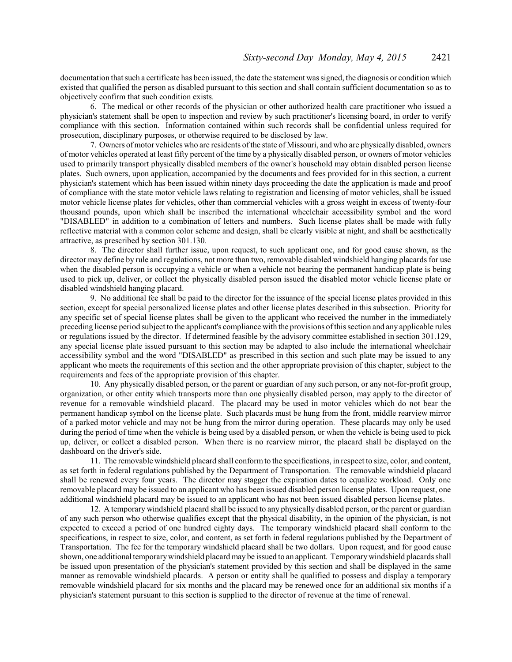documentation that such a certificate has been issued, the date the statement was signed, the diagnosis or condition which existed that qualified the person as disabled pursuant to this section and shall contain sufficient documentation so as to objectively confirm that such condition exists.

6. The medical or other records of the physician or other authorized health care practitioner who issued a physician's statement shall be open to inspection and review by such practitioner's licensing board, in order to verify compliance with this section. Information contained within such records shall be confidential unless required for prosecution, disciplinary purposes, or otherwise required to be disclosed by law.

7. Owners ofmotor vehicles who are residents ofthe state of Missouri, and who are physically disabled, owners of motor vehicles operated at least fifty percent of the time by a physically disabled person, or owners of motor vehicles used to primarily transport physically disabled members of the owner's household may obtain disabled person license plates. Such owners, upon application, accompanied by the documents and fees provided for in this section, a current physician's statement which has been issued within ninety days proceeding the date the application is made and proof of compliance with the state motor vehicle laws relating to registration and licensing of motor vehicles, shall be issued motor vehicle license plates for vehicles, other than commercial vehicles with a gross weight in excess of twenty-four thousand pounds, upon which shall be inscribed the international wheelchair accessibility symbol and the word "DISABLED" in addition to a combination of letters and numbers. Such license plates shall be made with fully reflective material with a common color scheme and design, shall be clearly visible at night, and shall be aesthetically attractive, as prescribed by section 301.130.

8. The director shall further issue, upon request, to such applicant one, and for good cause shown, as the director may define by rule and regulations, not more than two, removable disabled windshield hanging placards for use when the disabled person is occupying a vehicle or when a vehicle not bearing the permanent handicap plate is being used to pick up, deliver, or collect the physically disabled person issued the disabled motor vehicle license plate or disabled windshield hanging placard.

9. No additional fee shall be paid to the director for the issuance of the special license plates provided in this section, except for special personalized license plates and other license plates described in this subsection. Priority for any specific set of special license plates shall be given to the applicant who received the number in the immediately preceding license period subject to the applicant's compliance with the provisions ofthis section and any applicable rules or regulations issued by the director. If determined feasible by the advisory committee established in section 301.129, any special license plate issued pursuant to this section may be adapted to also include the international wheelchair accessibility symbol and the word "DISABLED" as prescribed in this section and such plate may be issued to any applicant who meets the requirements of this section and the other appropriate provision of this chapter, subject to the requirements and fees of the appropriate provision of this chapter.

10. Any physically disabled person, or the parent or guardian of any such person, or any not-for-profit group, organization, or other entity which transports more than one physically disabled person, may apply to the director of revenue for a removable windshield placard. The placard may be used in motor vehicles which do not bear the permanent handicap symbol on the license plate. Such placards must be hung from the front, middle rearview mirror of a parked motor vehicle and may not be hung from the mirror during operation. These placards may only be used during the period of time when the vehicle is being used by a disabled person, or when the vehicle is being used to pick up, deliver, or collect a disabled person. When there is no rearview mirror, the placard shall be displayed on the dashboard on the driver's side.

11. The removable windshield placard shall conformto the specifications, in respect to size, color, and content, as set forth in federal regulations published by the Department of Transportation. The removable windshield placard shall be renewed every four years. The director may stagger the expiration dates to equalize workload. Only one removable placard may be issued to an applicant who has been issued disabled person license plates. Upon request, one additional windshield placard may be issued to an applicant who has not been issued disabled person license plates.

12. A temporary windshield placard shall be issued to any physically disabled person, or the parent or guardian of any such person who otherwise qualifies except that the physical disability, in the opinion of the physician, is not expected to exceed a period of one hundred eighty days. The temporary windshield placard shall conform to the specifications, in respect to size, color, and content, as set forth in federal regulations published by the Department of Transportation. The fee for the temporary windshield placard shall be two dollars. Upon request, and for good cause shown, one additional temporarywindshield placard may be issued to an applicant. Temporary windshield placards shall be issued upon presentation of the physician's statement provided by this section and shall be displayed in the same manner as removable windshield placards. A person or entity shall be qualified to possess and display a temporary removable windshield placard for six months and the placard may be renewed once for an additional six months if a physician's statement pursuant to this section is supplied to the director of revenue at the time of renewal.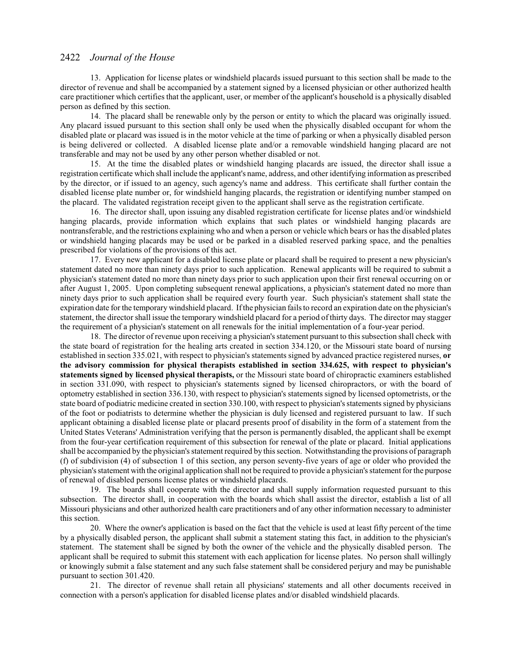13. Application for license plates or windshield placards issued pursuant to this section shall be made to the director of revenue and shall be accompanied by a statement signed by a licensed physician or other authorized health care practitioner which certifies that the applicant, user, or member of the applicant's household is a physically disabled person as defined by this section.

14. The placard shall be renewable only by the person or entity to which the placard was originally issued. Any placard issued pursuant to this section shall only be used when the physically disabled occupant for whom the disabled plate or placard was issued is in the motor vehicle at the time of parking or when a physically disabled person is being delivered or collected. A disabled license plate and/or a removable windshield hanging placard are not transferable and may not be used by any other person whether disabled or not.

15. At the time the disabled plates or windshield hanging placards are issued, the director shall issue a registration certificate which shall include the applicant's name, address, and other identifying information as prescribed by the director, or if issued to an agency, such agency's name and address. This certificate shall further contain the disabled license plate number or, for windshield hanging placards, the registration or identifying number stamped on the placard. The validated registration receipt given to the applicant shall serve as the registration certificate.

16. The director shall, upon issuing any disabled registration certificate for license plates and/or windshield hanging placards, provide information which explains that such plates or windshield hanging placards are nontransferable, and the restrictions explaining who and when a person or vehicle which bears or has the disabled plates or windshield hanging placards may be used or be parked in a disabled reserved parking space, and the penalties prescribed for violations of the provisions of this act.

17. Every new applicant for a disabled license plate or placard shall be required to present a new physician's statement dated no more than ninety days prior to such application. Renewal applicants will be required to submit a physician's statement dated no more than ninety days prior to such application upon their first renewal occurring on or after August 1, 2005. Upon completing subsequent renewal applications, a physician's statement dated no more than ninety days prior to such application shall be required every fourth year. Such physician's statement shall state the expiration date for the temporary windshield placard. Ifthe physician fails to record an expiration date on the physician's statement, the director shall issue the temporary windshield placard for a period of thirty days. The director may stagger the requirement of a physician's statement on all renewals for the initial implementation of a four-year period.

18. The director of revenue upon receiving a physician's statement pursuant to this subsection shall check with the state board of registration for the healing arts created in section 334.120, or the Missouri state board of nursing established in section 335.021, with respect to physician's statements signed by advanced practice registered nurses, **or the advisory commission for physical therapists established in section 334.625, with respect to physician's statements signed by licensed physical therapists,** or the Missouri state board of chiropractic examiners established in section 331.090, with respect to physician's statements signed by licensed chiropractors, or with the board of optometry established in section 336.130, with respect to physician's statements signed by licensed optometrists, or the state board of podiatric medicine created in section 330.100, with respect to physician's statements signed by physicians of the foot or podiatrists to determine whether the physician is duly licensed and registered pursuant to law. If such applicant obtaining a disabled license plate or placard presents proof of disability in the form of a statement from the United States Veterans' Administration verifying that the person is permanently disabled, the applicant shall be exempt from the four-year certification requirement of this subsection for renewal of the plate or placard. Initial applications shall be accompanied by the physician's statement required by this section. Notwithstanding the provisions of paragraph (f) of subdivision (4) of subsection 1 of this section, any person seventy-five years of age or older who provided the physician's statement with the original application shall not be required to provide a physician's statement for the purpose of renewal of disabled persons license plates or windshield placards.

19. The boards shall cooperate with the director and shall supply information requested pursuant to this subsection. The director shall, in cooperation with the boards which shall assist the director, establish a list of all Missouri physicians and other authorized health care practitioners and of any other information necessary to administer this section.

20. Where the owner's application is based on the fact that the vehicle is used at least fifty percent of the time by a physically disabled person, the applicant shall submit a statement stating this fact, in addition to the physician's statement. The statement shall be signed by both the owner of the vehicle and the physically disabled person. The applicant shall be required to submit this statement with each application for license plates. No person shall willingly or knowingly submit a false statement and any such false statement shall be considered perjury and may be punishable pursuant to section 301.420.

21. The director of revenue shall retain all physicians' statements and all other documents received in connection with a person's application for disabled license plates and/or disabled windshield placards.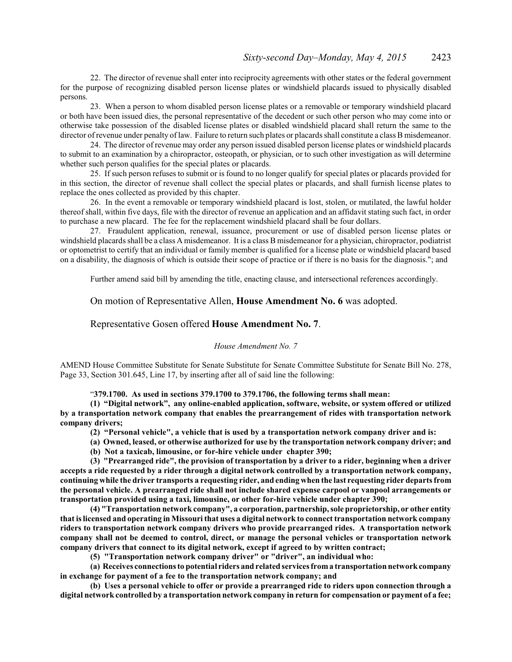22. The director of revenue shall enter into reciprocity agreements with other states or the federal government for the purpose of recognizing disabled person license plates or windshield placards issued to physically disabled persons.

23. When a person to whom disabled person license plates or a removable or temporary windshield placard or both have been issued dies, the personal representative of the decedent or such other person who may come into or otherwise take possession of the disabled license plates or disabled windshield placard shall return the same to the director ofrevenue under penalty oflaw. Failure to return such plates or placards shall constitute a class B misdemeanor.

24. The director of revenue may order any person issued disabled person license plates or windshield placards to submit to an examination by a chiropractor, osteopath, or physician, or to such other investigation as will determine whether such person qualifies for the special plates or placards.

25. If such person refuses to submit or is found to no longer qualify for special plates or placards provided for in this section, the director of revenue shall collect the special plates or placards, and shall furnish license plates to replace the ones collected as provided by this chapter.

26. In the event a removable or temporary windshield placard is lost, stolen, or mutilated, the lawful holder thereof shall, within five days, file with the director of revenue an application and an affidavit stating such fact, in order to purchase a new placard. The fee for the replacement windshield placard shall be four dollars.

27. Fraudulent application, renewal, issuance, procurement or use of disabled person license plates or windshield placards shall be a class A misdemeanor. It is a class B misdemeanor for a physician, chiropractor, podiatrist or optometrist to certify that an individual or family member is qualified for a license plate or windshield placard based on a disability, the diagnosis of which is outside their scope of practice or if there is no basis for the diagnosis."; and

Further amend said bill by amending the title, enacting clause, and intersectional references accordingly.

On motion of Representative Allen, **House Amendment No. 6** was adopted.

#### Representative Gosen offered **House Amendment No. 7**.

#### *House Amendment No. 7*

AMEND House Committee Substitute for Senate Substitute for Senate Committee Substitute for Senate Bill No. 278, Page 33, Section 301.645, Line 17, by inserting after all of said line the following:

"**379.1700. As used in sections 379.1700 to 379.1706, the following terms shall mean:**

**(1) "Digital network", any online-enabled application, software, website, or system offered or utilized by a transportation network company that enables the prearrangement of rides with transportation network company drivers;**

**(2) "Personal vehicle", a vehicle that is used by a transportation network company driver and is:**

**(a) Owned, leased, or otherwise authorized for use by the transportation network company driver; and**

**(b) Not a taxicab, limousine, or for-hire vehicle under chapter 390;**

**(3) "Prearranged ride", the provision of transportation by a driver to a rider, beginning when a driver accepts a ride requested by a rider through a digital network controlled by a transportation network company, continuing while the driver transports a requesting rider, and ending when the last requesting rider departs from the personal vehicle. A prearranged ride shall not include shared expense carpool or vanpool arrangements or transportation provided using a taxi, limousine, or other for-hire vehicle under chapter 390;**

**(4) "Transportation network company", a corporation, partnership, sole proprietorship, or other entity that is licensed and operating in Missouri that uses a digital network to connect transportation network company riders to transportation network company drivers who provide prearranged rides. A transportation network company shall not be deemed to control, direct, or manage the personal vehicles or transportation network company drivers that connect to its digital network, except if agreed to by written contract;**

**(5) "Transportation network company driver" or "driver", an individual who:**

**(a) Receives connections to potential riders and related services froma transportation networkcompany in exchange for payment of a fee to the transportation network company; and**

**(b) Uses a personal vehicle to offer or provide a prearranged ride to riders upon connection through a digital network controlled by a transportation network company in return for compensation or payment of a fee;**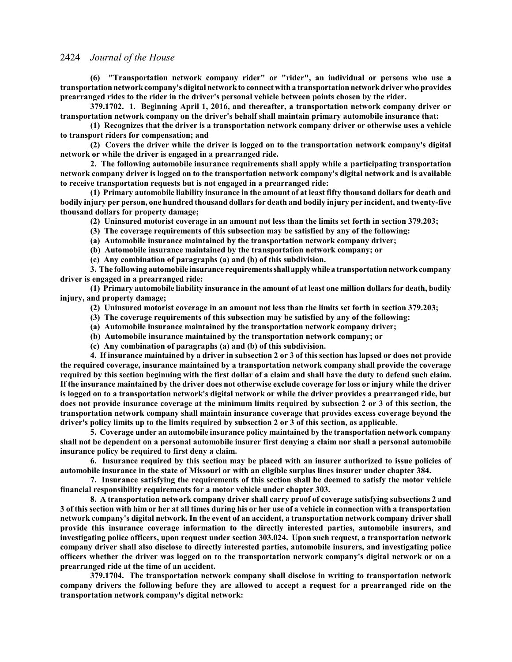**(6) "Transportation network company rider" or "rider", an individual or persons who use a transportation networkcompany's digital networkto connect with a transportation networkdriver who provides prearranged rides to the rider in the driver's personal vehicle between points chosen by the rider.**

**379.1702. 1. Beginning April 1, 2016, and thereafter, a transportation network company driver or transportation network company on the driver's behalf shall maintain primary automobile insurance that:**

**(1) Recognizes that the driver is a transportation network company driver or otherwise uses a vehicle to transport riders for compensation; and**

**(2) Covers the driver while the driver is logged on to the transportation network company's digital network or while the driver is engaged in a prearranged ride.**

**2. The following automobile insurance requirements shall apply while a participating transportation network company driver is logged on to the transportation network company's digital network and is available to receive transportation requests but is not engaged in a prearranged ride:**

**(1) Primary automobile liability insurance in the amount of at least fifty thousand dollars for death and bodily injury per person, one hundred thousand dollars for death and bodily injury per incident, and twenty-five thousand dollars for property damage;**

**(2) Uninsured motorist coverage in an amount not less than the limits set forth in section 379.203;**

**(3) The coverage requirements of this subsection may be satisfied by any of the following:**

**(a) Automobile insurance maintained by the transportation network company driver;**

**(b) Automobile insurance maintained by the transportation network company; or**

**(c) Any combination of paragraphs (a) and (b) of this subdivision.**

**3. The following automobile insurance requirementsshall applywhile a transportationnetworkcompany driver is engaged in a prearranged ride:**

**(1) Primary automobile liability insurance in the amount of at least one million dollars for death, bodily injury, and property damage;**

**(2) Uninsured motorist coverage in an amount not less than the limits set forth in section 379.203;**

- **(3) The coverage requirements of this subsection may be satisfied by any of the following:**
- **(a) Automobile insurance maintained by the transportation network company driver;**
- **(b) Automobile insurance maintained by the transportation network company; or**
- **(c) Any combination of paragraphs (a) and (b) of this subdivision.**

**4. If insurance maintained by a driver in subsection 2 or 3 of this section has lapsed or does not provide the required coverage, insurance maintained by a transportation network company shall provide the coverage required by this section beginning with the first dollar of a claim and shall have the duty to defend such claim. If the insurance maintained by the driver does not otherwise exclude coverage for loss or injury while the driver is logged on to a transportation network's digital network or while the driver provides a prearranged ride, but does not provide insurance coverage at the minimum limits required by subsection 2 or 3 of this section, the transportation network company shall maintain insurance coverage that provides excess coverage beyond the driver's policy limits up to the limits required by subsection 2 or 3 of this section, as applicable.**

**5. Coverage under an automobile insurance policy maintained by the transportation network company shall not be dependent on a personal automobile insurer first denying a claim nor shall a personal automobile insurance policy be required to first deny a claim.**

**6. Insurance required by this section may be placed with an insurer authorized to issue policies of automobile insurance in the state of Missouri or with an eligible surplus lines insurer under chapter 384.**

**7. Insurance satisfying the requirements of this section shall be deemed to satisfy the motor vehicle financial responsibility requirements for a motor vehicle under chapter 303.**

**8. A transportation network company driver shall carry proof of coverage satisfying subsections 2 and 3 of this section with him or her at all times during his or her use of a vehicle in connection with a transportation network company's digital network. In the event of an accident, a transportation network company driver shall provide this insurance coverage information to the directly interested parties, automobile insurers, and investigating police officers, upon request under section 303.024. Upon such request, a transportation network company driver shall also disclose to directly interested parties, automobile insurers, and investigating police officers whether the driver was logged on to the transportation network company's digital network or on a prearranged ride at the time of an accident.**

**379.1704. The transportation network company shall disclose in writing to transportation network company drivers the following before they are allowed to accept a request for a prearranged ride on the transportation network company's digital network:**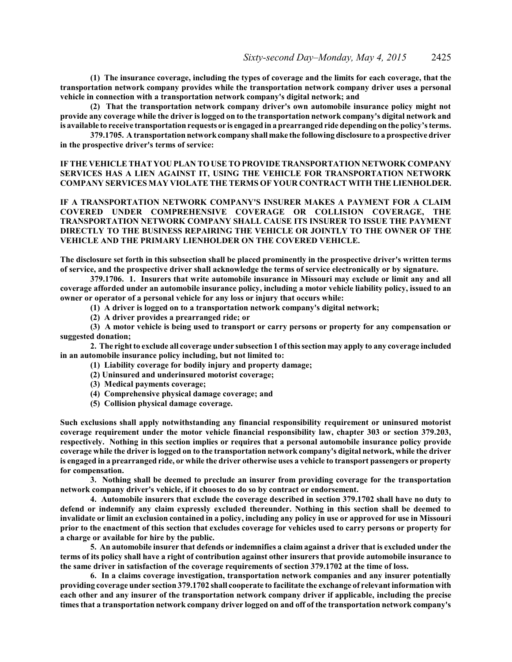**(1) The insurance coverage, including the types of coverage and the limits for each coverage, that the transportation network company provides while the transportation network company driver uses a personal vehicle in connection with a transportation network company's digital network; and**

**(2) That the transportation network company driver's own automobile insurance policy might not provide any coverage while the driver is logged on to the transportation network company's digital network and is available to receive transportation requests or is engaged in a prearranged ride depending on the policy's terms.**

**379.1705. A transportation networkcompany shall make the following disclosure to a prospective driver in the prospective driver's terms of service:**

**IF THE VEHICLE THAT YOU PLAN TO USE TO PROVIDE TRANSPORTATION NETWORK COMPANY SERVICES HAS A LIEN AGAINST IT, USING THE VEHICLE FOR TRANSPORTATION NETWORK COMPANY SERVICES MAY VIOLATE THE TERMS OF YOUR CONTRACT WITH THE LIENHOLDER.**

**IF A TRANSPORTATION NETWORK COMPANY'S INSURER MAKES A PAYMENT FOR A CLAIM COVERED UNDER COMPREHENSIVE COVERAGE OR COLLISION COVERAGE, THE TRANSPORTATION NETWORK COMPANY SHALL CAUSE ITS INSURER TO ISSUE THE PAYMENT DIRECTLY TO THE BUSINESS REPAIRING THE VEHICLE OR JOINTLY TO THE OWNER OF THE VEHICLE AND THE PRIMARY LIENHOLDER ON THE COVERED VEHICLE.**

**The disclosure set forth in this subsection shall be placed prominently in the prospective driver's written terms of service, and the prospective driver shall acknowledge the terms of service electronically or by signature.**

**379.1706. 1. Insurers that write automobile insurance in Missouri may exclude or limit any and all coverage afforded under an automobile insurance policy, including a motor vehicle liability policy, issued to an owner or operator of a personal vehicle for any loss or injury that occurs while:**

**(1) A driver is logged on to a transportation network company's digital network;**

**(2) A driver provides a prearranged ride; or**

**(3) A motor vehicle is being used to transport or carry persons or property for any compensation or suggested donation;**

**2. The right to exclude all coverage under subsection 1 of this section may apply to any coverage included in an automobile insurance policy including, but not limited to:**

- **(1) Liability coverage for bodily injury and property damage;**
- **(2) Uninsured and underinsured motorist coverage;**
- **(3) Medical payments coverage;**
- **(4) Comprehensive physical damage coverage; and**
- **(5) Collision physical damage coverage.**

**Such exclusions shall apply notwithstanding any financial responsibility requirement or uninsured motorist coverage requirement under the motor vehicle financial responsibility law, chapter 303 or section 379.203, respectively. Nothing in this section implies or requires that a personal automobile insurance policy provide coverage while the driver is logged on to the transportation network company's digital network, while the driver is engaged in a prearranged ride, or while the driver otherwise uses a vehicle to transport passengers or property for compensation.**

**3. Nothing shall be deemed to preclude an insurer from providing coverage for the transportation network company driver's vehicle, if it chooses to do so by contract or endorsement.**

**4. Automobile insurers that exclude the coverage described in section 379.1702 shall have no duty to defend or indemnify any claim expressly excluded thereunder. Nothing in this section shall be deemed to invalidate or limit an exclusion contained in a policy, including any policy in use or approved for use in Missouri prior to the enactment of this section that excludes coverage for vehicles used to carry persons or property for a charge or available for hire by the public.**

**5. An automobile insurer that defends or indemnifies a claim against a driver that is excluded under the terms of its policy shall have a right of contribution against other insurers that provide automobile insurance to the same driver in satisfaction of the coverage requirements of section 379.1702 at the time of loss.**

**6. In a claims coverage investigation, transportation network companies and any insurer potentially providing coverage under section 379.1702 shall cooperate to facilitate the exchange of relevant information with each other and any insurer of the transportation network company driver if applicable, including the precise times that a transportation network company driver logged on and off of the transportation network company's**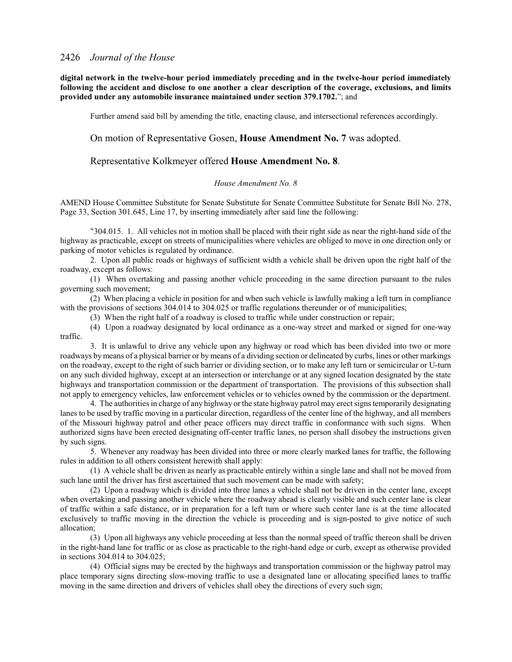**digital network in the twelve-hour period immediately preceding and in the twelve-hour period immediately following the accident and disclose to one another a clear description of the coverage, exclusions, and limits provided under any automobile insurance maintained under section 379.1702.**"; and

Further amend said bill by amending the title, enacting clause, and intersectional references accordingly.

### On motion of Representative Gosen, **House Amendment No. 7** was adopted.

#### Representative Kolkmeyer offered **House Amendment No. 8**.

#### *House Amendment No. 8*

AMEND House Committee Substitute for Senate Substitute for Senate Committee Substitute for Senate Bill No. 278, Page 33, Section 301.645, Line 17, by inserting immediately after said line the following:

"304.015. 1. All vehicles not in motion shall be placed with their right side as near the right-hand side of the highway as practicable, except on streets of municipalities where vehicles are obliged to move in one direction only or parking of motor vehicles is regulated by ordinance.

2. Upon all public roads or highways of sufficient width a vehicle shall be driven upon the right half of the roadway, except as follows:

(1) When overtaking and passing another vehicle proceeding in the same direction pursuant to the rules governing such movement;

(2) When placing a vehicle in position for and when such vehicle is lawfully making a left turn in compliance with the provisions of sections 304.014 to 304.025 or traffic regulations thereunder or of municipalities;

(3) When the right half of a roadway is closed to traffic while under construction or repair;

(4) Upon a roadway designated by local ordinance as a one-way street and marked or signed for one-way traffic.

3. It is unlawful to drive any vehicle upon any highway or road which has been divided into two or more roadways bymeans of a physical barrier or by means of a dividing section or delineated by curbs, lines or other markings on the roadway, except to the right of such barrier or dividing section, or to make any left turn or semicircular or U-turn on any such divided highway, except at an intersection or interchange or at any signed location designated by the state highways and transportation commission or the department of transportation. The provisions of this subsection shall not apply to emergency vehicles, law enforcement vehicles or to vehicles owned by the commission or the department.

4. The authorities in charge of any highway or the state highway patrol may erect signs temporarily designating lanes to be used by traffic moving in a particular direction, regardless of the center line of the highway, and all members of the Missouri highway patrol and other peace officers may direct traffic in conformance with such signs. When authorized signs have been erected designating off-center traffic lanes, no person shall disobey the instructions given by such signs.

5. Whenever any roadway has been divided into three or more clearly marked lanes for traffic, the following rules in addition to all others consistent herewith shall apply:

(1) A vehicle shall be driven as nearly as practicable entirely within a single lane and shall not be moved from such lane until the driver has first ascertained that such movement can be made with safety;

(2) Upon a roadway which is divided into three lanes a vehicle shall not be driven in the center lane, except when overtaking and passing another vehicle where the roadway ahead is clearly visible and such center lane is clear of traffic within a safe distance, or in preparation for a left turn or where such center lane is at the time allocated exclusively to traffic moving in the direction the vehicle is proceeding and is sign-posted to give notice of such allocation;

(3) Upon all highways any vehicle proceeding at less than the normal speed of traffic thereon shall be driven in the right-hand lane for traffic or as close as practicable to the right-hand edge or curb, except as otherwise provided in sections 304.014 to 304.025;

(4) Official signs may be erected by the highways and transportation commission or the highway patrol may place temporary signs directing slow-moving traffic to use a designated lane or allocating specified lanes to traffic moving in the same direction and drivers of vehicles shall obey the directions of every such sign;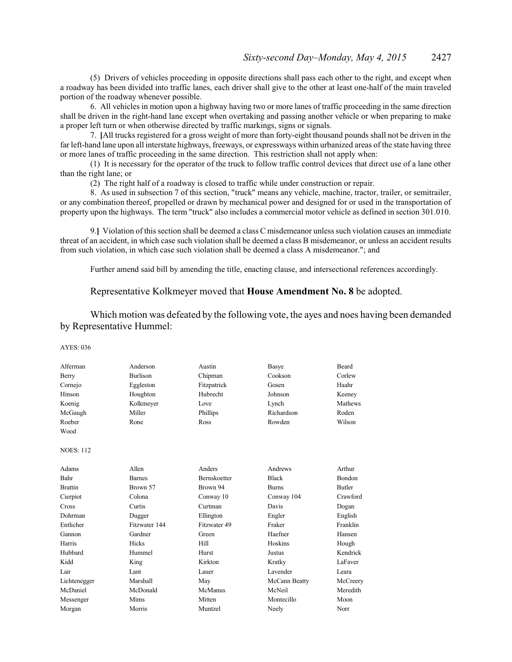(5) Drivers of vehicles proceeding in opposite directions shall pass each other to the right, and except when a roadway has been divided into traffic lanes, each driver shall give to the other at least one-half of the main traveled portion of the roadway whenever possible.

6. All vehicles in motion upon a highway having two or more lanes of traffic proceeding in the same direction shall be driven in the right-hand lane except when overtaking and passing another vehicle or when preparing to make a proper left turn or when otherwise directed by traffic markings, signs or signals.

7. **[**All trucks registered for a gross weight of more than forty-eight thousand pounds shall not be driven in the far left-hand lane upon all interstate highways, freeways, or expressways within urbanized areas of the state having three or more lanes of traffic proceeding in the same direction. This restriction shall not apply when:

(1) It is necessary for the operator of the truck to follow traffic control devices that direct use of a lane other than the right lane; or

(2) The right half of a roadway is closed to traffic while under construction or repair.

8. As used in subsection 7 of this section, "truck" means any vehicle, machine, tractor, trailer, or semitrailer, or any combination thereof, propelled or drawn by mechanical power and designed for or used in the transportation of property upon the highways. The term "truck" also includes a commercial motor vehicle as defined in section 301.010.

9.**]** Violation of this section shall be deemed a class C misdemeanor unless such violation causes an immediate threat of an accident, in which case such violation shall be deemed a class B misdemeanor, or unless an accident results from such violation, in which case such violation shall be deemed a class A misdemeanor."; and

Further amend said bill by amending the title, enacting clause, and intersectional references accordingly.

## Representative Kolkmeyer moved that **House Amendment No. 8** be adopted.

Which motion was defeated by the following vote, the ayes and noes having been demanded by Representative Hummel:

| Alferman         | Anderson        | Austin              | <b>Basye</b>  | <b>Beard</b>  |
|------------------|-----------------|---------------------|---------------|---------------|
| Berry            | <b>Burlison</b> | Chipman             | Cookson       | Corlew        |
| Cornejo          | Eggleston       | Fitzpatrick         | Gosen         | Haahr         |
| Hinson           | Houghton        | Hubrecht            | Johnson       | Keeney        |
| Koenig           | Kolkmeyer       | Love                | Lynch         | Mathews       |
| McGaugh          | Miller          | Phillips            | Richardson    | Roden         |
| Roeber           | Rone            | Ross                | Rowden        | Wilson        |
| Wood             |                 |                     |               |               |
| <b>NOES: 112</b> |                 |                     |               |               |
| Adams            | Allen           | Anders              | Andrews       | Arthur        |
| Bahr             | <b>Barnes</b>   | <b>Bernskoetter</b> | <b>Black</b>  | <b>Bondon</b> |
| <b>Brattin</b>   | Brown 57        | Brown 94            | <b>Burns</b>  | Butler        |
| Cierpiot         | Colona          | Conway 10           | Conway 104    | Crawford      |
| Cross            | Curtis          | Curtman             | Davis         | Dogan         |
| Dohrman          | Dugger          | Ellington           | Engler        | English       |
| Entlicher        | Fitzwater 144   | Fitzwater 49        | Fraker        | Franklin      |
| Gannon           | Gardner         | Green               | Haefner       | Hansen        |
| Harris           | Hicks           | <b>Hill</b>         | Hoskins       | Hough         |
| Hubbard          | Hummel          | Hurst               | Justus        | Kendrick      |
| Kidd             | King            | Kirkton             | Kratky        | LaFaver       |
| Lair             | Lant            | Lauer               | Lavender      | Leara         |
| Lichtenegger     | Marshall        | May                 | McCann Beatty | McCreery      |
| McDaniel         | McDonald        | McManus             | McNeil        | Meredith      |
| Messenger        | Mims            | Mitten              | Montecillo    | Moon          |
| Morgan           | Morris          | Muntzel             | Neely         | Norr          |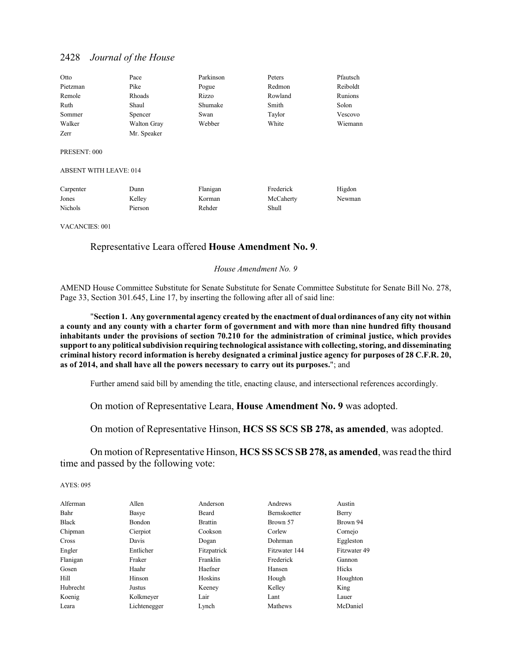| Otto     | Pace        | Parkinson | Peters  | Pfautsch |
|----------|-------------|-----------|---------|----------|
| Pietzman | Pike        | Pogue     | Redmon  | Reiboldt |
| Remole   | Rhoads      | Rizzo     | Rowland | Runions  |
| Ruth     | Shaul       | Shumake   | Smith   | Solon    |
| Sommer   | Spencer     | Swan      | Taylor  | Vescovo  |
| Walker   | Walton Gray | Webber    | White   | Wiemann  |
| Zerr     | Mr. Speaker |           |         |          |

PRESENT: 000

ABSENT WITH LEAVE: 014

| Carpenter      | Dunn    | Flanigan | Frederick | Higdon |
|----------------|---------|----------|-----------|--------|
| Jones          | Kelley  | Korman   | McCaherty | Newman |
| <b>Nichols</b> | Pierson | Rehder   | Shull     |        |

VACANCIES: 001

## Representative Leara offered **House Amendment No. 9**.

#### *House Amendment No. 9*

AMEND House Committee Substitute for Senate Substitute for Senate Committee Substitute for Senate Bill No. 278, Page 33, Section 301.645, Line 17, by inserting the following after all of said line:

"**Section 1. Any governmental agency created by the enactment of dual ordinances of any city not within a county and any county with a charter form of government and with more than nine hundred fifty thousand inhabitants under the provisions of section 70.210 for the administration of criminal justice, which provides support to any political subdivision requiring technological assistance with collecting, storing, and disseminating criminal history record information is hereby designated a criminal justice agency for purposes of 28 C.F.R. 20, as of 2014, and shall have all the powers necessary to carry out its purposes.**"; and

Further amend said bill by amending the title, enacting clause, and intersectional references accordingly.

On motion of Representative Leara, **House Amendment No. 9** was adopted.

On motion of Representative Hinson, **HCS SS SCS SB 278, as amended**, was adopted.

On motion of Representative Hinson, **HCS SS SCS SB 278, as amended**, was read the third time and passed by the following vote:

| Alferman     | Allen         | Anderson       | Andrews             | Austin       |
|--------------|---------------|----------------|---------------------|--------------|
| Bahr         | Basye         | Beard          | <b>Bernskoetter</b> | Berry        |
| <b>Black</b> | <b>Bondon</b> | <b>Brattin</b> | Brown 57            | Brown 94     |
| Chipman      | Cierpiot      | Cookson        | Corlew              | Cornejo      |
| Cross        | Davis         | Dogan          | Dohrman             | Eggleston    |
| Engler       | Entlicher     | Fitzpatrick    | Fitzwater 144       | Fitzwater 49 |
| Flanigan     | Fraker        | Franklin       | Frederick           | Gannon       |
| Gosen        | Haahr         | Haefner        | Hansen              | Hicks        |
| Hill         | Hinson        | Hoskins        | Hough               | Houghton     |
| Hubrecht     | Justus        | Keeney         | Kelley              | King         |
| Koenig       | Kolkmeyer     | Lair           | Lant                | Lauer        |
| Leara        | Lichtenegger  | Lynch          | Mathews             | McDaniel     |
|              |               |                |                     |              |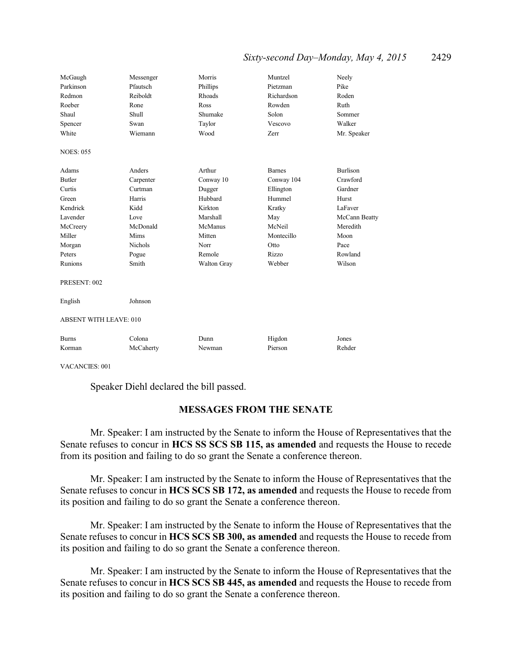# *Sixty-second Day–Monday, May 4, 2015* 2429

| McGaugh<br>Parkinson<br>Redmon<br>Roeber<br>Shaul<br>Spencer<br>White                                                  | Messenger<br>Pfautsch<br>Reiboldt<br>Rone<br>Shull<br>Swan<br>Wiemann                                            | Morris<br>Phillips<br>Rhoads<br><b>Ross</b><br>Shumake<br>Taylor<br>Wood                                              | Muntzel<br>Pietzman<br>Richardson<br>Rowden<br>Solon<br>Vescovo<br>Zerr                                                | Neely<br>Pike<br>Roden<br>Ruth<br>Sommer<br>Walker<br>Mr. Speaker                                                            |
|------------------------------------------------------------------------------------------------------------------------|------------------------------------------------------------------------------------------------------------------|-----------------------------------------------------------------------------------------------------------------------|------------------------------------------------------------------------------------------------------------------------|------------------------------------------------------------------------------------------------------------------------------|
| <b>NOES: 055</b>                                                                                                       |                                                                                                                  |                                                                                                                       |                                                                                                                        |                                                                                                                              |
| Adams<br><b>Butler</b><br>Curtis<br>Green<br>Kendrick<br>Lavender<br>McCreery<br>Miller<br>Morgan<br>Peters<br>Runions | Anders<br>Carpenter<br>Curtman<br>Harris<br>Kidd<br>Love<br>McDonald<br>Mims<br><b>Nichols</b><br>Pogue<br>Smith | Arthur<br>Conway 10<br>Dugger<br>Hubbard<br>Kirkton<br>Marshall<br>McManus<br>Mitten<br>Norr<br>Remole<br>Walton Gray | <b>Barnes</b><br>Conway 104<br>Ellington<br>Hummel<br>Kratky<br>May<br>McNeil<br>Montecillo<br>Otto<br>Rizzo<br>Webber | <b>Burlison</b><br>Crawford<br>Gardner<br>Hurst<br>LaFaver<br>McCann Beatty<br>Meredith<br>Moon<br>Pace<br>Rowland<br>Wilson |
| PRESENT: 002                                                                                                           |                                                                                                                  |                                                                                                                       |                                                                                                                        |                                                                                                                              |
| English                                                                                                                | Johnson                                                                                                          |                                                                                                                       |                                                                                                                        |                                                                                                                              |
| <b>ABSENT WITH LEAVE: 010</b>                                                                                          |                                                                                                                  |                                                                                                                       |                                                                                                                        |                                                                                                                              |
| <b>Burns</b><br>Korman                                                                                                 | Colona<br>McCaherty                                                                                              | Dunn<br>Newman                                                                                                        | Higdon<br>Pierson                                                                                                      | Jones<br>Rehder                                                                                                              |

VACANCIES: 001

Speaker Diehl declared the bill passed.

# **MESSAGES FROM THE SENATE**

Mr. Speaker: I am instructed by the Senate to inform the House of Representatives that the Senate refuses to concur in **HCS SS SCS SB 115, as amended** and requests the House to recede from its position and failing to do so grant the Senate a conference thereon.

Mr. Speaker: I am instructed by the Senate to inform the House of Representatives that the Senate refuses to concur in **HCS SCS SB 172, as amended** and requests the House to recede from its position and failing to do so grant the Senate a conference thereon.

Mr. Speaker: I am instructed by the Senate to inform the House of Representatives that the Senate refuses to concur in **HCS SCS SB 300, as amended** and requests the House to recede from its position and failing to do so grant the Senate a conference thereon.

Mr. Speaker: I am instructed by the Senate to inform the House of Representatives that the Senate refuses to concur in **HCS SCS SB 445, as amended** and requests the House to recede from its position and failing to do so grant the Senate a conference thereon.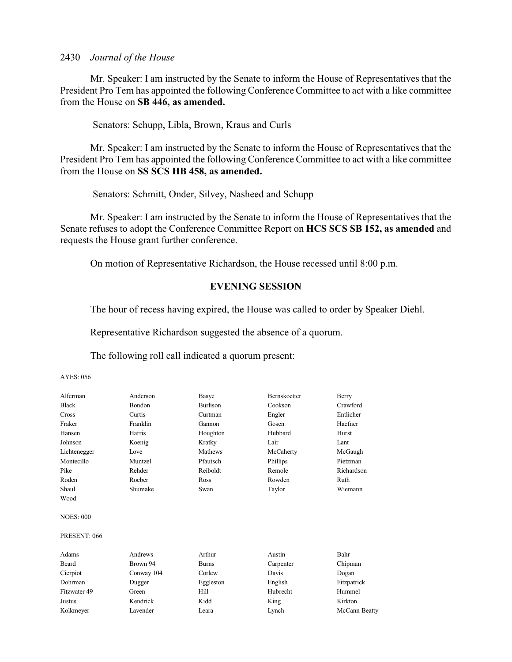Mr. Speaker: I am instructed by the Senate to inform the House of Representatives that the President Pro Tem has appointed the following Conference Committee to act with a like committee from the House on **SB 446, as amended.** 

Senators: Schupp, Libla, Brown, Kraus and Curls

Mr. Speaker: I am instructed by the Senate to inform the House of Representatives that the President Pro Tem has appointed the following Conference Committee to act with a like committee from the House on **SS SCS HB 458, as amended.** 

Senators: Schmitt, Onder, Silvey, Nasheed and Schupp

Mr. Speaker: I am instructed by the Senate to inform the House of Representatives that the Senate refuses to adopt the Conference Committee Report on **HCS SCS SB 152, as amended** and requests the House grant further conference.

On motion of Representative Richardson, the House recessed until 8:00 p.m.

# **EVENING SESSION**

The hour of recess having expired, the House was called to order by Speaker Diehl.

Representative Richardson suggested the absence of a quorum.

The following roll call indicated a quorum present:

| Alferman         | Anderson   | Basye           | Bernskoetter | Berry         |
|------------------|------------|-----------------|--------------|---------------|
| <b>Black</b>     | Bondon     | <b>Burlison</b> | Cookson      | Crawford      |
| Cross            | Curtis     | Curtman         | Engler       | Entlicher     |
| Fraker           | Franklin   | Gannon          | Gosen        | Haefner       |
| Hansen           | Harris     | Houghton        | Hubbard      | Hurst         |
| Johnson          | Koenig     | Kratky          | Lair         | Lant          |
| Lichtenegger     | Love       | Mathews         | McCaherty    | McGaugh       |
| Montecillo       | Muntzel    | Pfautsch        | Phillips     | Pietzman      |
| Pike             | Rehder     | Reiboldt        | Remole       | Richardson    |
| Roden            | Roeber     | Ross            | Rowden       | Ruth          |
| Shaul            | Shumake    | Swan            | Taylor       | Wiemann       |
| Wood             |            |                 |              |               |
| <b>NOES: 000</b> |            |                 |              |               |
| PRESENT: 066     |            |                 |              |               |
| Adams            | Andrews    | Arthur          | Austin       | Bahr          |
| Beard            | Brown 94   | <b>Burns</b>    | Carpenter    | Chipman       |
| Cierpiot         | Conway 104 | Corlew          | Davis        | Dogan         |
| Dohrman          | Dugger     | Eggleston       | English      | Fitzpatrick   |
| Fitzwater 49     | Green      | Hill            | Hubrecht     | Hummel        |
| Justus           | Kendrick   | Kidd            | King         | Kirkton       |
| Kolkmeyer        | Lavender   | Leara           | Lynch        | McCann Beatty |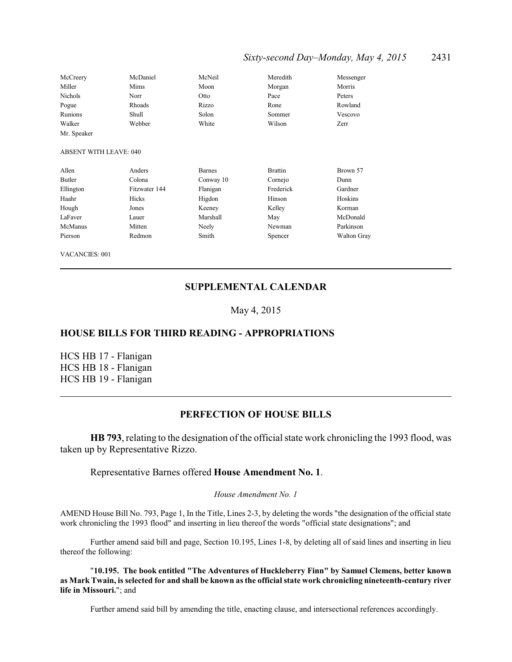# *Sixty-second Day–Monday, May 4, 2015* 2431

| McCreery       | McDaniel | McNeil | Meredith | Messenger |
|----------------|----------|--------|----------|-----------|
| Miller         | Mims     | Moon   | Morgan   | Morris    |
| <b>Nichols</b> | Norr     | Otto   | Pace     | Peters    |
| Pogue          | Rhoads   | Rizzo  | Rone     | Rowland   |
| Runions        | Shull    | Solon  | Sommer   | Vescovo   |
| Walker         | Webber   | White  | Wilson   | Zerr      |
| Mr. Speaker    |          |        |          |           |

#### ABSENT WITH LEAVE: 040

| Allen     | Anders        | <b>Barnes</b> | <b>Brattin</b> | Brown 57           |
|-----------|---------------|---------------|----------------|--------------------|
| Butler    | Colona        | Conway 10     | Cornejo        | Dunn               |
| Ellington | Fitzwater 144 | Flanigan      | Frederick      | Gardner            |
| Haahr     | Hicks         | Higdon        | Hinson         | Hoskins            |
| Hough     | Jones         | Keeney        | Kelley         | Korman             |
| LaFaver   | Lauer         | Marshall      | May            | McDonald           |
| McManus   | Mitten        | Neely         | Newman         | Parkinson          |
| Pierson   | Redmon        | Smith         | Spencer        | <b>Walton Gray</b> |

VACANCIES: 001

## **SUPPLEMENTAL CALENDAR**

## May 4, 2015

## **HOUSE BILLS FOR THIRD READING - APPROPRIATIONS**

HCS HB 17 - Flanigan HCS HB 18 - Flanigan HCS HB 19 - Flanigan

# **PERFECTION OF HOUSE BILLS**

**HB 793**, relating to the designation of the official state work chronicling the 1993 flood, was taken up by Representative Rizzo.

## Representative Barnes offered **House Amendment No. 1**.

*House Amendment No. 1*

AMEND House Bill No. 793, Page 1, In the Title, Lines 2-3, by deleting the words "the designation of the official state work chronicling the 1993 flood" and inserting in lieu thereof the words "official state designations"; and

Further amend said bill and page, Section 10.195, Lines 1-8, by deleting all of said lines and inserting in lieu thereof the following:

"**10.195. The book entitled "The Adventures of Huckleberry Finn" by Samuel Clemens, better known as Mark Twain, is selected for and shall be known as the official state work chronicling nineteenth-century river life in Missouri.**"; and

Further amend said bill by amending the title, enacting clause, and intersectional references accordingly.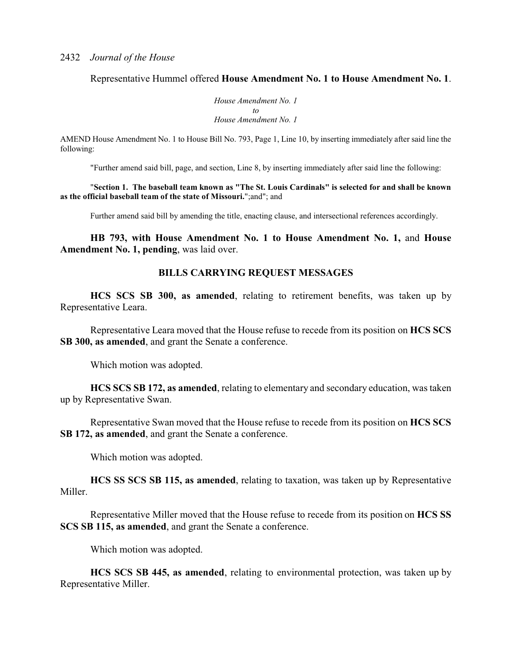Representative Hummel offered **House Amendment No. 1 to House Amendment No. 1**.

*House Amendment No. 1 to House Amendment No. 1*

AMEND House Amendment No. 1 to House Bill No. 793, Page 1, Line 10, by inserting immediately after said line the following:

"Further amend said bill, page, and section, Line 8, by inserting immediately after said line the following:

"**Section 1. The baseball team known as "The St. Louis Cardinals" is selected for and shall be known as the official baseball team of the state of Missouri.**";and"; and

Further amend said bill by amending the title, enacting clause, and intersectional references accordingly.

**HB 793, with House Amendment No. 1 to House Amendment No. 1,** and **House Amendment No. 1, pending**, was laid over.

## **BILLS CARRYING REQUEST MESSAGES**

**HCS SCS SB 300, as amended**, relating to retirement benefits, was taken up by Representative Leara.

Representative Leara moved that the House refuse to recede from its position on **HCS SCS SB 300, as amended**, and grant the Senate a conference.

Which motion was adopted.

**HCS SCS SB 172, as amended**, relating to elementary and secondary education, was taken up by Representative Swan.

Representative Swan moved that the House refuse to recede from its position on **HCS SCS SB 172, as amended**, and grant the Senate a conference.

Which motion was adopted.

**HCS SS SCS SB 115, as amended**, relating to taxation, was taken up by Representative Miller.

Representative Miller moved that the House refuse to recede from its position on **HCS SS SCS SB 115, as amended**, and grant the Senate a conference.

Which motion was adopted.

**HCS SCS SB 445, as amended**, relating to environmental protection, was taken up by Representative Miller.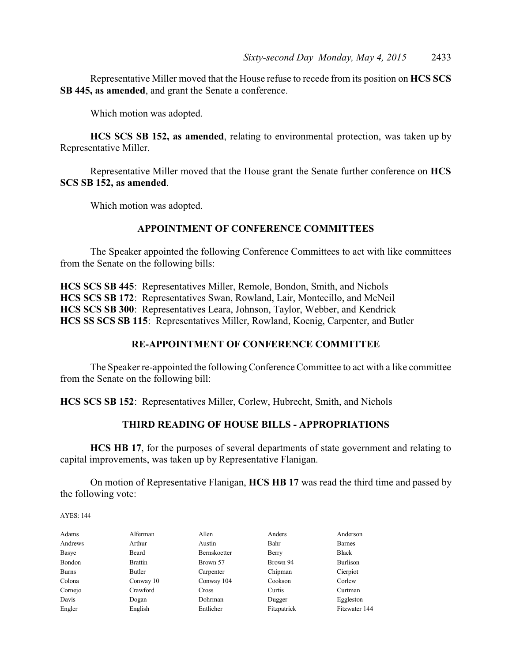Representative Miller moved that the House refuse to recede from its position on **HCS SCS SB 445, as amended**, and grant the Senate a conference.

Which motion was adopted.

**HCS SCS SB 152, as amended**, relating to environmental protection, was taken up by Representative Miller.

Representative Miller moved that the House grant the Senate further conference on **HCS SCS SB 152, as amended**.

Which motion was adopted.

## **APPOINTMENT OF CONFERENCE COMMITTEES**

The Speaker appointed the following Conference Committees to act with like committees from the Senate on the following bills:

**HCS SCS SB 445**: Representatives Miller, Remole, Bondon, Smith, and Nichols **HCS SCS SB 172**: Representatives Swan, Rowland, Lair, Montecillo, and McNeil **HCS SCS SB 300**: Representatives Leara, Johnson, Taylor, Webber, and Kendrick **HCS SS SCS SB 115**: Representatives Miller, Rowland, Koenig, Carpenter, and Butler

# **RE-APPOINTMENT OF CONFERENCE COMMITTEE**

The Speaker re-appointed the following Conference Committee to act with a like committee from the Senate on the following bill:

**HCS SCS SB 152**: Representatives Miller, Corlew, Hubrecht, Smith, and Nichols

# **THIRD READING OF HOUSE BILLS - APPROPRIATIONS**

**HCS HB 17**, for the purposes of several departments of state government and relating to capital improvements, was taken up by Representative Flanigan.

On motion of Representative Flanigan, **HCS HB 17** was read the third time and passed by the following vote:

| Adams   | Alferman       | Allen        | Anders      | Anderson      |
|---------|----------------|--------------|-------------|---------------|
| Andrews | Arthur         | Austin       | Bahr        | <b>Barnes</b> |
| Basye   | Beard          | Bernskoetter | Berry       | <b>Black</b>  |
| Bondon  | <b>Brattin</b> | Brown 57     | Brown 94    | Burlison      |
| Burns   | Butler         | Carpenter    | Chipman     | Cierpiot      |
| Colona  | Conway 10      | Conway 104   | Cookson     | Corlew        |
| Cornejo | Crawford       | Cross        | Curtis      | Curtman       |
| Davis   | Dogan          | Dohrman      | Dugger      | Eggleston     |
| Engler  | English        | Entlicher    | Fitzpatrick | Fitzwater 144 |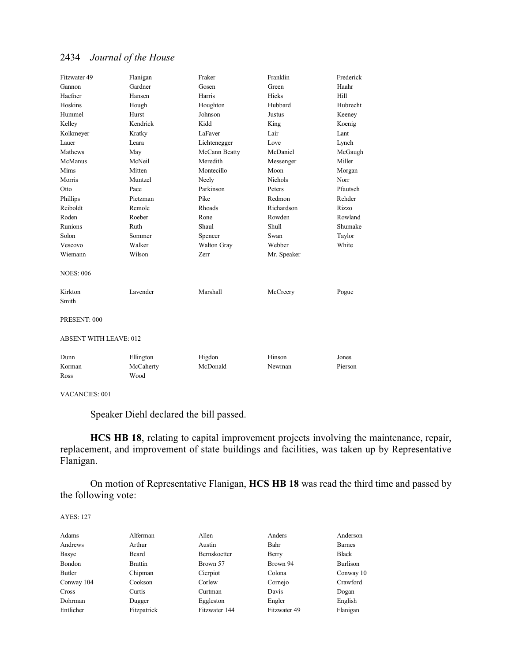| Fitzwater 49                  | Flanigan  | Fraker             | Franklin     | Frederick |
|-------------------------------|-----------|--------------------|--------------|-----------|
| Gannon                        | Gardner   | Gosen              | Green        | Haahr     |
| Haefner                       | Hansen    | Harris             | Hicks        | Hill      |
| Hoskins                       | Hough     | Houghton           | Hubbard      | Hubrecht  |
| Hummel                        | Hurst     | Johnson            | Justus       | Keeney    |
| Kelley                        | Kendrick  | Kidd               | King         | Koenig    |
| Kolkmeyer                     | Kratky    | LaFaver            | Lair         | Lant      |
| Lauer                         | Leara     | Lichtenegger       | Love         | Lynch     |
| Mathews                       | May       | McCann Beatty      | McDaniel     | McGaugh   |
| McManus                       | McNeil    | Meredith           | Messenger    | Miller    |
| Mims                          | Mitten    | Montecillo         | Moon         | Morgan    |
| Morris                        | Muntzel   | Neely              | Nichols      | Norr      |
| Otto                          | Pace      | Parkinson          | Peters       | Pfautsch  |
| Phillips                      | Pietzman  | Pike               | Redmon       | Rehder    |
| Reiboldt                      | Remole    | Rhoads             | Richardson   | Rizzo     |
| Roden                         | Roeber    | Rone               | Rowden       | Rowland   |
| <b>Runions</b>                | Ruth      | Shaul              | <b>Shull</b> | Shumake   |
| Solon                         | Sommer    | Spencer            | Swan         | Taylor    |
| Vescovo                       | Walker    | <b>Walton Gray</b> | Webber       | White     |
| Wiemann                       | Wilson    | Zerr               | Mr. Speaker  |           |
| <b>NOES: 006</b>              |           |                    |              |           |
| Kirkton                       | Lavender  | Marshall           | McCreery     | Pogue     |
| Smith                         |           |                    |              |           |
| PRESENT: 000                  |           |                    |              |           |
| <b>ABSENT WITH LEAVE: 012</b> |           |                    |              |           |
| Dunn                          | Ellington | Higdon             | Hinson       | Jones     |
| Korman                        | McCaherty | McDonald           | Newman       | Pierson   |
| Ross                          | Wood      |                    |              |           |
|                               |           |                    |              |           |

VACANCIES: 001

Speaker Diehl declared the bill passed.

**HCS HB 18**, relating to capital improvement projects involving the maintenance, repair, replacement, and improvement of state buildings and facilities, was taken up by Representative Flanigan.

On motion of Representative Flanigan, **HCS HB 18** was read the third time and passed by the following vote:

| Adams      | Alferman       | Allen         | Anders       | Anderson      |
|------------|----------------|---------------|--------------|---------------|
| Andrews    | Arthur         | Austin        | Bahr         | <b>Barnes</b> |
| Basye      | Beard          | Bernskoetter  | Berry        | <b>Black</b>  |
| Bondon     | <b>Brattin</b> | Brown 57      | Brown 94     | Burlison      |
| Butler     | Chipman        | Cierpiot      | Colona       | Conway 10     |
| Conway 104 | Cookson        | Corlew        | Cornejo      | Crawford      |
| Cross      | Curtis         | Curtman       | Davis        | Dogan         |
| Dohrman    | Dugger         | Eggleston     | Engler       | English       |
| Entlicher  | Fitzpatrick    | Fitzwater 144 | Fitzwater 49 | Flanigan      |
|            |                |               |              |               |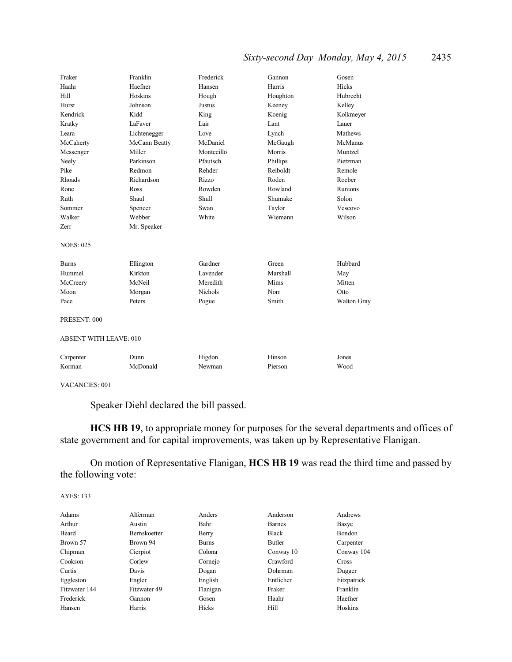# *Sixty-second Day–Monday, May 4, 2015* 2435

| Fraker                        | Franklin      | Frederick      | Gannon   | Gosen       |
|-------------------------------|---------------|----------------|----------|-------------|
| Haahr                         | Haefner       | Hansen         | Harris   | Hicks       |
| Hill                          | Hoskins       | Hough          | Houghton | Hubrecht    |
| Hurst                         | Johnson       | <b>Justus</b>  | Keeney   | Kelley      |
| Kendrick                      | Kidd          | King           | Koenig   | Kolkmeyer   |
| Kratky                        | LaFaver       | Lair           | Lant     | Lauer       |
| Leara                         | Lichtenegger  | Love           | Lynch    | Mathews     |
| McCaherty                     | McCann Beatty | McDaniel       | McGaugh  | McManus     |
| Messenger                     | Miller        | Montecillo     | Morris   | Muntzel     |
| Neely                         | Parkinson     | Pfautsch       | Phillips | Pietzman    |
| Pike                          | Redmon        | Rehder         | Reiboldt | Remole      |
| Rhoads                        | Richardson    | Rizzo          | Roden    | Roeber      |
| Rone                          | Ross          | Rowden         | Rowland  | Runions     |
| Ruth                          | Shaul         | Shull          | Shumake  | Solon       |
| Sommer                        | Spencer       | Swan           | Taylor   | Vescovo     |
| Walker                        | Webber        | White          | Wiemann  | Wilson      |
| Zerr                          | Mr. Speaker   |                |          |             |
| <b>NOES: 025</b>              |               |                |          |             |
|                               |               |                |          |             |
| <b>Burns</b>                  | Ellington     | Gardner        | Green    | Hubbard     |
| Hummel                        | Kirkton       | Lavender       | Marshall | May         |
| McCreery                      | McNeil        | Meredith       | Mims     | Mitten      |
| Moon                          | Morgan        | <b>Nichols</b> | Norr     | Otto        |
| Pace                          | Peters        | Pogue          | Smith    | Walton Gray |
| PRESENT: 000                  |               |                |          |             |
| <b>ABSENT WITH LEAVE: 010</b> |               |                |          |             |
| Carpenter                     | Dunn          | Higdon         | Hinson   | Jones       |
| Korman                        | McDonald      | Newman         | Pierson  | Wood        |
|                               |               |                |          |             |

VACANCIES: 001

Speaker Diehl declared the bill passed.

**HCS HB 19**, to appropriate money for purposes for the several departments and offices of state government and for capital improvements, was taken up by Representative Flanigan.

On motion of Representative Flanigan, **HCS HB 19** was read the third time and passed by the following vote:

| Adams         | Alferman     | Anders       | Anderson      | Andrews     |
|---------------|--------------|--------------|---------------|-------------|
| Arthur        | Austin       | Bahr         | <b>Barnes</b> | Basye       |
| Beard         | Bernskoetter | Berry        | <b>Black</b>  | Bondon      |
| Brown 57      | Brown 94     | <b>Burns</b> | Butler        | Carpenter   |
| Chipman       | Cierpiot     | Colona       | Conway 10     | Conway 104  |
| Cookson       | Corlew       | Cornejo      | Crawford      | Cross       |
| Curtis        | Davis        | Dogan        | Dohrman       | Dugger      |
| Eggleston     | Engler       | English      | Entlicher     | Fitzpatrick |
| Fitzwater 144 | Fitzwater 49 | Flanigan     | Fraker        | Franklin    |
| Frederick     | Gannon       | Gosen        | Haahr         | Haefner     |
| Hansen        | Harris       | Hicks        | Hill          | Hoskins     |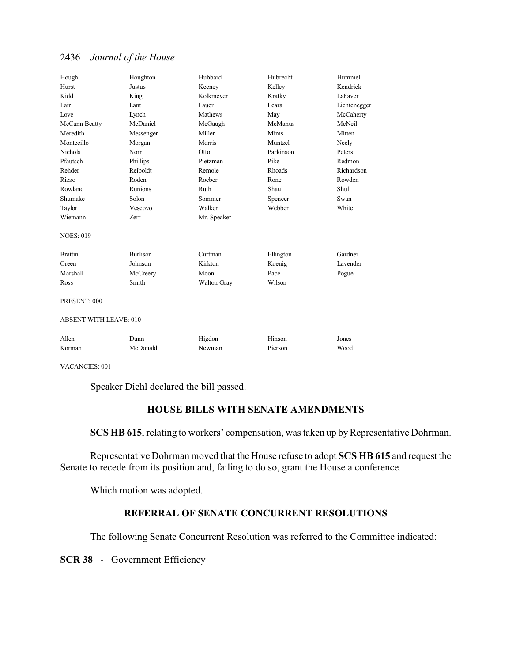| Hough                         | Houghton        | Hubbard     | Hubrecht  | Hummel       |
|-------------------------------|-----------------|-------------|-----------|--------------|
| Hurst                         | Justus          | Keeney      | Kelley    | Kendrick     |
| Kidd                          | King            | Kolkmeyer   | Kratky    | LaFaver      |
| Lair                          | Lant            | Lauer       | Leara     | Lichtenegger |
| Love                          | Lynch           | Mathews     | May       | McCaherty    |
| McCann Beatty                 | McDaniel        | McGaugh     | McManus   | McNeil       |
| Meredith                      | Messenger       | Miller      | Mims      | Mitten       |
| Montecillo                    | Morgan          | Morris      | Muntzel   | Neely        |
| <b>Nichols</b>                | Norr            | Otto        | Parkinson | Peters       |
| Pfautsch                      | Phillips        | Pietzman    | Pike      | Redmon       |
| Rehder                        | Reiboldt        | Remole      | Rhoads    | Richardson   |
| Rizzo                         | Roden           | Roeber      | Rone      | Rowden       |
| Rowland                       | Runions         | Ruth        | Shaul     | Shull        |
| Shumake                       | Solon           | Sommer      | Spencer   | Swan         |
| Taylor                        | Vescovo         | Walker      | Webber    | White        |
| Wiemann                       | Zerr            | Mr. Speaker |           |              |
| <b>NOES: 019</b>              |                 |             |           |              |
| <b>Brattin</b>                | <b>Burlison</b> | Curtman     | Ellington | Gardner      |
| Green                         | Johnson         | Kirkton     | Koenig    | Lavender     |
| Marshall                      | McCreery        | Moon        | Pace      | Pogue        |
| Ross                          | Smith           | Walton Gray | Wilson    |              |
| PRESENT: 000                  |                 |             |           |              |
| <b>ABSENT WITH LEAVE: 010</b> |                 |             |           |              |
| Allen                         | Dunn            | Higdon      | Hinson    | Jones        |
| Korman                        | McDonald        | Newman      | Pierson   | Wood         |

VACANCIES: 001

Speaker Diehl declared the bill passed.

# **HOUSE BILLS WITH SENATE AMENDMENTS**

**SCS HB 615**, relating to workers' compensation, was taken up by Representative Dohrman.

Representative Dohrman moved that the House refuse to adopt **SCS HB 615** and request the Senate to recede from its position and, failing to do so, grant the House a conference.

Which motion was adopted.

# **REFERRAL OF SENATE CONCURRENT RESOLUTIONS**

The following Senate Concurrent Resolution was referred to the Committee indicated:

**SCR 38** - Government Efficiency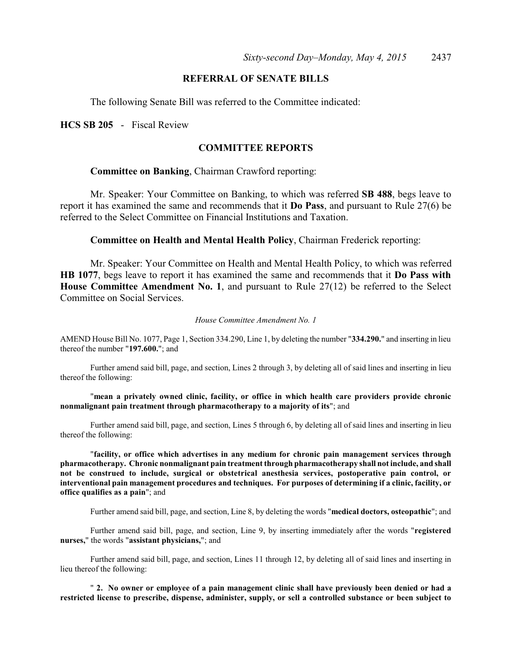# **REFERRAL OF SENATE BILLS**

The following Senate Bill was referred to the Committee indicated:

**HCS SB 205** - Fiscal Review

# **COMMITTEE REPORTS**

### **Committee on Banking**, Chairman Crawford reporting:

Mr. Speaker: Your Committee on Banking, to which was referred **SB 488**, begs leave to report it has examined the same and recommends that it **Do Pass**, and pursuant to Rule 27(6) be referred to the Select Committee on Financial Institutions and Taxation.

**Committee on Health and Mental Health Policy**, Chairman Frederick reporting:

Mr. Speaker: Your Committee on Health and Mental Health Policy, to which was referred **HB 1077**, begs leave to report it has examined the same and recommends that it **Do Pass with House Committee Amendment No. 1**, and pursuant to Rule 27(12) be referred to the Select Committee on Social Services.

#### *House Committee Amendment No. 1*

AMEND House Bill No. 1077, Page 1, Section 334.290, Line 1, by deleting the number "**334.290.**" and inserting in lieu thereof the number "**197.600.**"; and

Further amend said bill, page, and section, Lines 2 through 3, by deleting all of said lines and inserting in lieu thereof the following:

"**mean a privately owned clinic, facility, or office in which health care providers provide chronic nonmalignant pain treatment through pharmacotherapy to a majority of its**"; and

Further amend said bill, page, and section, Lines 5 through 6, by deleting all of said lines and inserting in lieu thereof the following:

"**facility, or office which advertises in any medium for chronic pain management services through pharmacotherapy. Chronic nonmalignant pain treatment through pharmacotherapy shall not include, and shall not be construed to include, surgical or obstetrical anesthesia services, postoperative pain control, or interventional pain management procedures and techniques. For purposes of determining if a clinic, facility, or office qualifies as a pain**"; and

Further amend said bill, page, and section, Line 8, by deleting the words "**medical doctors, osteopathic**"; and

Further amend said bill, page, and section, Line 9, by inserting immediately after the words "**registered nurses,**" the words "**assistant physicians,**"; and

Further amend said bill, page, and section, Lines 11 through 12, by deleting all of said lines and inserting in lieu thereof the following:

" **2. No owner or employee of a pain management clinic shall have previously been denied or had a restricted license to prescribe, dispense, administer, supply, or sell a controlled substance or been subject to**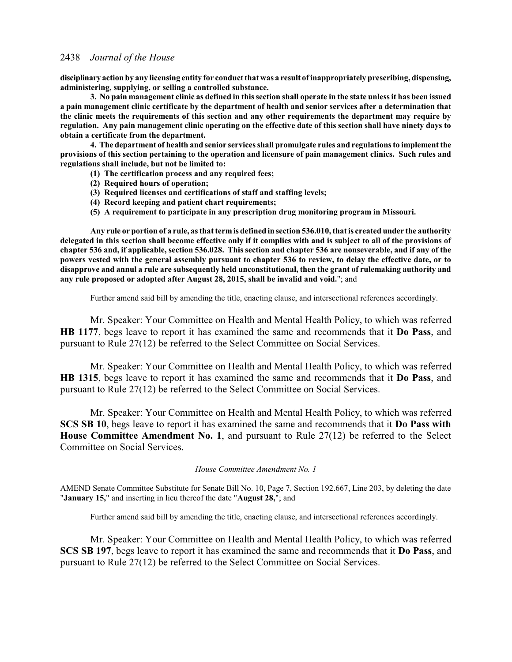**disciplinary action by any licensing entity for conduct that was a result of inappropriately prescribing, dispensing, administering, supplying, or selling a controlled substance.**

**3. No pain management clinic as defined in this section shall operate in the state unless it has been issued a pain management clinic certificate by the department of health and senior services after a determination that the clinic meets the requirements of this section and any other requirements the department may require by regulation. Any pain management clinic operating on the effective date of this section shall have ninety days to obtain a certificate from the department.**

**4. The department of health and senior services shall promulgate rules and regulations to implement the provisions of this section pertaining to the operation and licensure of pain management clinics. Such rules and regulations shall include, but not be limited to:**

- **(1) The certification process and any required fees;**
- **(2) Required hours of operation;**
- **(3) Required licenses and certifications of staff and staffing levels;**
- **(4) Record keeping and patient chart requirements;**
- **(5) A requirement to participate in any prescription drug monitoring program in Missouri.**

**Any rule or portion of a rule, as that termis defined in section 536.010, that is created under the authority delegated in this section shall become effective only if it complies with and is subject to all of the provisions of chapter 536 and, if applicable, section 536.028. This section and chapter 536 are nonseverable, and if any of the powers vested with the general assembly pursuant to chapter 536 to review, to delay the effective date, or to disapprove and annul a rule are subsequently held unconstitutional, then the grant of rulemaking authority and any rule proposed or adopted after August 28, 2015, shall be invalid and void.**"; and

Further amend said bill by amending the title, enacting clause, and intersectional references accordingly.

Mr. Speaker: Your Committee on Health and Mental Health Policy, to which was referred **HB 1177**, begs leave to report it has examined the same and recommends that it **Do Pass**, and pursuant to Rule 27(12) be referred to the Select Committee on Social Services.

Mr. Speaker: Your Committee on Health and Mental Health Policy, to which was referred **HB 1315**, begs leave to report it has examined the same and recommends that it **Do Pass**, and pursuant to Rule 27(12) be referred to the Select Committee on Social Services.

Mr. Speaker: Your Committee on Health and Mental Health Policy, to which was referred **SCS SB 10**, begs leave to report it has examined the same and recommends that it **Do Pass with House Committee Amendment No. 1**, and pursuant to Rule 27(12) be referred to the Select Committee on Social Services.

### *House Committee Amendment No. 1*

AMEND Senate Committee Substitute for Senate Bill No. 10, Page 7, Section 192.667, Line 203, by deleting the date "**January 15,**" and inserting in lieu thereof the date "**August 28,**"; and

Further amend said bill by amending the title, enacting clause, and intersectional references accordingly.

Mr. Speaker: Your Committee on Health and Mental Health Policy, to which was referred **SCS SB 197**, begs leave to report it has examined the same and recommends that it **Do Pass**, and pursuant to Rule 27(12) be referred to the Select Committee on Social Services.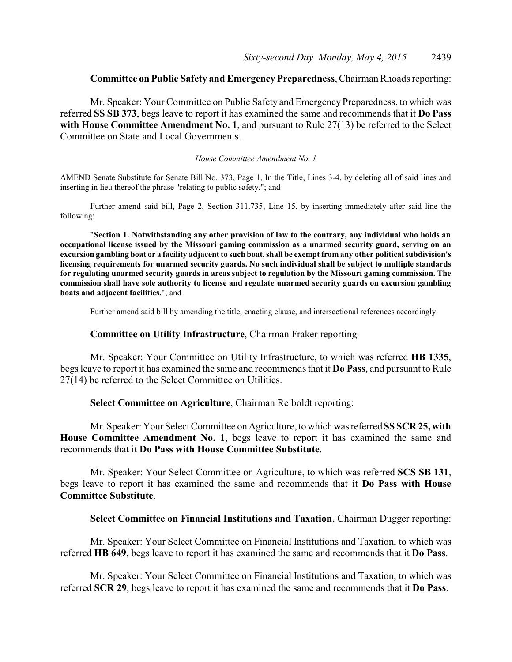# **Committee on Public Safety and Emergency Preparedness**, Chairman Rhoads reporting:

Mr. Speaker: Your Committee on Public Safety and Emergency Preparedness, to which was referred **SS SB 373**, begs leave to report it has examined the same and recommends that it **Do Pass with House Committee Amendment No. 1**, and pursuant to Rule 27(13) be referred to the Select Committee on State and Local Governments.

#### *House Committee Amendment No. 1*

AMEND Senate Substitute for Senate Bill No. 373, Page 1, In the Title, Lines 3-4, by deleting all of said lines and inserting in lieu thereof the phrase "relating to public safety."; and

Further amend said bill, Page 2, Section 311.735, Line 15, by inserting immediately after said line the following:

"**Section 1. Notwithstanding any other provision of law to the contrary, any individual who holds an occupational license issued by the Missouri gaming commission as a unarmed security guard, serving on an excursion gambling boat or a facility adjacent to such boat, shall be exempt from any other political subdivision's licensing requirements for unarmed security guards. No such individual shall be subject to multiple standards for regulating unarmed security guards in areas subject to regulation by the Missouri gaming commission. The commission shall have sole authority to license and regulate unarmed security guards on excursion gambling boats and adjacent facilities.**"; and

Further amend said bill by amending the title, enacting clause, and intersectional references accordingly.

## **Committee on Utility Infrastructure**, Chairman Fraker reporting:

Mr. Speaker: Your Committee on Utility Infrastructure, to which was referred **HB 1335**, begs leave to report it has examined the same and recommends that it **Do Pass**, and pursuant to Rule 27(14) be referred to the Select Committee on Utilities.

### **Select Committee on Agriculture**, Chairman Reiboldt reporting:

Mr. Speaker: Your Select Committee on Agriculture, to which was referred **SS SCR 25, with House Committee Amendment No. 1**, begs leave to report it has examined the same and recommends that it **Do Pass with House Committee Substitute**.

Mr. Speaker: Your Select Committee on Agriculture, to which was referred **SCS SB 131**, begs leave to report it has examined the same and recommends that it **Do Pass with House Committee Substitute**.

#### **Select Committee on Financial Institutions and Taxation**, Chairman Dugger reporting:

Mr. Speaker: Your Select Committee on Financial Institutions and Taxation, to which was referred **HB 649**, begs leave to report it has examined the same and recommends that it **Do Pass**.

Mr. Speaker: Your Select Committee on Financial Institutions and Taxation, to which was referred **SCR 29**, begs leave to report it has examined the same and recommends that it **Do Pass**.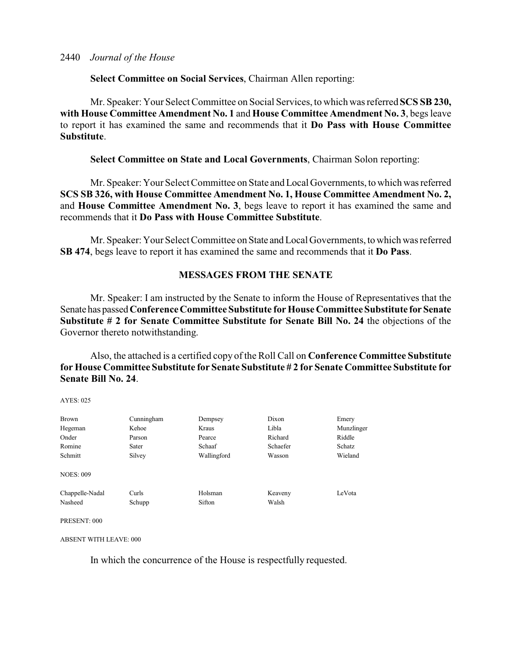**Select Committee on Social Services**, Chairman Allen reporting:

Mr. Speaker: Your Select Committee on Social Services, to which was referred **SCS SB 230, with House Committee Amendment No. 1** and **House Committee Amendment No. 3**, begs leave to report it has examined the same and recommends that it **Do Pass with House Committee Substitute**.

**Select Committee on State and Local Governments**, Chairman Solon reporting:

Mr. Speaker: Your Select Committee on State and Local Governments, to which wasreferred **SCS SB 326, with House Committee Amendment No. 1, House Committee Amendment No. 2,** and **House Committee Amendment No. 3**, begs leave to report it has examined the same and recommends that it **Do Pass with House Committee Substitute**.

Mr. Speaker: Your Select Committee on State andLocal Governments, to which was referred **SB 474**, begs leave to report it has examined the same and recommends that it **Do Pass**.

# **MESSAGES FROM THE SENATE**

Mr. Speaker: I am instructed by the Senate to inform the House of Representatives that the Senate has passed**Conference Committee Substitute for House Committee Substitute forSenate Substitute # 2 for Senate Committee Substitute for Senate Bill No. 24** the objections of the Governor thereto notwithstanding.

Also, the attached is a certified copy of the Roll Call on **Conference Committee Substitute for House Committee Substitute for Senate Substitute # 2 for Senate Committee Substitute for Senate Bill No. 24**.

 $AYES: 025$ 

| Brown            | Cunningham | Dempsey     | Dixon    | Emery      |
|------------------|------------|-------------|----------|------------|
| Hegeman          | Kehoe      | Kraus       | Libla    | Munzlinger |
| Onder            | Parson     | Pearce      | Richard  | Riddle     |
| Romine           | Sater      | Schaaf      | Schaefer | Schatz     |
| Schmitt          | Silvey     | Wallingford | Wasson   | Wieland    |
| <b>NOES: 009</b> |            |             |          |            |
| Chappelle-Nadal  | Curls      | Holsman     | Keaveny  | LeVota     |
| Nasheed          | Schupp     | Sifton      | Walsh    |            |
|                  |            |             |          |            |

PRESENT: 000

ABSENT WITH LEAVE: 000

In which the concurrence of the House is respectfully requested.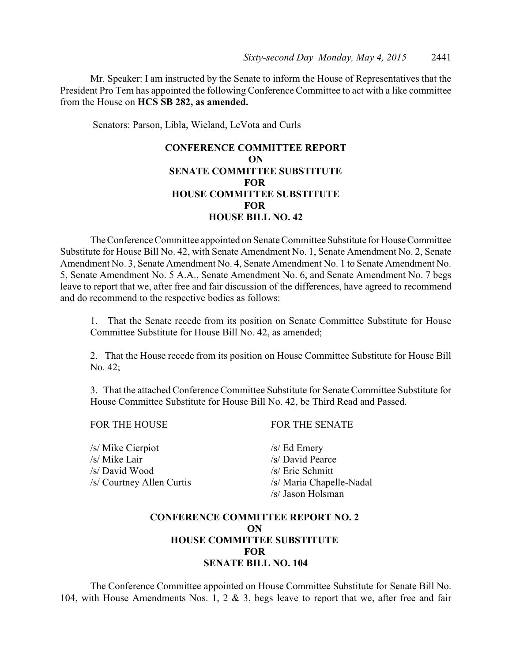Mr. Speaker: I am instructed by the Senate to inform the House of Representatives that the President Pro Tem has appointed the following Conference Committee to act with a like committee from the House on **HCS SB 282, as amended.** 

Senators: Parson, Libla, Wieland, LeVota and Curls

# **CONFERENCE COMMITTEE REPORT ON SENATE COMMITTEE SUBSTITUTE FOR HOUSE COMMITTEE SUBSTITUTE FOR HOUSE BILL NO. 42**

The Conference Committee appointed on Senate Committee Substitute for House Committee Substitute for House Bill No. 42, with Senate Amendment No. 1, Senate Amendment No. 2, Senate Amendment No. 3, Senate Amendment No. 4, Senate Amendment No. 1 to Senate Amendment No. 5, Senate Amendment No. 5 A.A., Senate Amendment No. 6, and Senate Amendment No. 7 begs leave to report that we, after free and fair discussion of the differences, have agreed to recommend and do recommend to the respective bodies as follows:

1. That the Senate recede from its position on Senate Committee Substitute for House Committee Substitute for House Bill No. 42, as amended;

2. That the House recede from its position on House Committee Substitute for House Bill No. 42;

3. That the attached Conference Committee Substitute for Senate Committee Substitute for House Committee Substitute for House Bill No. 42, be Third Read and Passed.

/s/ Mike Cierpiot /s/ Ed Emery /s/ Mike Lair /s/ David Pearce /s/ David Wood /s/ Eric Schmitt /s/ Courtney Allen Curtis /s/ Maria Chapelle-Nadal

FOR THE HOUSE FOR THE SENATE

/s/ Jason Holsman

# **CONFERENCE COMMITTEE REPORT NO. 2 ON HOUSE COMMITTEE SUBSTITUTE FOR SENATE BILL NO. 104**

The Conference Committee appointed on House Committee Substitute for Senate Bill No. 104, with House Amendments Nos. 1, 2 & 3, begs leave to report that we, after free and fair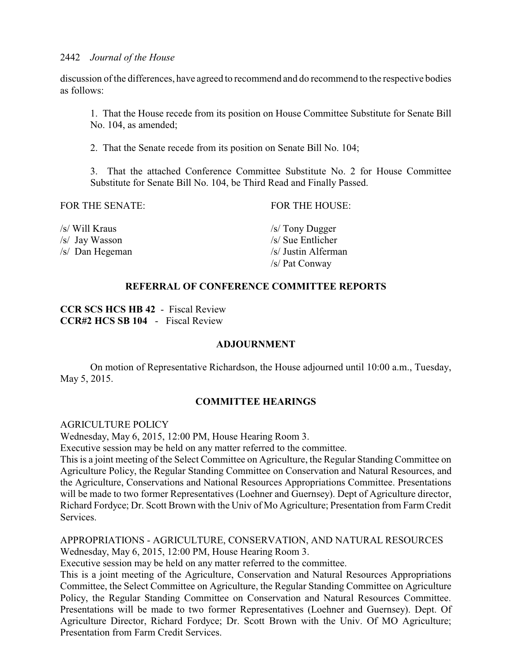discussion of the differences, have agreed to recommend and do recommend to the respective bodies as follows:

1. That the House recede from its position on House Committee Substitute for Senate Bill No. 104, as amended;

2. That the Senate recede from its position on Senate Bill No. 104;

3. That the attached Conference Committee Substitute No. 2 for House Committee Substitute for Senate Bill No. 104, be Third Read and Finally Passed.

FOR THE SENATE: FOR THE HOUSE:

/s/ Will Kraus /s/ Tony Dugger /s/ Jay Wasson /s/ Sue Entlicher

/s/ Dan Hegeman /s/ Justin Alferman /s/ Pat Conway

# **REFERRAL OF CONFERENCE COMMITTEE REPORTS**

**CCR SCS HCS HB 42** - Fiscal Review **CCR#2 HCS SB 104** - Fiscal Review

# **ADJOURNMENT**

On motion of Representative Richardson, the House adjourned until 10:00 a.m., Tuesday, May 5, 2015.

# **COMMITTEE HEARINGS**

AGRICULTURE POLICY

Wednesday, May 6, 2015, 12:00 PM, House Hearing Room 3.

Executive session may be held on any matter referred to the committee.

This is a joint meeting of the Select Committee on Agriculture, the Regular Standing Committee on Agriculture Policy, the Regular Standing Committee on Conservation and Natural Resources, and the Agriculture, Conservations and National Resources Appropriations Committee. Presentations will be made to two former Representatives (Loehner and Guernsey). Dept of Agriculture director, Richard Fordyce; Dr. Scott Brown with the Univ of Mo Agriculture; Presentation from Farm Credit Services.

APPROPRIATIONS - AGRICULTURE, CONSERVATION, AND NATURAL RESOURCES Wednesday, May 6, 2015, 12:00 PM, House Hearing Room 3.

Executive session may be held on any matter referred to the committee.

This is a joint meeting of the Agriculture, Conservation and Natural Resources Appropriations Committee, the Select Committee on Agriculture, the Regular Standing Committee on Agriculture Policy, the Regular Standing Committee on Conservation and Natural Resources Committee. Presentations will be made to two former Representatives (Loehner and Guernsey). Dept. Of Agriculture Director, Richard Fordyce; Dr. Scott Brown with the Univ. Of MO Agriculture; Presentation from Farm Credit Services.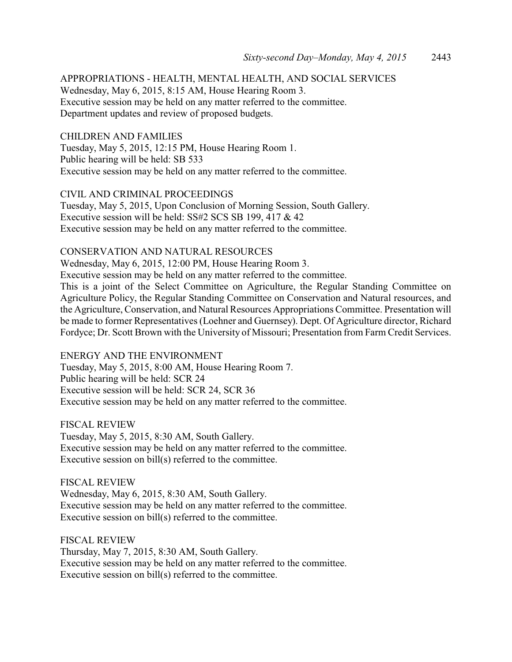APPROPRIATIONS - HEALTH, MENTAL HEALTH, AND SOCIAL SERVICES Wednesday, May 6, 2015, 8:15 AM, House Hearing Room 3. Executive session may be held on any matter referred to the committee. Department updates and review of proposed budgets.

CHILDREN AND FAMILIES Tuesday, May 5, 2015, 12:15 PM, House Hearing Room 1. Public hearing will be held: SB 533 Executive session may be held on any matter referred to the committee.

CIVIL AND CRIMINAL PROCEEDINGS Tuesday, May 5, 2015, Upon Conclusion of Morning Session, South Gallery. Executive session will be held: SS#2 SCS SB 199, 417 & 42 Executive session may be held on any matter referred to the committee.

CONSERVATION AND NATURAL RESOURCES

Wednesday, May 6, 2015, 12:00 PM, House Hearing Room 3.

Executive session may be held on any matter referred to the committee.

This is a joint of the Select Committee on Agriculture, the Regular Standing Committee on Agriculture Policy, the Regular Standing Committee on Conservation and Natural resources, and the Agriculture, Conservation, and Natural Resources Appropriations Committee. Presentation will be made to former Representatives (Loehner and Guernsey). Dept. Of Agriculture director, Richard Fordyce; Dr. Scott Brown with the University of Missouri; Presentation from Farm Credit Services.

ENERGY AND THE ENVIRONMENT Tuesday, May 5, 2015, 8:00 AM, House Hearing Room 7. Public hearing will be held: SCR 24 Executive session will be held: SCR 24, SCR 36 Executive session may be held on any matter referred to the committee.

FISCAL REVIEW Tuesday, May 5, 2015, 8:30 AM, South Gallery. Executive session may be held on any matter referred to the committee. Executive session on bill(s) referred to the committee.

FISCAL REVIEW Wednesday, May 6, 2015, 8:30 AM, South Gallery. Executive session may be held on any matter referred to the committee. Executive session on bill(s) referred to the committee.

FISCAL REVIEW Thursday, May 7, 2015, 8:30 AM, South Gallery. Executive session may be held on any matter referred to the committee. Executive session on bill(s) referred to the committee.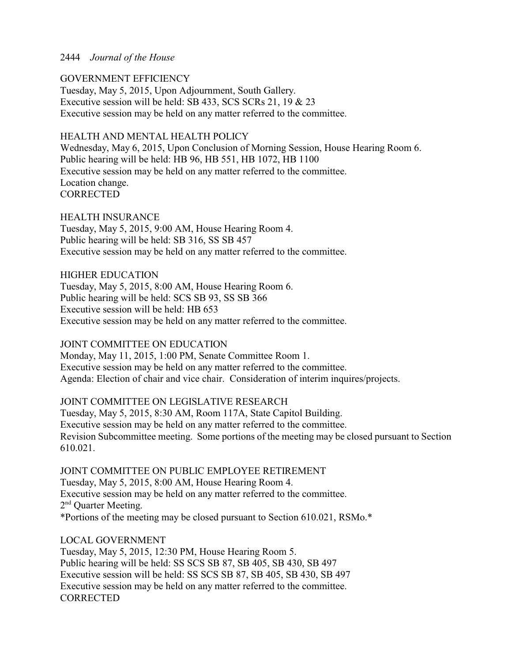# 2444 *Journal of the House*

## GOVERNMENT EFFICIENCY

Tuesday, May 5, 2015, Upon Adjournment, South Gallery. Executive session will be held: SB 433, SCS SCRs 21, 19 & 23 Executive session may be held on any matter referred to the committee.

## HEALTH AND MENTAL HEALTH POLICY

Wednesday, May 6, 2015, Upon Conclusion of Morning Session, House Hearing Room 6. Public hearing will be held: HB 96, HB 551, HB 1072, HB 1100 Executive session may be held on any matter referred to the committee. Location change. **CORRECTED** 

HEALTH INSURANCE Tuesday, May 5, 2015, 9:00 AM, House Hearing Room 4. Public hearing will be held: SB 316, SS SB 457 Executive session may be held on any matter referred to the committee.

HIGHER EDUCATION

Tuesday, May 5, 2015, 8:00 AM, House Hearing Room 6. Public hearing will be held: SCS SB 93, SS SB 366 Executive session will be held: HB 653 Executive session may be held on any matter referred to the committee.

# JOINT COMMITTEE ON EDUCATION

Monday, May 11, 2015, 1:00 PM, Senate Committee Room 1. Executive session may be held on any matter referred to the committee. Agenda: Election of chair and vice chair. Consideration of interim inquires/projects.

# JOINT COMMITTEE ON LEGISLATIVE RESEARCH

Tuesday, May 5, 2015, 8:30 AM, Room 117A, State Capitol Building. Executive session may be held on any matter referred to the committee. Revision Subcommittee meeting. Some portions of the meeting may be closed pursuant to Section 610.021.

JOINT COMMITTEE ON PUBLIC EMPLOYEE RETIREMENT

Tuesday, May 5, 2015, 8:00 AM, House Hearing Room 4. Executive session may be held on any matter referred to the committee. 2<sup>nd</sup> Quarter Meeting. \*Portions of the meeting may be closed pursuant to Section 610.021, RSMo.\*

# LOCAL GOVERNMENT

Tuesday, May 5, 2015, 12:30 PM, House Hearing Room 5. Public hearing will be held: SS SCS SB 87, SB 405, SB 430, SB 497 Executive session will be held: SS SCS SB 87, SB 405, SB 430, SB 497 Executive session may be held on any matter referred to the committee. **CORRECTED**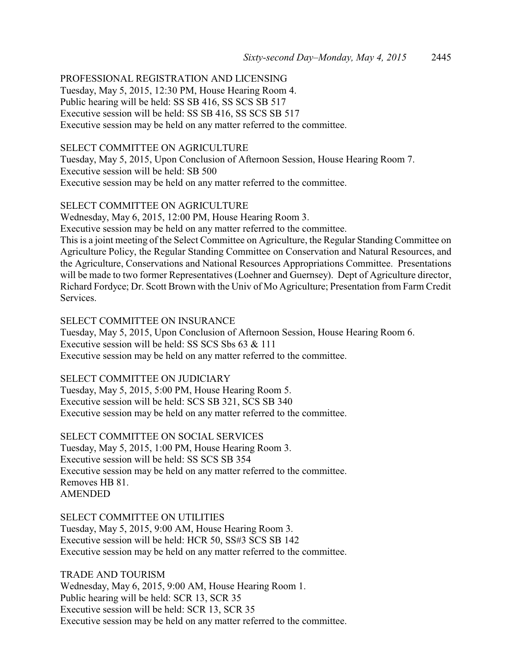PROFESSIONAL REGISTRATION AND LICENSING Tuesday, May 5, 2015, 12:30 PM, House Hearing Room 4. Public hearing will be held: SS SB 416, SS SCS SB 517 Executive session will be held: SS SB 416, SS SCS SB 517 Executive session may be held on any matter referred to the committee.

# SELECT COMMITTEE ON AGRICULTURE

Tuesday, May 5, 2015, Upon Conclusion of Afternoon Session, House Hearing Room 7. Executive session will be held: SB 500 Executive session may be held on any matter referred to the committee.

## SELECT COMMITTEE ON AGRICULTURE

Wednesday, May 6, 2015, 12:00 PM, House Hearing Room 3.

Executive session may be held on any matter referred to the committee.

This is a joint meeting of the Select Committee on Agriculture, the Regular Standing Committee on Agriculture Policy, the Regular Standing Committee on Conservation and Natural Resources, and the Agriculture, Conservations and National Resources Appropriations Committee. Presentations will be made to two former Representatives (Loehner and Guernsey). Dept of Agriculture director, Richard Fordyce; Dr. Scott Brown with the Univ of Mo Agriculture; Presentation from Farm Credit Services.

### SELECT COMMITTEE ON INSURANCE

Tuesday, May 5, 2015, Upon Conclusion of Afternoon Session, House Hearing Room 6. Executive session will be held: SS SCS Sbs 63 & 111 Executive session may be held on any matter referred to the committee.

# SELECT COMMITTEE ON JUDICIARY

Tuesday, May 5, 2015, 5:00 PM, House Hearing Room 5. Executive session will be held: SCS SB 321, SCS SB 340 Executive session may be held on any matter referred to the committee.

#### SELECT COMMITTEE ON SOCIAL SERVICES

Tuesday, May 5, 2015, 1:00 PM, House Hearing Room 3. Executive session will be held: SS SCS SB 354 Executive session may be held on any matter referred to the committee. Removes HB 81. AMENDED

## SELECT COMMITTEE ON UTILITIES

Tuesday, May 5, 2015, 9:00 AM, House Hearing Room 3. Executive session will be held: HCR 50, SS#3 SCS SB 142 Executive session may be held on any matter referred to the committee.

TRADE AND TOURISM Wednesday, May 6, 2015, 9:00 AM, House Hearing Room 1. Public hearing will be held: SCR 13, SCR 35 Executive session will be held: SCR 13, SCR 35 Executive session may be held on any matter referred to the committee.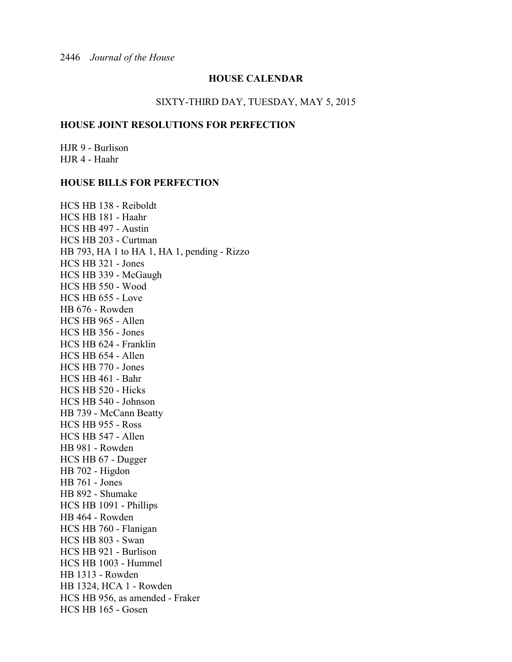# **HOUSE CALENDAR**

#### SIXTY-THIRD DAY, TUESDAY, MAY 5, 2015

## **HOUSE JOINT RESOLUTIONS FOR PERFECTION**

HJR 9 - Burlison HJR 4 - Haahr

#### **HOUSE BILLS FOR PERFECTION**

HCS HB 138 - Reiboldt HCS HB 181 - Haahr HCS HB 497 - Austin HCS HB 203 - Curtman HB 793, HA 1 to HA 1, HA 1, pending - Rizzo HCS HB 321 - Jones HCS HB 339 - McGaugh HCS HB 550 - Wood HCS HB 655 - Love HB 676 - Rowden HCS HB 965 - Allen HCS HB 356 - Jones HCS HB 624 - Franklin HCS HB 654 - Allen HCS HB 770 - Jones HCS HB 461 - Bahr HCS HB 520 - Hicks HCS HB 540 - Johnson HB 739 - McCann Beatty HCS HB 955 - Ross HCS HB 547 - Allen HB 981 - Rowden HCS HB 67 - Dugger HB 702 - Higdon HB 761 - Jones HB 892 - Shumake HCS HB 1091 - Phillips HB 464 - Rowden HCS HB 760 - Flanigan HCS HB 803 - Swan HCS HB 921 - Burlison HCS HB 1003 - Hummel HB 1313 - Rowden HB 1324, HCA 1 - Rowden HCS HB 956, as amended - Fraker HCS HB 165 - Gosen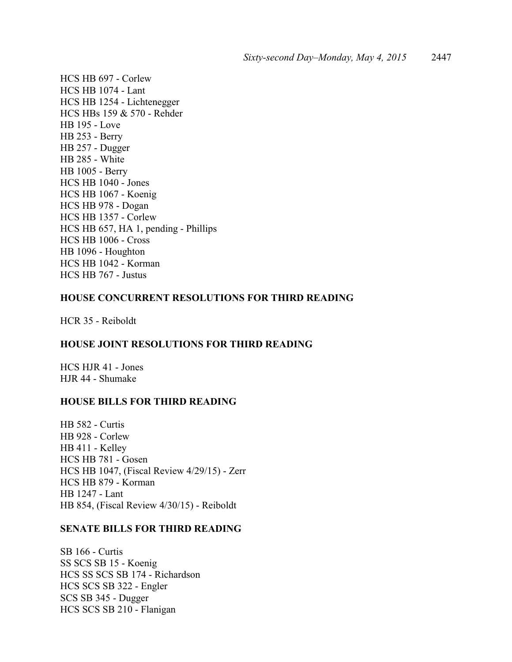HCS HB 697 - Corlew HCS HB 1074 - Lant HCS HB 1254 - Lichtenegger HCS HBs 159 & 570 - Rehder HB 195 - Love HB 253 - Berry HB 257 - Dugger HB 285 - White HB 1005 - Berry HCS HB 1040 - Jones HCS HB 1067 - Koenig HCS HB 978 - Dogan HCS HB 1357 - Corlew HCS HB 657, HA 1, pending - Phillips HCS HB 1006 - Cross HB 1096 - Houghton HCS HB 1042 - Korman HCS HB 767 - Justus

# **HOUSE CONCURRENT RESOLUTIONS FOR THIRD READING**

HCR 35 - Reiboldt

### **HOUSE JOINT RESOLUTIONS FOR THIRD READING**

HCS HJR 41 - Jones HJR 44 - Shumake

#### **HOUSE BILLS FOR THIRD READING**

HB 582 - Curtis HB 928 - Corlew HB 411 - Kelley HCS HB 781 - Gosen HCS HB 1047, (Fiscal Review 4/29/15) - Zerr HCS HB 879 - Korman HB 1247 - Lant HB 854, (Fiscal Review 4/30/15) - Reiboldt

## **SENATE BILLS FOR THIRD READING**

SB 166 - Curtis SS SCS SB 15 - Koenig HCS SS SCS SB 174 - Richardson HCS SCS SB 322 - Engler SCS SB 345 - Dugger HCS SCS SB 210 - Flanigan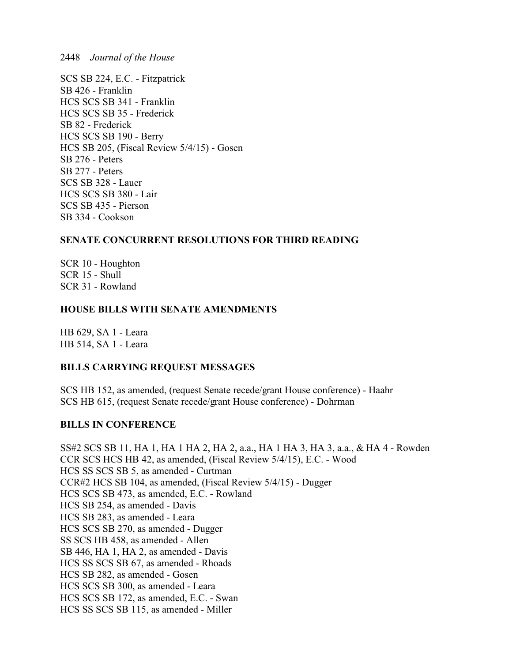2448 *Journal of the House*

SCS SB 224, E.C. - Fitzpatrick SB 426 - Franklin HCS SCS SB 341 - Franklin HCS SCS SB 35 - Frederick SB 82 - Frederick HCS SCS SB 190 - Berry HCS SB 205, (Fiscal Review 5/4/15) - Gosen SB 276 - Peters SB 277 - Peters SCS SB 328 - Lauer HCS SCS SB 380 - Lair SCS SB 435 - Pierson SB 334 - Cookson

# **SENATE CONCURRENT RESOLUTIONS FOR THIRD READING**

SCR 10 - Houghton SCR 15 - Shull SCR 31 - Rowland

# **HOUSE BILLS WITH SENATE AMENDMENTS**

HB 629, SA 1 - Leara HB 514, SA 1 - Leara

# **BILLS CARRYING REQUEST MESSAGES**

SCS HB 152, as amended, (request Senate recede/grant House conference) - Haahr SCS HB 615, (request Senate recede/grant House conference) - Dohrman

# **BILLS IN CONFERENCE**

SS#2 SCS SB 11, HA 1, HA 1 HA 2, HA 2, a.a., HA 1 HA 3, HA 3, a.a., & HA 4 - Rowden CCR SCS HCS HB 42, as amended, (Fiscal Review 5/4/15), E.C. - Wood HCS SS SCS SB 5, as amended - Curtman CCR#2 HCS SB 104, as amended, (Fiscal Review 5/4/15) - Dugger HCS SCS SB 473, as amended, E.C. - Rowland HCS SB 254, as amended - Davis HCS SB 283, as amended - Leara HCS SCS SB 270, as amended - Dugger SS SCS HB 458, as amended - Allen SB 446, HA 1, HA 2, as amended - Davis HCS SS SCS SB 67, as amended - Rhoads HCS SB 282, as amended - Gosen HCS SCS SB 300, as amended - Leara HCS SCS SB 172, as amended, E.C. - Swan HCS SS SCS SB 115, as amended - Miller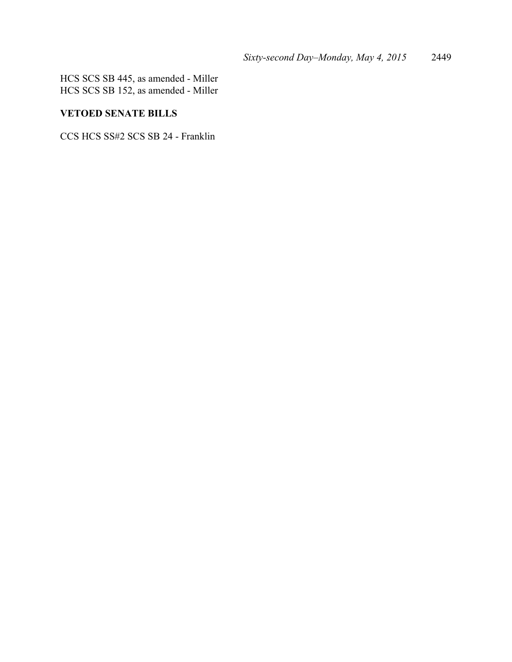HCS SCS SB 445, as amended - Miller HCS SCS SB 152, as amended - Miller

# **VETOED SENATE BILLS**

CCS HCS SS#2 SCS SB 24 - Franklin